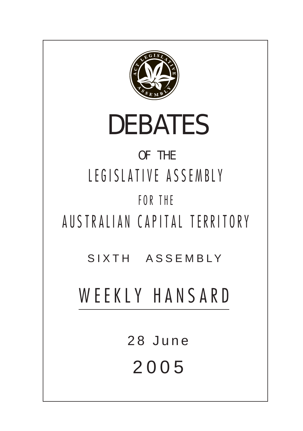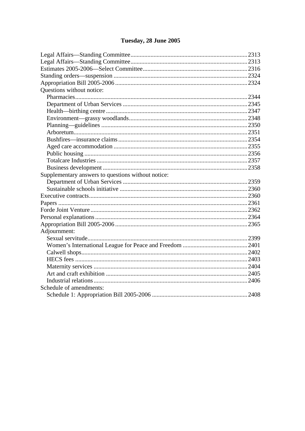# Tuesday, 28 June 2005

| Questions without notice:                          |  |
|----------------------------------------------------|--|
|                                                    |  |
|                                                    |  |
|                                                    |  |
|                                                    |  |
|                                                    |  |
|                                                    |  |
|                                                    |  |
|                                                    |  |
|                                                    |  |
|                                                    |  |
|                                                    |  |
| Supplementary answers to questions without notice: |  |
|                                                    |  |
|                                                    |  |
|                                                    |  |
|                                                    |  |
|                                                    |  |
|                                                    |  |
|                                                    |  |
| Adjournment:                                       |  |
|                                                    |  |
|                                                    |  |
|                                                    |  |
|                                                    |  |
|                                                    |  |
|                                                    |  |
|                                                    |  |
| Schedule of amendments:                            |  |
|                                                    |  |
|                                                    |  |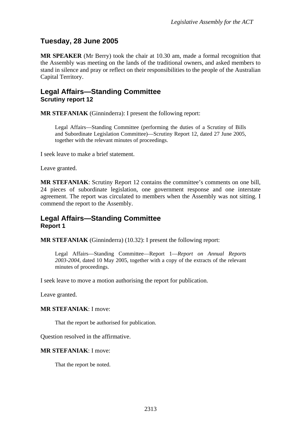## <span id="page-2-0"></span>**Tuesday, 28 June 2005**

**MR SPEAKER** (Mr Berry) took the chair at 10.30 am, made a formal recognition that the Assembly was meeting on the lands of the traditional owners, and asked members to stand in silence and pray or reflect on their responsibilities to the people of the Australian Capital Territory.

## **Legal Affairs—Standing Committee Scrutiny report 12**

**MR STEFANIAK** (Ginninderra): I present the following report:

Legal Affairs—Standing Committee (performing the duties of a Scrutiny of Bills and Subordinate Legislation Committee)—Scrutiny Report 12, dated 27 June 2005, together with the relevant minutes of proceedings.

I seek leave to make a brief statement.

Leave granted.

**MR STEFANIAK**: Scrutiny Report 12 contains the committee's comments on one bill, 24 pieces of subordinate legislation, one government response and one interstate agreement. The report was circulated to members when the Assembly was not sitting. I commend the report to the Assembly.

## **Legal Affairs—Standing Committee Report 1**

**MR STEFANIAK** (Ginninderra) (10.32): I present the following report:

Legal Affairs—Standing Committee—Report 1—*Report on Annual Reports 2003-2004,* dated 10 May 2005, together with a copy of the extracts of the relevant minutes of proceedings.

I seek leave to move a motion authorising the report for publication.

Leave granted.

#### **MR STEFANIAK**: I move:

That the report be authorised for publication.

Question resolved in the affirmative.

#### **MR STEFANIAK**: I move:

That the report be noted.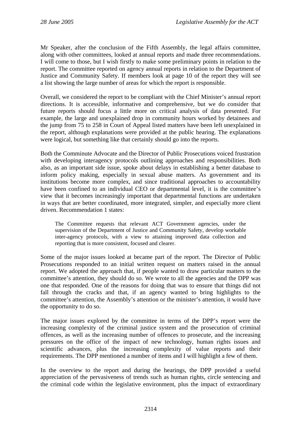Mr Speaker, after the conclusion of the Fifth Assembly, the legal affairs committee, along with other committees, looked at annual reports and made three recommendations. I will come to those, but I wish firstly to make some preliminary points in relation to the report. The committee reported on agency annual reports in relation to the Department of Justice and Community Safety. If members look at page 10 of the report they will see a list showing the large number of areas for which the report is responsible.

Overall, we considered the report to be compliant with the Chief Minister's annual report directions. It is accessible, informative and comprehensive, but we do consider that future reports should focus a little more on critical analysis of data presented. For example, the large and unexplained drop in community hours worked by detainees and the jump from 75 to 258 in Court of Appeal listed matters have been left unexplained in the report, although explanations were provided at the public hearing. The explanations were logical, but something like that certainly should go into the reports.

Both the Comminute Advocate and the Director of Public Prosecutions voiced frustration with developing interagency protocols outlining approaches and responsibilities. Both also, as an important side issue, spoke about delays in establishing a better database to inform policy making, especially in sexual abuse matters. As government and its institutions become more complex, and since traditional approaches to accountability have been confined to an individual CEO or departmental level, it is the committee's view that it becomes increasingly important that departmental functions are undertaken in ways that are better coordinated, more integrated, simpler, and especially more client driven. Recommendation 1 states:

The Committee requests that relevant ACT Government agencies, under the supervision of the Department of Justice and Community Safety, develop workable inter-agency protocols, with a view to attaining improved data collection and reporting that is more consistent, focused and clearer.

Some of the major issues looked at became part of the report. The Director of Public Prosecutions responded to an initial written request on matters raised in the annual report. We adopted the approach that, if people wanted to draw particular matters to the committee's attention, they should do so. We wrote to all the agencies and the DPP was one that responded. One of the reasons for doing that was to ensure that things did not fall through the cracks and that, if an agency wanted to bring highlights to the committee's attention, the Assembly's attention or the minister's attention, it would have the opportunity to do so.

The major issues explored by the committee in terms of the DPP's report were the increasing complexity of the criminal justice system and the prosecution of criminal offences, as well as the increasing number of offences to prosecute, and the increasing pressures on the office of the impact of new technology, human rights issues and scientific advances, plus the increasing complexity of value reports and their requirements. The DPP mentioned a number of items and I will highlight a few of them.

In the overview to the report and during the hearings, the DPP provided a useful appreciation of the pervasiveness of trends such as human rights, circle sentencing and the criminal code within the legislative environment, plus the impact of extraordinary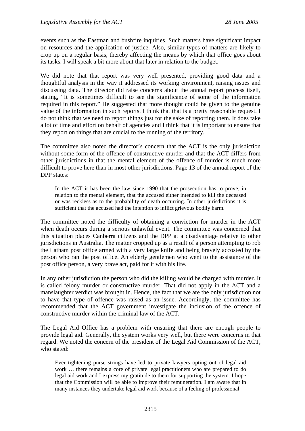events such as the Eastman and bushfire inquiries. Such matters have significant impact on resources and the application of justice. Also, similar types of matters are likely to crop up on a regular basis, thereby affecting the means by which that office goes about its tasks. I will speak a bit more about that later in relation to the budget.

We did note that that report was very well presented, providing good data and a thoughtful analysis in the way it addressed its working environment, raising issues and discussing data. The director did raise concerns about the annual report process itself, stating, "It is sometimes difficult to see the significance of some of the information required in this report." He suggested that more thought could be given to the genuine value of the information in such reports. I think that that is a pretty reasonable request. I do not think that we need to report things just for the sake of reporting them. It does take a lot of time and effort on behalf of agencies and I think that it is important to ensure that they report on things that are crucial to the running of the territory.

The committee also noted the director's concern that the ACT is the only jurisdiction without some form of the offence of constructive murder and that the ACT differs from other jurisdictions in that the mental element of the offence of murder is much more difficult to prove here than in most other jurisdictions. Page 13 of the annual report of the DPP states:

In the ACT it has been the law since 1990 that the prosecution has to prove, in relation to the mental element, that the accused either intended to kill the deceased or was reckless as to the probability of death occurring. In other jurisdictions it is sufficient that the accused had the intention to inflict grievous bodily harm.

The committee noted the difficulty of obtaining a conviction for murder in the ACT when death occurs during a serious unlawful event. The committee was concerned that this situation places Canberra citizens and the DPP at a disadvantage relative to other jurisdictions in Australia. The matter cropped up as a result of a person attempting to rob the Latham post office armed with a very large knife and being bravely accosted by the person who ran the post office. An elderly gentlemen who went to the assistance of the post office person, a very brave act, paid for it with his life.

In any other jurisdiction the person who did the killing would be charged with murder. It is called felony murder or constructive murder. That did not apply in the ACT and a manslaughter verdict was brought in. Hence, the fact that we are the only jurisdiction not to have that type of offence was raised as an issue. Accordingly, the committee has recommended that the ACT government investigate the inclusion of the offence of constructive murder within the criminal law of the ACT.

The Legal Aid Office has a problem with ensuring that there are enough people to provide legal aid. Generally, the system works very well, but there were concerns in that regard. We noted the concern of the president of the Legal Aid Commission of the ACT, who stated:

Ever tightening purse strings have led to private lawyers opting out of legal aid work … there remains a core of private legal practitioners who are prepared to do legal aid work and I express my gratitude to them for supporting the system. I hope that the Commission will be able to improve their remuneration. I am aware that in many instances they undertake legal aid work because of a feeling of professional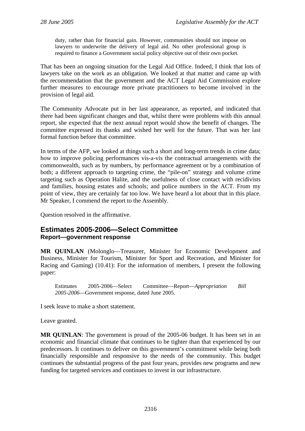<span id="page-5-0"></span>duty, rather than for financial gain. However, communities should not impose on lawyers to underwrite the delivery of legal aid. No other professional group is required to finance a Government social policy objective out of their own pocket.

That has been an ongoing situation for the Legal Aid Office. Indeed, I think that lots of lawyers take on the work as an obligation. We looked at that matter and came up with the recommendation that the government and the ACT Legal Aid Commission explore further measures to encourage more private practitioners to become involved in the provision of legal aid.

The Community Advocate put in her last appearance, as reported, and indicated that there had been significant changes and that, whilst there were problems with this annual report, she expected that the next annual report would show the benefit of changes. The committee expressed its thanks and wished her well for the future. That was her last formal function before that committee.

In terms of the AFP, we looked at things such a short and long-term trends in crime data; how to improve policing performances vis-a-vis the contractual arrangements with the commonwealth, such as by numbers, by performance agreement or by a combination of both; a different approach to targeting crime, the "pile-on" strategy and volume crime targeting such as Operation Halite, and the usefulness of close contact with recidivists and families, housing estates and schools; and police numbers in the ACT. From my point of view, they are certainly far too low. We have heard a lot about that in this place. Mr Speaker, I commend the report to the Assembly.

Question resolved in the affirmative.

### **Estimates 2005-2006—Select Committee Report—government response**

**MR QUINLAN** (Molonglo—Treasurer, Minister for Economic Development and Business, Minister for Tourism, Minister for Sport and Recreation, and Minister for Racing and Gaming) (10.41): For the information of members, I present the following paper:

Estimates 2005-2006—Select Committee—Report—*Appropriation Bill 2005-2006*—Government response, dated June 2005.

I seek leave to make a short statement.

### Leave granted.

**MR QUINLAN**: The government is proud of the 2005-06 budget. It has been set in an economic and financial climate that continues to be tighter than that experienced by our predecessors. It continues to deliver on this government's commitment while being both financially responsible and responsive to the needs of the community. This budget continues the substantial progress of the past four years, provides new programs and new funding for targeted services and continues to invest in our infrastructure.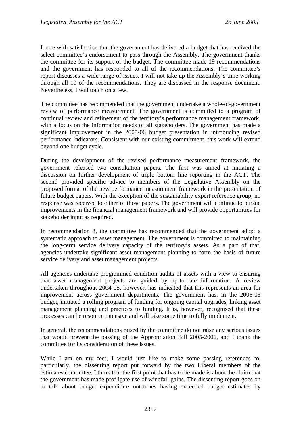I note with satisfaction that the government has delivered a budget that has received the select committee's endorsement to pass through the Assembly. The government thanks the committee for its support of the budget. The committee made 19 recommendations and the government has responded to all of the recommendations. The committee's report discusses a wide range of issues. I will not take up the Assembly's time working through all 19 of the recommendations. They are discussed in the response document. Nevertheless, I will touch on a few.

The committee has recommended that the government undertake a whole-of-government review of performance measurement. The government is committed to a program of continual review and refinement of the territory's performance management framework, with a focus on the information needs of all stakeholders. The government has made a significant improvement in the 2005-06 budget presentation in introducing revised performance indicators. Consistent with our existing commitment, this work will extend beyond one budget cycle.

During the development of the revised performance measurement framework, the government released two consultation papers. The first was aimed at initiating a discussion on further development of triple bottom line reporting in the ACT. The second provided specific advice to members of the Legislative Assembly on the proposed format of the new performance measurement framework in the presentation of future budget papers. With the exception of the sustainability expert reference group, no response was received to either of those papers. The government will continue to pursue improvements in the financial management framework and will provide opportunities for stakeholder input as required.

In recommendation 8, the committee has recommended that the government adopt a systematic approach to asset management. The government is committed to maintaining the long-term service delivery capacity of the territory's assets. As a part of that, agencies undertake significant asset management planning to form the basis of future service delivery and asset management projects.

All agencies undertake programmed condition audits of assets with a view to ensuring that asset management projects are guided by up-to-date information. A review undertaken throughout 2004-05, however, has indicated that this represents an area for improvement across government departments. The government has, in the 2005-06 budget, initiated a rolling program of funding for ongoing capital upgrades, linking asset management planning and practices to funding. It is, however, recognised that these processes can be resource intensive and will take some time to fully implement.

In general, the recommendations raised by the committee do not raise any serious issues that would prevent the passing of the Appropriation Bill 2005-2006, and I thank the committee for its consideration of these issues.

While I am on my feet, I would just like to make some passing references to, particularly, the dissenting report put forward by the two Liberal members of the estimates committee. I think that the first point that has to be made is about the claim that the government has made profligate use of windfall gains. The dissenting report goes on to talk about budget expenditure outcomes having exceeded budget estimates by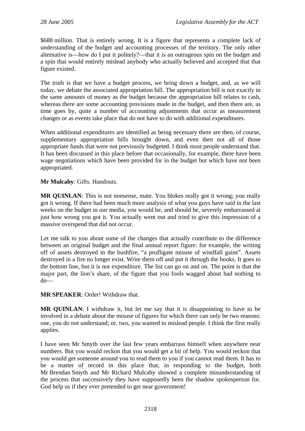\$688 million. That is entirely wrong. It is a figure that represents a complete lack of understanding of the budget and accounting processes of the territory. The only other alternative is—how do I put it politely?—that it is an outrageous spin on the budget and a spin that would entirely mislead anybody who actually believed and accepted that that figure existed.

The truth is that we have a budget process, we bring down a budget, and, as we will today, we debate the associated appropriation bill. The appropriation bill is not exactly in the same amounts of money as the budget because the appropriation bill relates to cash, whereas there are some accounting provisions made in the budget, and then there are, as time goes by, quite a number of accounting adjustments that occur as measurement changes or as events take place that do not have to do with additional expenditures.

When additional expenditures are identified as being necessary there are then, of course, supplementary appropriation bills brought down, and even then not all of those appropriate funds that were not previously budgeted. I think most people understand that. It has been discussed in this place before that occasionally, for example, there have been wage negotiations which have been provided for in the budget but which have not been appropriated.

**Mr Mulcahy**: Gifts. Handouts.

**MR QUINLAN**: This is not nonsense, mate. You blokes really got it wrong; you really got it wrong. If there had been much more analysis of what you guys have said in the last weeks on the budget in our media, you would be, and should be, severely embarrassed at just how wrong you got it. You actually went out and tried to give this impression of a massive overspend that did not occur.

Let me talk to you about some of the changes that actually contribute to the difference between an original budget and the final annual report figure: for example, the writing off of assets destroyed in the bushfire, "a profligate misuse of windfall gains". Assets destroyed in a fire no longer exist. Write them off and put it through the books. It goes to the bottom line, but it is not expenditure. The list can go on and on. The point is that the major part, the lion's share, of the figure that you fools wagged about had nothing to do—

**MR SPEAKER**: Order! Withdraw that.

**MR QUINLAN**: I withdraw it, but let me say that it is disappointing to have to be involved in a debate about the misuse of figures for which there can only be two reasons: one, you do not understand; or, two, you wanted to mislead people. I think the first really applies.

I have seen Mr Smyth over the last few years embarrass himself when anywhere near numbers. But you would reckon that you would get a bit of help. You would reckon that you would get someone around you to read them to you if you cannot read them. It has to be a matter of record in this place that, in responding to the budget, both Mr Brendan Smyth and Mr Richard Mulcahy showed a complete misunderstanding of the process that successively they have supposedly been the shadow spokesperson for. God help us if they ever pretended to get near government!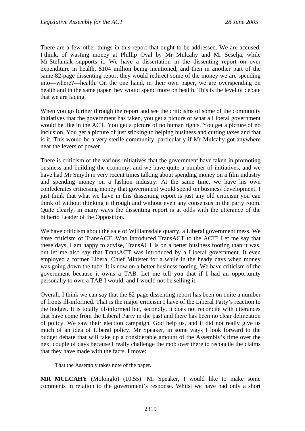There are a few other things in this report that ought to be addressed. We are accused, I think, of wasting money at Phillip Oval by Mr Mulcahy and Mr Seselja, while Mr Stefaniak supports it. We have a dissertation in the dissenting report on over expenditure in health, \$104 million being mentioned, and then in another part of the same 82-page dissenting report they would redirect some of the money we are spending into—where?—health. On the one hand, in their own paper, we are overspending on health and in the same paper they would spend more on health. This is the level of debate that we are facing.

When you go further through the report and see the criticisms of some of the community initiatives that the government has taken, you get a picture of what a Liberal government would be like in the ACT. You get a picture of no human rights. You get a picture of no inclusion. You get a picture of just sticking to helping business and cutting taxes and that is it. This would be a very sterile community, particularly if Mr Mulcahy got anywhere near the levers of power.

There is criticism of the various initiatives that the government have taken in promoting business and building the economy, and we have quite a number of initiatives, and we have had Mr Smyth in very recent times talking about spending money on a film industry and spending money on a fashion industry. At the same time, we have his own confederates criticising money that government would spend on business development. I just think that what we have in this dissenting report is just any old criticism you can think of without thinking it through and without even any consensus in the party room. Quite clearly, in many ways the dissenting report is at odds with the utterance of the hitherto Leader of the Opposition.

We have criticism about the sale of Williamsdale quarry, a Liberal government mess. We have criticism of TransACT. Who introduced TransACT to the ACT? Let me say that these days, I am happy to advise, TransACT is on a better business footing than it was, but let me also say that TransACT was introduced by a Liberal government. It even employed a former Liberal Chief Minister for a while in the heady days when money was going down the tube. It is now on a better business footing. We have criticism of the government because it owns a TAB. Let me tell you that if I had an opportunity personally to own a TAB I would, and I would not be selling it.

Overall, I think we can say that the 82-page dissenting report has been on quite a number of fronts ill-informed. That is the major criticism I have of the Liberal Party's reaction to the budget. It is totally ill-informed but, secondly, it does not reconcile with utterances that have come from the Liberal Party in the past and there has been no clear delineation of policy. We saw their election campaign, God help us, and it did not really give us much of an idea of Liberal policy. Mr Speaker, in some ways I look forward to the budget debate that will take up a considerable amount of the Assembly's time over the next couple of days because I really challenge the mob over there to reconcile the claims that they have made with the facts. I move:

That the Assembly takes note of the paper.

**MR MULCAHY** (Molonglo) (10.55): Mr Speaker, I would like to make some comments in relation to the government's response. Whilst we have had only a short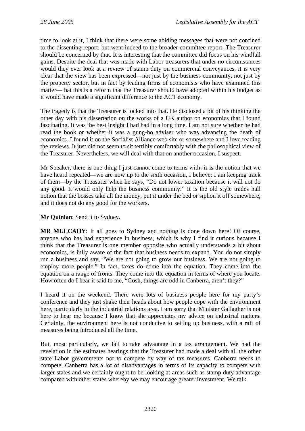time to look at it, I think that there were some abiding messages that were not confined to the dissenting report, but went indeed to the broader committee report. The Treasurer should be concerned by that. It is interesting that the committee did focus on his windfall gains. Despite the deal that was made with Labor treasurers that under no circumstances would they ever look at a review of stamp duty on commercial conveyances, it is very clear that the view has been expressed—not just by the business community, not just by the property sector, but in fact by leading firms of economists who have examined this matter—that this is a reform that the Treasurer should have adopted within his budget as it would have made a significant difference to the ACT economy.

The tragedy is that the Treasurer is locked into that. He disclosed a bit of his thinking the other day with his dissertation on the works of a UK author on economics that I found fascinating. It was the best insight I had had in a long time. I am not sure whether he had read the book or whether it was a gung-ho adviser who was advancing the death of economics. I found it on the Socialist Alliance web site or somewhere and I love reading the reviews. It just did not seem to sit terribly comfortably with the philosophical view of the Treasurer. Nevertheless, we will deal with that on another occasion, I suspect.

Mr Speaker, there is one thing I just cannot come to terms with: it is the notion that we have heard repeated—we are now up to the sixth occasion, I believe; I am keeping track of them—by the Treasurer when he says, "Do not lower taxation because it will not do any good. It would only help the business community." It is the old style trades hall notion that the bosses take all the money, put it under the bed or siphon it off somewhere, and it does not do any good for the workers.

**Mr Quinlan**: Send it to Sydney.

**MR MULCAHY**: It all goes to Sydney and nothing is done down here! Of course, anyone who has had experience in business, which is why I find it curious because I think that the Treasurer is one member opposite who actually understands a bit about economics, is fully aware of the fact that business needs to expand. You do not simply run a business and say, "We are not going to grow our business. We are not going to employ more people." In fact, taxes do come into the equation. They come into the equation on a range of fronts. They come into the equation in terms of where you locate. How often do I hear it said to me, "Gosh, things are odd in Canberra, aren't they?"

I heard it on the weekend. There were lots of business people here for my party's conference and they just shake their heads about how people cope with the environment here, particularly in the industrial relations area. I am sorry that Minister Gallagher is not here to hear me because I know that she appreciates my advice on industrial matters. Certainly, the environment here is not conducive to setting up business, with a raft of measures being introduced all the time.

But, most particularly, we fail to take advantage in a tax arrangement. We had the revelation in the estimates hearings that the Treasurer had made a deal with all the other state Labor governments not to compete by way of tax measures. Canberra needs to compete. Canberra has a lot of disadvantages in terms of its capacity to compete with larger states and we certainly ought to be looking at areas such as stamp duty advantage compared with other states whereby we may encourage greater investment. We talk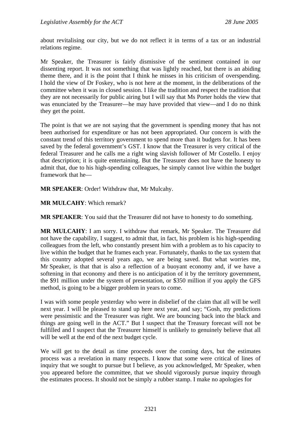about revitalising our city, but we do not reflect it in terms of a tax or an industrial relations regime.

Mr Speaker, the Treasurer is fairly dismissive of the sentiment contained in our dissenting report. It was not something that was lightly reached, but there is an abiding theme there, and it is the point that I think he misses in his criticism of overspending. I hold the view of Dr Foskey, who is not here at the moment, in the deliberations of the committee when it was in closed session. I like the tradition and respect the tradition that they are not necessarily for public airing but I will say that Ms Porter holds the view that was enunciated by the Treasurer—he may have provided that view—and I do no think they get the point.

The point is that we are not saying that the government is spending money that has not been authorised for expenditure or has not been appropriated. Our concern is with the constant trend of this territory government to spend more than it budgets for. It has been saved by the federal government's GST. I know that the Treasurer is very critical of the federal Treasurer and he calls me a right wing slavish follower of Mr Costello. I enjoy that description; it is quite entertaining. But the Treasurer does not have the honesty to admit that, due to his high-spending colleagues, he simply cannot live within the budget framework that he—

**MR SPEAKER**: Order! Withdraw that, Mr Mulcahy.

**MR MULCAHY**: Which remark?

**MR SPEAKER**: You said that the Treasurer did not have to honesty to do something.

**MR MULCAHY**: I am sorry. I withdraw that remark, Mr Speaker. The Treasurer did not have the capability, I suggest, to admit that, in fact, his problem is his high-spending colleagues from the left, who constantly present him with a problem as to his capacity to live within the budget that he frames each year. Fortunately, thanks to the tax system that this country adopted several years ago, we are being saved. But what worries me, Mr Speaker, is that that is also a reflection of a buoyant economy and, if we have a softening in that economy and there is no anticipation of it by the territory government, the \$91 million under the system of presentation, or \$350 million if you apply the GFS method, is going to be a bigger problem in years to come.

I was with some people yesterday who were in disbelief of the claim that all will be well next year. I will be pleased to stand up here next year, and say; "Gosh, my predictions were pessimistic and the Treasurer was right. We are bouncing back into the black and things are going well in the ACT." But I suspect that the Treasury forecast will not be fulfilled and I suspect that the Treasurer himself is unlikely to genuinely believe that all will be well at the end of the next budget cycle.

We will get to the detail as time proceeds over the coming days, but the estimates process was a revelation in many respects. I know that some were critical of lines of inquiry that we sought to pursue but I believe, as you acknowledged, Mr Speaker, when you appeared before the committee, that we should vigorously pursue inquiry through the estimates process. It should not be simply a rubber stamp. I make no apologies for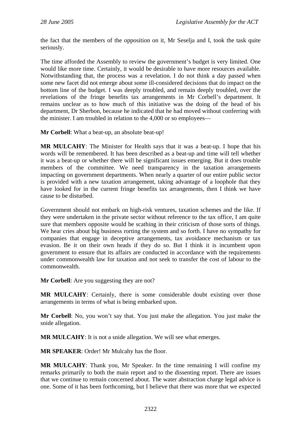the fact that the members of the opposition on it, Mr Seselja and I, took the task quite seriously.

The time afforded the Assembly to review the government's budget is very limited. One would like more time. Certainly, it would be desirable to have more resources available. Notwithstanding that, the process was a revelation. I do not think a day passed when some new facet did not emerge about some ill-considered decisions that do impact on the bottom line of the budget. I was deeply troubled, and remain deeply troubled, over the revelations of the fringe benefits tax arrangements in Mr Corbell's department. It remains unclear as to how much of this initiative was the doing of the head of his department, Dr Sherbon, because he indicated that he had moved without conferring with the minister. I am troubled in relation to the 4,000 or so employees—

**Mr Corbell**: What a beat-up, an absolute beat-up!

**MR MULCAHY**: The Minister for Health says that it was a beat-up. I hope that his words will be remembered. It has been described as a beat-up and time will tell whether it was a beat-up or whether there will be significant issues emerging. But it does trouble members of the committee. We need transparency in the taxation arrangements impacting on government departments. When nearly a quarter of our entire public sector is provided with a new taxation arrangement, taking advantage of a loophole that they have looked for in the current fringe benefits tax arrangements, then I think we have cause to be disturbed.

Government should not embark on high-risk ventures, taxation schemes and the like. If they were undertaken in the private sector without reference to the tax office, I am quite sure that members opposite would be scathing in their criticism of those sorts of things. We hear cries about big business rorting the system and so forth. I have no sympathy for companies that engage in deceptive arrangements, tax avoidance mechanism or tax evasion. Be it on their own heads if they do so. But I think it is incumbent upon government to ensure that its affairs are conducted in accordance with the requirements under commonwealth law for taxation and not seek to transfer the cost of labour to the commonwealth.

**Mr Corbell**: Are you suggesting they are not?

**MR MULCAHY**: Certainly, there is some considerable doubt existing over those arrangements in terms of what is being embarked upon.

**Mr Corbell**: No, you won't say that. You just make the allegation. You just make the snide allegation.

**MR MULCAHY:** It is not a snide allegation. We will see what emerges.

**MR SPEAKER**: Order! Mr Mulcahy has the floor.

**MR MULCAHY**: Thank you, Mr Speaker. In the time remaining I will confine my remarks primarily to both the main report and to the dissenting report. There are issues that we continue to remain concerned about. The water abstraction charge legal advice is one. Some of it has been forthcoming, but I believe that there was more that we expected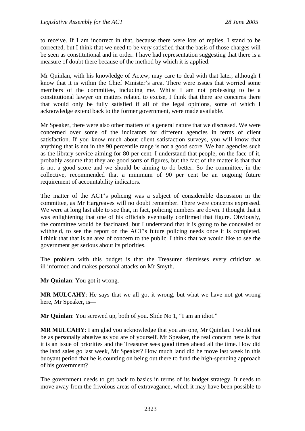to receive. If I am incorrect in that, because there were lots of replies, I stand to be corrected, but I think that we need to be very satisfied that the basis of those charges will be seen as constitutional and in order. I have had representation suggesting that there is a measure of doubt there because of the method by which it is applied.

Mr Quinlan, with his knowledge of Actew, may care to deal with that later, although I know that it is within the Chief Minister's area. There were issues that worried some members of the committee, including me. Whilst I am not professing to be a constitutional lawyer on matters related to excise, I think that there are concerns there that would only be fully satisfied if all of the legal opinions, some of which I acknowledge extend back to the former government, were made available.

Mr Speaker, there were also other matters of a general nature that we discussed. We were concerned over some of the indicators for different agencies in terms of client satisfaction. If you know much about client satisfaction surveys, you will know that anything that is not in the 90 percentile range is not a good score. We had agencies such as the library service aiming for 80 per cent. I understand that people, on the face of it, probably assume that they are good sorts of figures, but the fact of the matter is that that is not a good score and we should be aiming to do better. So the committee, in the collective, recommended that a minimum of 90 per cent be an ongoing future requirement of accountability indicators.

The matter of the ACT's policing was a subject of considerable discussion in the committee, as Mr Hargreaves will no doubt remember. There were concerns expressed. We were at long last able to see that, in fact, policing numbers are down. I thought that it was enlightening that one of his officials eventually confirmed that figure. Obviously, the committee would be fascinated, but I understand that it is going to be concealed or withheld, to see the report on the ACT's future policing needs once it is completed. I think that that is an area of concern to the public. I think that we would like to see the government get serious about its priorities.

The problem with this budget is that the Treasurer dismisses every criticism as ill informed and makes personal attacks on Mr Smyth.

**Mr Quinlan**: You got it wrong.

**MR MULCAHY**: He says that we all got it wrong, but what we have not got wrong here, Mr Speaker, is—

**Mr Quinlan**: You screwed up, both of you. Slide No 1, "I am an idiot."

**MR MULCAHY**: I am glad you acknowledge that you are one, Mr Quinlan. I would not be as personally abusive as you are of yourself. Mr Speaker, the real concern here is that it is an issue of priorities and the Treasurer sees good times ahead all the time. How did the land sales go last week, Mr Speaker? How much land did he move last week in this buoyant period that he is counting on being out there to fund the high-spending approach of his government?

The government needs to get back to basics in terms of its budget strategy. It needs to move away from the frivolous areas of extravagance, which it may have been possible to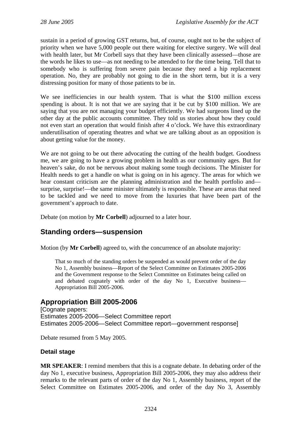<span id="page-13-0"></span>sustain in a period of growing GST returns, but, of course, ought not to be the subject of priority when we have 5,000 people out there waiting for elective surgery. We will deal with health later, but Mr Corbell says that they have been clinically assessed—those are the words he likes to use—as not needing to be attended to for the time being. Tell that to somebody who is suffering from severe pain because they need a hip replacement operation. No, they are probably not going to die in the short term, but it is a very distressing position for many of those patients to be in.

We see inefficiencies in our health system. That is what the \$100 million excess spending is about. It is not that we are saying that it be cut by \$100 million. We are saying that you are not managing your budget efficiently. We had surgeons lined up the other day at the public accounts committee. They told us stories about how they could not even start an operation that would finish after 4 o'clock. We have this extraordinary underutilisation of operating theatres and what we are talking about as an opposition is about getting value for the money.

We are not going to be out there advocating the cutting of the health budget. Goodness me, we are going to have a growing problem in health as our community ages. But for heaven's sake, do not be nervous about making some tough decisions. The Minister for Health needs to get a handle on what is going on in his agency. The areas for which we hear constant criticism are the planning administration and the health portfolio and surprise, surprise!—the same minister ultimately is responsible. These are areas that need to be tackled and we need to move from the luxuries that have been part of the government's approach to date.

Debate (on motion by **Mr Corbell**) adjourned to a later hour.

## **Standing orders—suspension**

Motion (by **Mr Corbell**) agreed to, with the concurrence of an absolute majority:

That so much of the standing orders be suspended as would prevent order of the day No 1, Assembly business—Report of the Select Committee on Estimates 2005-2006 and the Government response to the Select Committee on Estimates being called on and debated cognately with order of the day No 1, Executive business— Appropriation Bill 2005-2006.

## **Appropriation Bill 2005-2006**

[Cognate papers: Estimates 2005-2006—Select Committee report Estimates 2005-2006—Select Committee report—government response]

Debate resumed from 5 May 2005.

### **Detail stage**

**MR SPEAKER**: I remind members that this is a cognate debate. In debating order of the day No 1, executive business, Appropriation Bill 2005-2006, they may also address their remarks to the relevant parts of order of the day No 1, Assembly business, report of the Select Committee on Estimates 2005-2006, and order of the day No 3, Assembly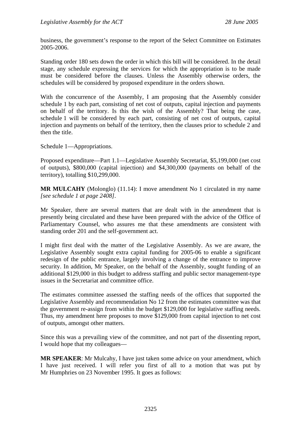business, the government's response to the report of the Select Committee on Estimates 2005-2006.

Standing order 180 sets down the order in which this bill will be considered. In the detail stage, any schedule expressing the services for which the appropriation is to be made must be considered before the clauses. Unless the Assembly otherwise orders, the schedules will be considered by proposed expenditure in the orders shown.

With the concurrence of the Assembly, I am proposing that the Assembly consider schedule 1 by each part, consisting of net cost of outputs, capital injection and payments on behalf of the territory. Is this the wish of the Assembly? That being the case, schedule 1 will be considered by each part, consisting of net cost of outputs, capital injection and payments on behalf of the territory, then the clauses prior to schedule 2 and then the title.

Schedule 1—Appropriations.

Proposed expenditure—Part 1.1—Legislative Assembly Secretariat, \$5,199,000 (net cost of outputs), \$800,000 (capital injection) and \$4,300,000 (payments on behalf of the territory), totalling \$10,299,000.

**MR MULCAHY** (Molonglo) (11.14): I move amendment No 1 circulated in my name *[see schedule 1 at page 2408]*.

Mr Speaker, there are several matters that are dealt with in the amendment that is presently being circulated and these have been prepared with the advice of the Office of Parliamentary Counsel, who assures me that these amendments are consistent with standing order 201 and the self-government act.

I might first deal with the matter of the Legislative Assembly. As we are aware, the Legislative Assembly sought extra capital funding for 2005-06 to enable a significant redesign of the public entrance, largely involving a change of the entrance to improve security. In addition, Mr Speaker, on the behalf of the Assembly, sought funding of an additional \$129,000 in this budget to address staffing and public sector management-type issues in the Secretariat and committee office.

The estimates committee assessed the staffing needs of the offices that supported the Legislative Assembly and recommendation No 12 from the estimates committee was that the government re-assign from within the budget \$129,000 for legislative staffing needs. Thus, my amendment here proposes to move \$129,000 from capital injection to net cost of outputs, amongst other matters.

Since this was a prevailing view of the committee, and not part of the dissenting report, I would hope that my colleagues—

**MR SPEAKER**: Mr Mulcahy, I have just taken some advice on your amendment, which I have just received. I will refer you first of all to a motion that was put by Mr Humphries on 23 November 1995. It goes as follows: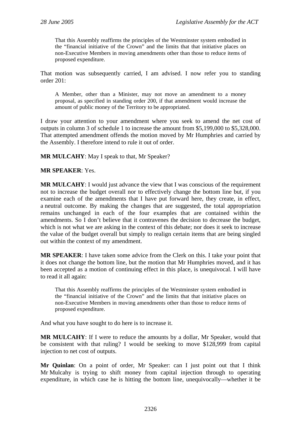That this Assembly reaffirms the principles of the Westminster system embodied in the "financial initiative of the Crown" and the limits that that initiative places on non-Executive Members in moving amendments other than those to reduce items of proposed expenditure.

That motion was subsequently carried, I am advised. I now refer you to standing order 201:

A Member, other than a Minister, may not move an amendment to a money proposal, as specified in standing order 200, if that amendment would increase the amount of public money of the Territory to be appropriated.

I draw your attention to your amendment where you seek to amend the net cost of outputs in column 3 of schedule 1 to increase the amount from \$5,199,000 to \$5,328,000. That attempted amendment offends the motion moved by Mr Humphries and carried by the Assembly. I therefore intend to rule it out of order.

**MR MULCAHY**: May I speak to that, Mr Speaker?

#### **MR SPEAKER**: Yes.

**MR MULCAHY**: I would just advance the view that I was conscious of the requirement not to increase the budget overall nor to effectively change the bottom line but, if you examine each of the amendments that I have put forward here, they create, in effect, a neutral outcome. By making the changes that are suggested, the total appropriation remains unchanged in each of the four examples that are contained within the amendments. So I don't believe that it contravenes the decision to decrease the budget, which is not what we are asking in the context of this debate; nor does it seek to increase the value of the budget overall but simply to realign certain items that are being singled out within the context of my amendment.

**MR SPEAKER**: I have taken some advice from the Clerk on this. I take your point that it does not change the bottom line, but the motion that Mr Humphries moved, and it has been accepted as a motion of continuing effect in this place, is unequivocal. I will have to read it all again:

That this Assembly reaffirms the principles of the Westminster system embodied in the "financial initiative of the Crown" and the limits that that initiative places on non-Executive Members in moving amendments other than those to reduce items of proposed expenditure.

And what you have sought to do here is to increase it.

**MR MULCAHY**: If I were to reduce the amounts by a dollar, Mr Speaker, would that be consistent with that ruling? I would be seeking to move \$128,999 from capital injection to net cost of outputs.

**Mr Quinlan**: On a point of order, Mr Speaker: can I just point out that I think Mr Mulcahy is trying to shift money from capital injection through to operating expenditure, in which case he is hitting the bottom line, unequivocally—whether it be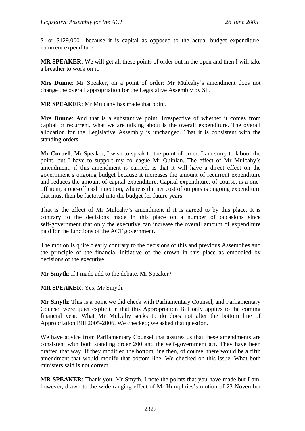\$1 or \$129,000—because it is capital as opposed to the actual budget expenditure, recurrent expenditure.

**MR SPEAKER**: We will get all these points of order out in the open and then I will take a breather to work on it.

**Mrs Dunne**: Mr Speaker, on a point of order: Mr Mulcahy's amendment does not change the overall appropriation for the Legislative Assembly by \$1.

**MR SPEAKER**: Mr Mulcahy has made that point.

**Mrs Dunne**: And that is a substantive point. Irrespective of whether it comes from capital or recurrent, what we are talking about is the overall expenditure. The overall allocation for the Legislative Assembly is unchanged. That it is consistent with the standing orders.

**Mr Corbell**: Mr Speaker, I wish to speak to the point of order. I am sorry to labour the point, but I have to support my colleague Mr Quinlan. The effect of Mr Mulcahy's amendment, if this amendment is carried, is that it will have a direct effect on the government's ongoing budget because it increases the amount of recurrent expenditure and reduces the amount of capital expenditure. Capital expenditure, of course, is a oneoff item, a one-off cash injection, whereas the net cost of outputs is ongoing expenditure that must then be factored into the budget for future years.

That is the effect of Mr Mulcahy's amendment if it is agreed to by this place. It is contrary to the decisions made in this place on a number of occasions since self-government that only the executive can increase the overall amount of expenditure paid for the functions of the ACT government.

The motion is quite clearly contrary to the decisions of this and previous Assemblies and the principle of the financial initiative of the crown in this place as embodied by decisions of the executive.

**Mr Smyth**: If I made add to the debate, Mr Speaker?

**MR SPEAKER**: Yes, Mr Smyth.

**Mr Smyth**: This is a point we did check with Parliamentary Counsel, and Parliamentary Counsel were quiet explicit in that this Appropriation Bill only applies to the coming financial year. What Mr Mulcahy seeks to do does not alter the bottom line of Appropriation Bill 2005-2006. We checked; we asked that question.

We have advice from Parliamentary Counsel that assures us that these amendments are consistent with both standing order 200 and the self-government act. They have been drafted that way. If they modified the bottom line then, of course, there would be a fifth amendment that would modify that bottom line. We checked on this issue. What both ministers said is not correct.

**MR SPEAKER**: Thank you, Mr Smyth. I note the points that you have made but I am, however, drawn to the wide-ranging effect of Mr Humphries's motion of 23 November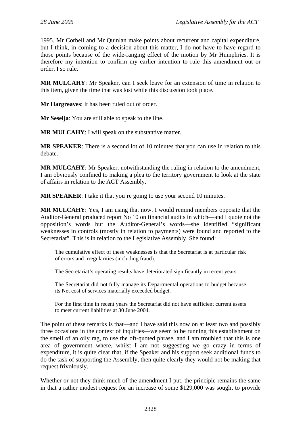1995. Mr Corbell and Mr Quinlan make points about recurrent and capital expenditure, but I think, in coming to a decision about this matter, I do not have to have regard to those points because of the wide-ranging effect of the motion by Mr Humphries. It is therefore my intention to confirm my earlier intention to rule this amendment out or order. I so rule.

**MR MULCAHY**: Mr Speaker, can I seek leave for an extension of time in relation to this item, given the time that was lost while this discussion took place.

**Mr Hargreaves**: It has been ruled out of order.

**Mr Seselja**: You are still able to speak to the line.

**MR MULCAHY**: I will speak on the substantive matter.

**MR SPEAKER**: There is a second lot of 10 minutes that you can use in relation to this debate.

**MR MULCAHY**: Mr Speaker, notwithstanding the ruling in relation to the amendment, I am obviously confined to making a plea to the territory government to look at the state of affairs in relation to the ACT Assembly.

**MR SPEAKER**: I take it that you're going to use your second 10 minutes.

**MR MULCAHY**: Yes, I am using that now. I would remind members opposite that the Auditor-General produced report No 10 on financial audits in which—and I quote not the opposition's words but the Auditor-General's words—she identified "significant weaknesses in controls (mostly in relation to payments) were found and reported to the Secretariat". This is in relation to the Legislative Assembly. She found:

The cumulative effect of these weaknesses is that the Secretariat is at particular risk of errors and irregularities (including fraud).

The Secretariat's operating results have deteriorated significantly in recent years.

The Secretariat did not fully manage its Departmental operations to budget because its Net cost of services materially exceeded budget.

For the first time in recent years the Secretariat did not have sufficient current assets to meet current liabilities at 30 June 2004.

The point of these remarks is that—and I have said this now on at least two and possibly three occasions in the context of inquiries—we seem to be running this establishment on the smell of an oily rag, to use the oft-quoted phrase, and I am troubled that this is one area of government where, whilst I am not suggesting we go crazy in terms of expenditure, it is quite clear that, if the Speaker and his support seek additional funds to do the task of supporting the Assembly, then quite clearly they would not be making that request frivolously.

Whether or not they think much of the amendment I put, the principle remains the same in that a rather modest request for an increase of some \$129,000 was sought to provide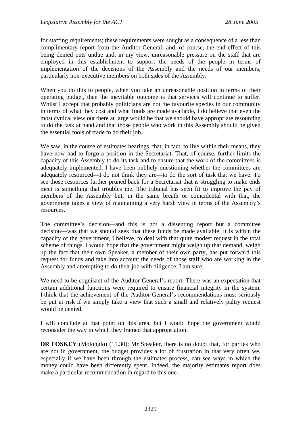for staffing requirements; these requirements were sought as a consequence of a less than complimentary report from the Auditor-General; and, of course, the end effect of this being denied puts undue and, in my view, unreasonable pressure on the staff that are employed in this establishment to support the needs of the people in terms of implementation of the decisions of the Assembly and the needs of our members, particularly non-executive members on both sides of the Assembly.

When you do this to people, when you take an unreasonable position in terms of their operating budget, then the inevitable outcome is that services will continue to suffer. Whilst I accept that probably politicians are not the favourite species in our community in terms of what they cost and what funds are made available, I do believe that even the most cynical view out there at large would be that we should have appropriate resourcing to do the task at hand and that those people who work in this Assembly should be given the essential tools of trade to do their job.

We saw, in the course of estimates hearings, that, in fact, to live within their means, they have now had to forgo a position in the Secretariat. That, of course, further limits the capacity of this Assembly to do its task and to ensure that the work of the committees is adequately implemented. I have been publicly questioning whether the committees are adequately resourced—I do not think they are—to do the sort of task that we have. To see those resources further pruned back for a Secretariat that is struggling to make ends meet is something that troubles me. The tribunal has seen fit to improve the pay of members of the Assembly but, in the same breath or coincidental with that, the government takes a view of maintaining a very harsh view in terms of the Assembly's resources.

The committee's decision—and this is not a dissenting report but a committee decision—was that we should seek that these funds be made available. It is within the capacity of the government, I believe, to deal with that quite modest request in the total scheme of things. I would hope that the government might weigh up that demand, weigh up the fact that their own Speaker, a member of their own party, has put forward this request for funds and take into account the needs of those staff who are working in the Assembly and attempting to do their job with diligence, I am sure.

We need to be cognisant of the Auditor-General's report. There was an expectation that certain additional functions were required to ensure financial integrity in the system. I think that the achievement of the Auditor-General's recommendations must seriously be put at risk if we simply take a view that such a small and relatively paltry request would be denied.

I will conclude at that point on this area, but I would hope the government would reconsider the way in which they framed that appropriation.

**DR FOSKEY** (Molonglo) (11.30): Mr Speaker, there is no doubt that, for parties who are not in government, the budget provides a lot of frustration in that very often we, especially if we have been through the estimates process, can see ways in which the money could have been differently spent. Indeed, the majority estimates report does make a particular recommendation in regard to this one.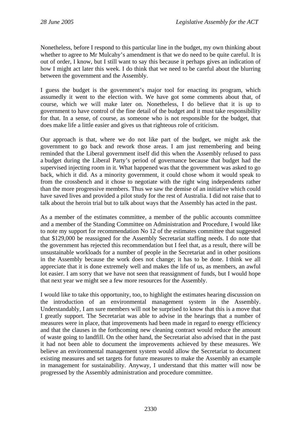Nonetheless, before I respond to this particular line in the budget, my own thinking about whether to agree to Mr Mulcahy's amendment is that we do need to be quite careful. It is out of order, I know, but I still want to say this because it perhaps gives an indication of how I might act later this week. I do think that we need to be careful about the blurring between the government and the Assembly.

I guess the budget is the government's major tool for enacting its program, which assumedly it went to the election with. We have got some comments about that, of course, which we will make later on. Nonetheless, I do believe that it is up to government to have control of the fine detail of the budget and it must take responsibility for that. In a sense, of course, as someone who is not responsible for the budget, that does make life a little easier and gives us that righteous role of criticism.

Our approach is that, where we do not like part of the budget, we might ask the government to go back and rework those areas. I am just remembering and being reminded that the Liberal government itself did this when the Assembly refused to pass a budget during the Liberal Party's period of governance because that budget had the supervised injecting room in it. What happened was that the government was asked to go back, which it did. As a minority government, it could chose whom it would speak to from the crossbench and it chose to negotiate with the right wing independents rather than the more progressive members. Thus we saw the demise of an initiative which could have saved lives and provided a pilot study for the rest of Australia. I did not raise that to talk about the heroin trial but to talk about ways that the Assembly has acted in the past.

As a member of the estimates committee, a member of the public accounts committee and a member of the Standing Committee on Administration and Procedure, I would like to note my support for recommendation No 12 of the estimates committee that suggested that \$129,000 be reassigned for the Assembly Secretariat staffing needs. I do note that the government has rejected this recommendation but I feel that, as a result, there will be unsustainable workloads for a number of people in the Secretariat and in other positions in the Assembly because the work does not change; it has to be done. I think we all appreciate that it is done extremely well and makes the life of us, as members, an awful lot easier. I am sorry that we have not seen that reassignment of funds, but I would hope that next year we might see a few more resources for the Assembly.

I would like to take this opportunity, too, to highlight the estimates hearing discussion on the introduction of an environmental management system in the Assembly. Understandably, I am sure members will not be surprised to know that this is a move that I greatly support. The Secretariat was able to advise in the hearings that a number of measures were in place, that improvements had been made in regard to energy efficiency and that the clauses in the forthcoming new cleaning contract would reduce the amount of waste going to landfill. On the other hand, the Secretariat also advised that in the past it had not been able to document the improvements achieved by these measures. We believe an environmental management system would allow the Secretariat to document existing measures and set targets for future measures to make the Assembly an example in management for sustainability. Anyway, I understand that this matter will now be progressed by the Assembly administration and procedure committee.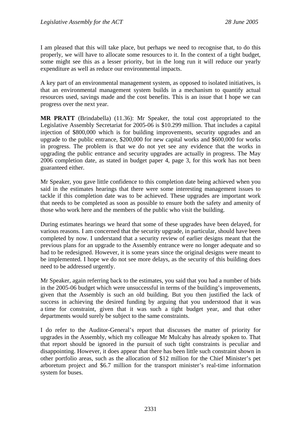I am pleased that this will take place, but perhaps we need to recognise that, to do this properly, we will have to allocate some resources to it. In the context of a tight budget, some might see this as a lesser priority, but in the long run it will reduce our yearly expenditure as well as reduce our environmental impacts.

A key part of an environmental management system, as opposed to isolated initiatives, is that an environmental management system builds in a mechanism to quantify actual resources used, savings made and the cost benefits. This is an issue that I hope we can progress over the next year.

**MR PRATT** (Brindabella) (11.36): Mr Speaker, the total cost appropriated to the Legislative Assembly Secretariat for 2005-06 is \$10.299 million. That includes a capital injection of \$800,000 which is for building improvements, security upgrades and an upgrade to the public entrance, \$200,000 for new capital works and \$600,000 for works in progress. The problem is that we do not yet see any evidence that the works in upgrading the public entrance and security upgrades are actually in progress. The May 2006 completion date, as stated in budget paper 4, page 3, for this work has not been guaranteed either.

Mr Speaker, you gave little confidence to this completion date being achieved when you said in the estimates hearings that there were some interesting management issues to tackle if this completion date was to be achieved. These upgrades are important work that needs to be completed as soon as possible to ensure both the safety and amenity of those who work here and the members of the public who visit the building.

During estimates hearings we heard that some of these upgrades have been delayed, for various reasons. I am concerned that the security upgrade, in particular, should have been completed by now. I understand that a security review of earlier designs meant that the previous plans for an upgrade to the Assembly entrance were no longer adequate and so had to be redesigned. However, it is some years since the original designs were meant to be implemented. I hope we do not see more delays, as the security of this building does need to be addressed urgently.

Mr Speaker, again referring back to the estimates, you said that you had a number of bids in the 2005-06 budget which were unsuccessful in terms of the building's improvements, given that the Assembly is such an old building. But you then justified the lack of success in achieving the desired funding by arguing that you understood that it was a time for constraint, given that it was such a tight budget year, and that other departments would surely be subject to the same constraints.

I do refer to the Auditor-General's report that discusses the matter of priority for upgrades in the Assembly, which my colleague Mr Mulcahy has already spoken to. That that report should be ignored in the pursuit of such tight constraints is peculiar and disappointing. However, it does appear that there has been little such constraint shown in other portfolio areas, such as the allocation of \$12 million for the Chief Minister's pet arboretum project and \$6.7 million for the transport minister's real-time information system for buses.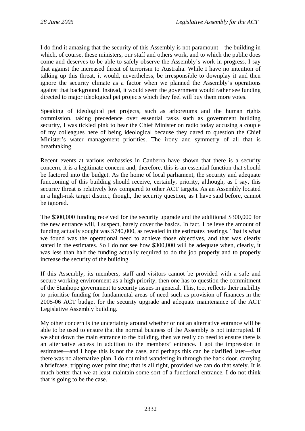I do find it amazing that the security of this Assembly is not paramount—the building in which, of course, these ministers, our staff and others work, and to which the public does come and deserves to be able to safely observe the Assembly's work in progress. I say that against the increased threat of terrorism to Australia. While I have no intention of talking up this threat, it would, nevertheless, be irresponsible to downplay it and then ignore the security climate as a factor when we planned the Assembly's operations against that background. Instead, it would seem the government would rather see funding directed to major ideological pet projects which they feel will buy them more votes.

Speaking of ideological pet projects, such as arboretums and the human rights commission, taking precedence over essential tasks such as government building security, I was tickled pink to hear the Chief Minister on radio today accusing a couple of my colleagues here of being ideological because they dared to question the Chief Minister's water management priorities. The irony and symmetry of all that is breathtaking.

Recent events at various embassies in Canberra have shown that there is a security concern, it is a legitimate concern and, therefore, this is an essential function that should be factored into the budget. As the home of local parliament, the security and adequate functioning of this building should receive, certainly, priority, although, as I say, this security threat is relatively low compared to other ACT targets. As an Assembly located in a high-risk target district, though, the security question, as I have said before, cannot be ignored.

The \$300,000 funding received for the security upgrade and the additional \$300,000 for the new entrance will, I suspect, barely cover the basics. In fact, I believe the amount of funding actually sought was \$740,000, as revealed in the estimates hearings. That is what we found was the operational need to achieve those objectives, and that was clearly stated in the estimates. So I do not see how \$300,000 will be adequate when, clearly, it was less than half the funding actually required to do the job properly and to properly increase the security of the building.

If this Assembly, its members, staff and visitors cannot be provided with a safe and secure working environment as a high priority, then one has to question the commitment of the Stanhope government to security issues in general. This, too, reflects their inability to prioritise funding for fundamental areas of need such as provision of finances in the 2005-06 ACT budget for the security upgrade and adequate maintenance of the ACT Legislative Assembly building.

My other concern is the uncertainty around whether or not an alternative entrance will be able to be used to ensure that the normal business of the Assembly is not interrupted. If we shut down the main entrance to the building, then we really do need to ensure there is an alternative access in addition to the members' entrance. I got the impression in estimates—and I hope this is not the case, and perhaps this can be clarified later—that there was no alternative plan. I do not mind wandering in through the back door, carrying a briefcase, tripping over paint tins; that is all right, provided we can do that safely. It is much better that we at least maintain some sort of a functional entrance. I do not think that is going to be the case.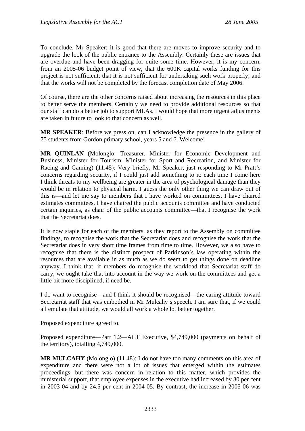To conclude, Mr Speaker: it is good that there are moves to improve security and to upgrade the look of the public entrance to the Assembly. Certainly these are issues that are overdue and have been dragging for quite some time. However, it is my concern, from an 2005-06 budget point of view, that the 600K capital works funding for this project is not sufficient; that it is not sufficient for undertaking such work properly; and that the works will not be completed by the forecast completion date of May 2006.

Of course, there are the other concerns raised about increasing the resources in this place to better serve the members. Certainly we need to provide additional resources so that our staff can do a better job to support MLAs. I would hope that more urgent adjustments are taken in future to look to that concern as well.

**MR SPEAKER**: Before we press on, can I acknowledge the presence in the gallery of 75 students from Gordon primary school, years 5 and 6. Welcome!

**MR QUINLAN** (Molonglo—Treasurer, Minister for Economic Development and Business, Minister for Tourism, Minister for Sport and Recreation, and Minister for Racing and Gaming) (11.45): Very briefly, Mr Speaker, just responding to Mr Pratt's concerns regarding security, if I could just add something to it: each time I come here I think threats to my wellbeing are greater in the area of psychological damage than they would be in relation to physical harm. I guess the only other thing we can draw out of this is—and let me say to members that I have worked on committees, I have chaired estimates committees, I have chaired the public accounts committee and have conducted certain inquiries, as chair of the public accounts committee—that I recognise the work that the Secretariat does.

It is now staple for each of the members, as they report to the Assembly on committee findings, to recognise the work that the Secretariat does and recognise the work that the Secretariat does in very short time frames from time to time. However, we also have to recognise that there is the distinct prospect of Parkinson's law operating within the resources that are available in as much as we do seem to get things done on deadline anyway. I think that, if members do recognise the workload that Secretariat staff do carry, we ought take that into account in the way we work on the committees and get a little bit more disciplined, if need be.

I do want to recognise—and I think it should be recognised—the caring attitude toward Secretariat staff that was embodied in Mr Mulcahy's speech. I am sure that, if we could all emulate that attitude, we would all work a whole lot better together.

Proposed expenditure agreed to.

Proposed expenditure—Part 1.2—ACT Executive, \$4,749,000 (payments on behalf of the territory), totalling 4,749,000.

**MR MULCAHY** (Molonglo) (11.48): I do not have too many comments on this area of expenditure and there were not a lot of issues that emerged within the estimates proceedings, but there was concern in relation to this matter, which provides the ministerial support, that employee expenses in the executive had increased by 30 per cent in 2003-04 and by 24.5 per cent in 2004-05. By contrast, the increase in 2005-06 was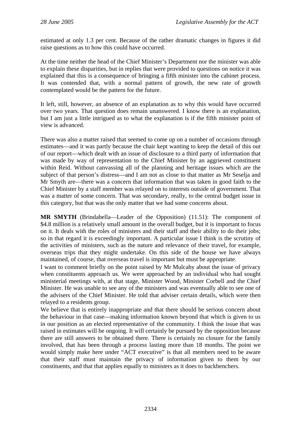estimated at only 1.3 per cent. Because of the rather dramatic changes in figures it did raise questions as to how this could have occurred.

At the time neither the head of the Chief Minister's Department nor the minister was able to explain these disparities, but in replies that were provided to questions on notice it was explained that this is a consequence of bringing a fifth minister into the cabinet process. It was contended that, with a normal pattern of growth, the new rate of growth contemplated would be the pattern for the future.

It left, still, however, an absence of an explanation as to why this would have occurred over two years. That question does remain unanswered. I know there is an explanation, but I am just a little intrigued as to what the explanation is if the fifth minister point of view is advanced.

There was also a matter raised that seemed to come up on a number of occasions through estimates—and it was partly because the chair kept wanting to keep the detail of this out of our report—which dealt with an issue of disclosure to a third party of information that was made by way of representation to the Chief Minister by an aggrieved constituent within Reid. Without canvassing all of the planning and heritage issues which are the subject of that person's distress—and I am not as close to that matter as Mr Seselja and Mr Smyth are—there was a concern that information that was taken in good faith to the Chief Minister by a staff member was relayed on to interests outside of government. That was a matter of some concern. That was secondary, really, to the central budget issue in this category, but that was the only matter that we had some concerns about.

**MR SMYTH** (Brindabella—Leader of the Opposition) (11.51): The component of \$4.8 million is a relatively small amount in the overall budget, but it is important to focus on it. It deals with the roles of ministers and their staff and their ability to do their jobs; so in that regard it is exceedingly important. A particular issue I think is the scrutiny of the activities of ministers, such as the nature and relevance of their travel, for example, overseas trips that they might undertake. On this side of the house we have always maintained, of course, that overseas travel is important but must be appropriate.

I want to comment briefly on the point raised by Mr Mulcahy about the issue of privacy when constituents approach us. We were approached by an individual who had sought ministerial meetings with, at that stage, Minister Wood, Minister Corbell and the Chief Minister. He was unable to see any of the ministers and was eventually able to see one of the advisers of the Chief Minister. He told that adviser certain details, which were then relayed to a residents group.

We believe that is entirely inappropriate and that there should be serious concern about the behaviour in that case—making information known beyond that which is given to us in our position as an elected representative of the community. I think the issue that was raised in estimates will be ongoing. It will certainly be pursued by the opposition because there are still answers to be obtained there. There is certainly no closure for the family involved, that has been through a process lasting more than 18 months. The point we would simply make here under "ACT executive" is that all members need to be aware that their staff must maintain the privacy of information given to them by our constituents, and that that applies equally to ministers as it does to backbenchers.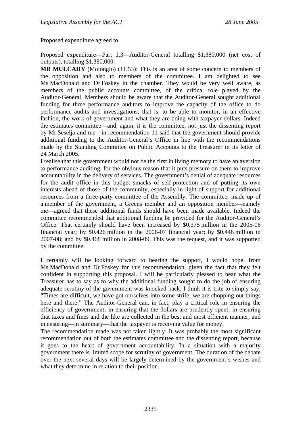Proposed expenditure agreed to.

Proposed expenditure—Part 1.3—Auditor-General totalling \$1,380,000 (net cost of outputs), totalling \$1,380,000.

**MR MULCAHY** (Molonglo) (11.53): This is an area of some concern to members of the opposition and also to members of the committee. I am delighted to see Ms MacDonald and Dr Foskey in the chamber. They would be very well aware, as members of the public accounts committee, of the critical role played by the Auditor-General. Members should be aware that the Auditor-General sought additional funding for three performance auditors to improve the capacity of the office to do performance audits and investigations; that is, to be able to monitor, in an effective fashion, the work of government and what they are doing with taxpayer dollars. Indeed the estimates committee—and, again, it is the committee, not just the dissenting report by Mr Seselja and me—in recommendation 11 said that the government should provide additional funding to the Auditor-General's Office in line with the recommendations made by the Standing Committee on Public Accounts to the Treasurer in its letter of 24 March 2005.

I realise that this government would not be the first in living memory to have an aversion to performance auditing, for the obvious reason that it puts pressure on them to improve accountability in the delivery of services. The government's denial of adequate resources for the audit office in this budget smacks of self-protection and of putting its own interests ahead of those of the community, especially in light of support for additional resources from a three-party committee of the Assembly. The committee, made up of a member of the government, a Greens member and an opposition member—namely me—agreed that these additional funds should have been made available. Indeed the committee recommended that additional funding be provided for the Auditor-General's Office. That certainly should have been increased by \$0.375 million in the 2005-06 financial year; by \$0.426 million in the 2006-07 financial year; by \$0.446 million in 2007-08; and by \$0.468 million in 2008-09. This was the request, and it was supported by the committee.

I certainly will be looking forward to hearing the support, I would hope, from Ms MacDonald and Dr Foskey for this recommendation, given the fact that they felt confident in supporting this proposal. I will be particularly pleased to hear what the Treasurer has to say as to why the additional funding sought to do the job of ensuring adequate scrutiny of the government was knocked back. I think it is trite to simply say, "Times are difficult, we have got ourselves into some strife; we are chopping out things here and there." The Auditor-General can, in fact, play a critical role in ensuring the efficiency of government; in ensuring that the dollars are prudently spent; in ensuring that taxes and fines and the like are collected in the best and most efficient manner; and in ensuring—in summary—that the taxpayer is receiving value for money.

The recommendation made was not taken lightly. It was probably the most significant recommendation out of both the estimates committee and the dissenting report, because it goes to the heart of government accountability. In a situation with a majority government there is limited scope for scrutiny of government. The duration of the debate over the next several days will be largely determined by the government's wishes and what they determine in relation to their position.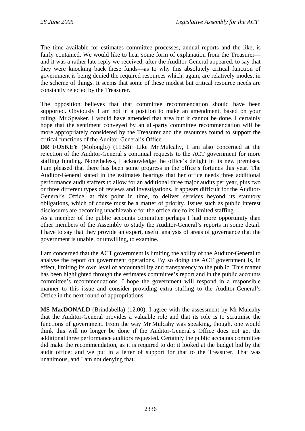The time available for estimates committee processes, annual reports and the like, is fairly contained. We would like to hear some form of explanation from the Treasurer and it was a rather late reply we received, after the Auditor-General appeared, to say that they were knocking back these funds—as to why this absolutely critical function of government is being denied the required resources which, again, are relatively modest in the scheme of things. It seems that some of these modest but critical resource needs are constantly rejected by the Treasurer.

The opposition believes that that committee recommendation should have been supported. Obviously I am not in a position to make an amendment, based on your ruling, Mr Speaker. I would have amended that area but it cannot be done. I certainly hope that the sentiment conveyed by an all-party committee recommendation will be more appropriately considered by the Treasurer and the resources found to support the critical functions of the Auditor-General's Office.

**DR FOSKEY** (Molonglo) (11.58): Like Mr Mulcahy, I am also concerned at the rejection of the Auditor-General's continual requests to the ACT government for more staffing funding. Nonetheless, I acknowledge the office's delight in its new premises. I am pleased that there has been some progress in the office's fortunes this year. The Auditor-General stated in the estimates hearings that her office needs three additional performance audit staffers to allow for an additional three major audits per year, plus two or three different types of reviews and investigations. It appears difficult for the Auditor-General's Office, at this point in time, to deliver services beyond its statutory obligations, which of course must be a matter of priority. Issues such as public interest disclosures are becoming unachievable for the office due to its limited staffing.

As a member of the public accounts committee perhaps I had more opportunity than other members of the Assembly to study the Auditor-General's reports in some detail. I have to say that they provide an expert, useful analysis of areas of governance that the government is unable, or unwilling, to examine.

I am concerned that the ACT government is limiting the ability of the Auditor-General to analyse the report on government operations. By so doing the ACT government is, in effect, limiting its own level of accountability and transparency to the public. This matter has been highlighted through the estimates committee's report and in the public accounts committee's recommendations. I hope the government will respond in a responsible manner to this issue and consider providing extra staffing to the Auditor-General's Office in the next round of appropriations.

**MS MacDONALD** (Brindabella) (12.00): I agree with the assessment by Mr Mulcahy that the Auditor-General provides a valuable role and that its role is to scrutinise the functions of government. From the way Mr Mulcahy was speaking, though, one would think this will no longer be done if the Auditor-General's Office does not get the additional three performance auditors requested. Certainly the public accounts committee did make the recommendation, as it is required to do; it looked at the budget bid by the audit office; and we put in a letter of support for that to the Treasurer. That was unanimous, and I am not denying that.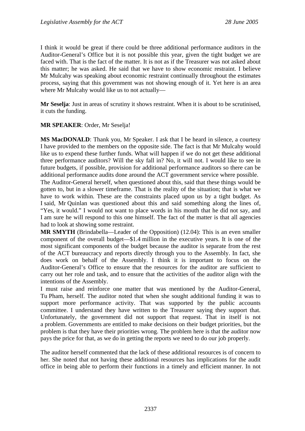I think it would be great if there could be three additional performance auditors in the Auditor-General's Office but it is not possible this year, given the tight budget we are faced with. That is the fact of the matter. It is not as if the Treasurer was not asked about this matter; he was asked. He said that we have to show economic restraint. I believe Mr Mulcahy was speaking about economic restraint continually throughout the estimates process, saying that this government was not showing enough of it. Yet here is an area where Mr Mulcahy would like us to not actually—

**Mr Seselja**: Just in areas of scrutiny it shows restraint. When it is about to be scrutinised, it cuts the funding.

#### **MR SPEAKER**: Order, Mr Seselja!

**MS MacDONALD**: Thank you, Mr Speaker. I ask that I be heard in silence, a courtesy I have provided to the members on the opposite side. The fact is that Mr Mulcahy would like us to expend these further funds. What will happen if we do not get these additional three performance auditors? Will the sky fall in? No, it will not. I would like to see in future budgets, if possible, provision for additional performance auditors so there can be additional performance audits done around the ACT government service where possible.

The Auditor-General herself, when questioned about this, said that these things would be gotten to, but in a slower timeframe. That is the reality of the situation; that is what we have to work within. These are the constraints placed upon us by a tight budget. As I said, Mr Quinlan was questioned about this and said something along the lines of, "Yes, it would." I would not want to place words in his mouth that he did not say, and I am sure he will respond to this one himself. The fact of the matter is that all agencies had to look at showing some restraint.

**MR SMYTH** (Brindabella—Leader of the Opposition) (12.04): This is an even smaller component of the overall budget—\$1.4 million in the executive years. It is one of the most significant components of the budget because the auditor is separate from the rest of the ACT bureaucracy and reports directly through you to the Assembly. In fact, she does work on behalf of the Assembly. I think it is important to focus on the Auditor-General's Office to ensure that the resources for the auditor are sufficient to carry out her role and task, and to ensure that the activities of the auditor align with the intentions of the Assembly.

I must raise and reinforce one matter that was mentioned by the Auditor-General, Tu Pham, herself. The auditor noted that when she sought additional funding it was to support more performance activity. That was supported by the public accounts committee. I understand they have written to the Treasurer saying they support that. Unfortunately, the government did not support that request. That in itself is not a problem. Governments are entitled to make decisions on their budget priorities, but the problem is that they have their priorities wrong. The problem here is that the auditor now pays the price for that, as we do in getting the reports we need to do our job properly.

The auditor herself commented that the lack of these additional resources is of concern to her. She noted that not having these additional resources has implications for the audit office in being able to perform their functions in a timely and efficient manner. In not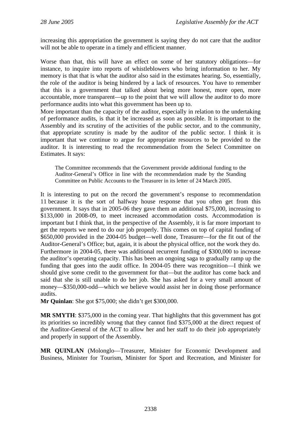increasing this appropriation the government is saying they do not care that the auditor will not be able to operate in a timely and efficient manner.

Worse than that, this will have an effect on some of her statutory obligations—for instance, to inquire into reports of whistleblowers who bring information to her. My memory is that that is what the auditor also said in the estimates hearing. So, essentially, the role of the auditor is being hindered by a lack of resources. You have to remember that this is a government that talked about being more honest, more open, more accountable, more transparent—up to the point that we will allow the auditor to do more performance audits into what this government has been up to.

More important than the capacity of the auditor, especially in relation to the undertaking of performance audits, is that it be increased as soon as possible. It is important to the Assembly and its scrutiny of the activities of the public sector, and to the community, that appropriate scrutiny is made by the auditor of the public sector. I think it is important that we continue to argue for appropriate resources to be provided to the auditor. It is interesting to read the recommendation from the Select Committee on Estimates. It says:

The Committee recommends that the Government provide additional funding to the Auditor-General's Office in line with the recommendation made by the Standing Committee on Public Accounts to the Treasurer in its letter of 24 March 2005.

It is interesting to put on the record the government's response to recommendation 11 because it is the sort of halfway house response that you often get from this government. It says that in 2005-06 they gave them an additional \$75,000, increasing to \$133,000 in 2008-09, to meet increased accommodation costs. Accommodation is important but I think that, in the perspective of the Assembly, it is far more important to get the reports we need to do our job properly. This comes on top of capital funding of \$650,000 provided in the 2004-05 budget—well done, Treasurer—for the fit out of the Auditor-General's Office; but, again, it is about the physical office, not the work they do. Furthermore in 2004-05, there was additional recurrent funding of \$300,000 to increase the auditor's operating capacity. This has been an ongoing saga to gradually ramp up the funding that goes into the audit office. In 2004-05 there was recognition—I think we should give some credit to the government for that—but the auditor has come back and said that she is still unable to do her job. She has asked for a very small amount of money—\$350,000-odd—which we believe would assist her in doing those performance audits.

**Mr Quinlan**: She got \$75,000; she didn't get \$300,000.

**MR SMYTH**: \$375,000 in the coming year. That highlights that this government has got its priorities so incredibly wrong that they cannot find \$375,000 at the direct request of the Auditor-General of the ACT to allow her and her staff to do their job appropriately and properly in support of the Assembly.

**MR QUINLAN** (Molonglo—Treasurer, Minister for Economic Development and Business, Minister for Tourism, Minister for Sport and Recreation, and Minister for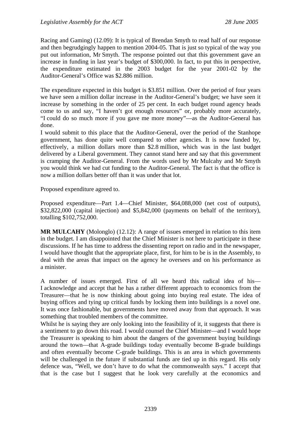Racing and Gaming) (12.09): It is typical of Brendan Smyth to read half of our response and then begrudgingly happen to mention 2004-05. That is just so typical of the way you put out information, Mr Smyth. The response pointed out that this government gave an increase in funding in last year's budget of \$300,000. In fact, to put this in perspective, the expenditure estimated in the 2003 budget for the year 2001-02 by the Auditor-General's Office was \$2.886 million.

The expenditure expected in this budget is \$3.851 million. Over the period of four years we have seen a million dollar increase in the Auditor-General's budget; we have seen it increase by something in the order of 25 per cent. In each budget round agency heads come to us and say, "I haven't got enough resources" or, probably more accurately, "I could do so much more if you gave me more money"—as the Auditor-General has done.

I would submit to this place that the Auditor-General, over the period of the Stanhope government, has done quite well compared to other agencies. It is now funded by, effectively, a million dollars more than \$2.8 million, which was in the last budget delivered by a Liberal government. They cannot stand here and say that this government is cramping the Auditor-General. From the words used by Mr Mulcahy and Mr Smyth you would think we had cut funding to the Auditor-General. The fact is that the office is now a million dollars better off than it was under that lot.

Proposed expenditure agreed to.

Proposed expenditure—Part 1.4—Chief Minister, \$64,088,000 (net cost of outputs), \$32,822,000 (capital injection) and \$5,842,000 (payments on behalf of the territory), totalling \$102,752,000.

**MR MULCAHY** (Molonglo) (12.12): A range of issues emerged in relation to this item in the budget. I am disappointed that the Chief Minister is not here to participate in these discussions. If he has time to address the dissenting report on radio and in the newspaper, I would have thought that the appropriate place, first, for him to be is in the Assembly, to deal with the areas that impact on the agency he oversees and on his performance as a minister.

A number of issues emerged. First of all we heard this radical idea of his— I acknowledge and accept that he has a rather different approach to economics from the Treasurer—that he is now thinking about going into buying real estate. The idea of buying offices and tying up critical funds by locking them into buildings is a novel one. It was once fashionable, but governments have moved away from that approach. It was something that troubled members of the committee.

Whilst he is saying they are only looking into the feasibility of it, it suggests that there is a sentiment to go down this road. I would counsel the Chief Minister—and I would hope the Treasurer is speaking to him about the dangers of the government buying buildings around the town—that A-grade buildings today eventually become B-grade buildings and often eventually become C-grade buildings. This is an area in which governments will be challenged in the future if substantial funds are tied up in this regard. His only defence was, "Well, we don't have to do what the commonwealth says." I accept that that is the case but I suggest that he look very carefully at the economics and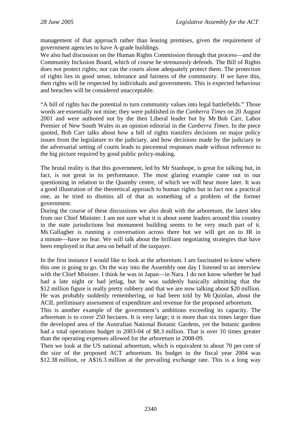management of that approach rather than leasing premises, given the requirement of government agencies to have A-grade buildings.

We also had discussion on the Human Rights Commission through that process—and the Community Inclusion Board, which of course he strenuously defends. The Bill of Rights does not protect rights; nor can the courts alone adequately protect them. The protection of rights lies in good sense, tolerance and fairness of the community. If we have this, then rights will be respected by individuals and governments. This is expected behaviour and breaches will be considered unacceptable.

"A bill of rights has the potential to turn community values into legal battlefields." Those words are essentially not mine; they were published in the *Canberra Times* on 20 August 2001 and were authored not by the then Liberal leader but by Mr Bob Carr, Labor Premier of New South Wales in an opinion editorial in the *Canberra Times*. In the piece quoted, Bob Carr talks about how a bill of rights transfers decisions on major policy issues from the legislature to the judiciary, and how decisions made by the judiciary in the adversarial setting of courts leads to piecemeal responses made without reference to the big picture required by good public policy-making.

The brutal reality is that this government, led by Mr Stanhope, is great for talking but, in fact, is not great in its performance. The most glaring example came out in our questioning in relation to the Quamby centre, of which we will hear more later. It was a good illustration of the theoretical approach to human rights but in fact not a practical one, as he tried to dismiss all of that as something of a problem of the former government.

During the course of these discussions we also dealt with the arboretum, the latest idea from our Chief Minister. I am not sure what it is about some leaders around this country in the state jurisdictions but monument building seems to be very much part of it. Ms Gallagher is running a conversation across there but we will get on to IR in a minute—have no fear. We will talk about the brilliant negotiating strategies that have been employed in that area on behalf of the taxpayer.

In the first instance I would like to look at the arboretum. I am fascinated to know where this one is going to go. On the way into the Assembly one day I listened to an interview with the Chief Minister. I think he was in Japan—in Nara. I do not know whether he had had a late night or had jetlag, but he was suddenly basically admitting that the \$12 million figure is really pretty rubbery and that we are now talking about \$20 million. He was probably suddenly remembering, or had been told by Mr Quinlan, about the ACIL preliminary assessment of expenditure and revenue for the proposed arboretum.

This is another example of the government's ambitions exceeding its capacity. The arboretum is to cover 250 hectares. It is very large; it is more than six times larger than the developed area of the Australian National Botanic Gardens, yet the botanic gardens had a total operations budget in 2003-04 of \$8.3 million. That is over 10 times greater than the operating expenses allowed for the arboretum in 2008-09.

Then we look at the US national arboretum, which is equivalent to about 70 per cent of the size of the proposed ACT arboretum. Its budget in the fiscal year 2004 was \$12.38 million, or A\$16.3 million at the prevailing exchange rate. This is a long way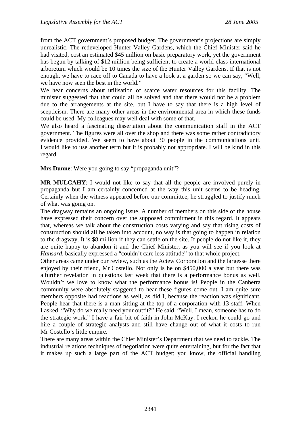from the ACT government's proposed budget. The government's projections are simply unrealistic. The redeveloped Hunter Valley Gardens, which the Chief Minister said he had visited, cost an estimated \$45 million on basic preparatory work, yet the government has begun by talking of \$12 million being sufficient to create a world-class international arboretum which would be 10 times the size of the Hunter Valley Gardens. If that is not enough, we have to race off to Canada to have a look at a garden so we can say, "Well, we have now seen the best in the world."

We hear concerns about utilisation of scarce water resources for this facility. The minister suggested that that could all be solved and that there would not be a problem due to the arrangements at the site, but I have to say that there is a high level of scepticism. There are many other areas in the environmental area in which these funds could be used. My colleagues may well deal with some of that.

We also heard a fascinating dissertation about the communication staff in the ACT government. The figures were all over the shop and there was some rather contradictory evidence provided. We seem to have about 30 people in the communications unit. I would like to use another term but it is probably not appropriate. I will be kind in this regard.

**Mrs Dunne**: Were you going to say "propaganda unit"?

**MR MULCAHY**: I would not like to say that all the people are involved purely in propaganda but I am certainly concerned at the way this unit seems to be heading. Certainly when the witness appeared before our committee, he struggled to justify much of what was going on.

The dragway remains an ongoing issue. A number of members on this side of the house have expressed their concern over the supposed commitment in this regard. It appears that, whereas we talk about the construction costs varying and say that rising costs of construction should all be taken into account, no way is that going to happen in relation to the dragway. It is \$8 million if they can settle on the site. If people do not like it, they are quite happy to abandon it and the Chief Minister, as you will see if you look at *Hansard*, basically expressed a "couldn't care less attitude" to that whole project.

Other areas came under our review, such as the Actew Corporation and the largesse there enjoyed by their friend, Mr Costello. Not only is he on \$450,000 a year but there was a further revelation in questions last week that there is a performance bonus as well. Wouldn't we love to know what the performance bonus is! People in the Canberra community were absolutely staggered to hear these figures come out. I am quite sure members opposite had reactions as well, as did I, because the reaction was significant. People hear that there is a man sitting at the top of a corporation with 13 staff. When I asked, "Why do we really need your outfit?" He said, "Well, I mean, someone has to do the strategic work." I have a fair bit of faith in John McKay. I reckon he could go and hire a couple of strategic analysts and still have change out of what it costs to run Mr Costello's little empire.

There are many areas within the Chief Minister's Department that we need to tackle. The industrial relations techniques of negotiation were quite entertaining, but for the fact that it makes up such a large part of the ACT budget; you know, the official handling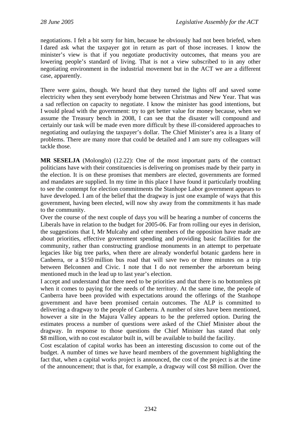negotiations. I felt a bit sorry for him, because he obviously had not been briefed, when I dared ask what the taxpayer got in return as part of those increases. I know the minister's view is that if you negotiate productivity outcomes, that means you are lowering people's standard of living. That is not a view subscribed to in any other negotiating environment in the industrial movement but in the ACT we are a different case, apparently.

There were gains, though. We heard that they turned the lights off and saved some electricity when they sent everybody home between Christmas and New Year. That was a sad reflection on capacity to negotiate. I know the minister has good intentions, but I would plead with the government: try to get better value for money because, when we assume the Treasury bench in 2008, I can see that the disaster will compound and certainly our task will be made even more difficult by these ill-considered approaches to negotiating and outlaying the taxpayer's dollar. The Chief Minister's area is a litany of problems. There are many more that could be detailed and I am sure my colleagues will tackle those.

**MR SESELJA** (Molonglo) (12.22): One of the most important parts of the contract politicians have with their constituencies is delivering on promises made by their party in the election. It is on these promises that members are elected, governments are formed and mandates are supplied. In my time in this place I have found it particularly troubling to see the contempt for election commitments the Stanhope Labor government appears to have developed. I am of the belief that the dragway is just one example of ways that this government, having been elected, will now shy away from the commitments it has made to the community.

Over the course of the next couple of days you will be hearing a number of concerns the Liberals have in relation to the budget for 2005-06. Far from rolling our eyes in derision, the suggestions that I, Mr Mulcahy and other members of the opposition have made are about priorities, effective government spending and providing basic facilities for the community, rather than constructing grandiose monuments in an attempt to perpetuate legacies like big tree parks, when there are already wonderful botanic gardens here in Canberra, or a \$150 million bus road that will save two or three minutes on a trip between Belconnen and Civic. I note that I do not remember the arboretum being mentioned much in the lead up to last year's election.

I accept and understand that there need to be priorities and that there is no bottomless pit when it comes to paying for the needs of the territory. At the same time, the people of Canberra have been provided with expectations around the offerings of the Stanhope government and have been promised certain outcomes. The ALP is committed to delivering a dragway to the people of Canberra. A number of sites have been mentioned, however a site in the Majura Valley appears to be the preferred option. During the estimates process a number of questions were asked of the Chief Minister about the dragway. In response to those questions the Chief Minister has stated that only \$8 million, with no cost escalator built in, will be available to build the facility.

Cost escalation of capital works has been an interesting discussion to come out of the budget. A number of times we have heard members of the government highlighting the fact that, when a capital works project is announced, the cost of the project is at the time of the announcement; that is that, for example, a dragway will cost \$8 million. Over the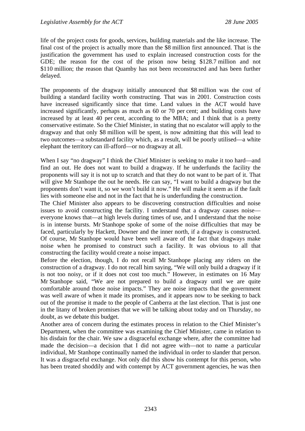life of the project costs for goods, services, building materials and the like increase. The final cost of the project is actually more than the \$8 million first announced. That is the justification the government has used to explain increased construction costs for the GDE; the reason for the cost of the prison now being \$128.7 million and not \$110 million; the reason that Quamby has not been reconstructed and has been further delayed.

The proponents of the dragway initially announced that \$8 million was the cost of building a standard facility worth constructing. That was in 2001. Construction costs have increased significantly since that time. Land values in the ACT would have increased significantly, perhaps as much as 60 or 70 per cent; and building costs have increased by at least 40 per cent, according to the MBA; and I think that is a pretty conservative estimate. So the Chief Minister, in stating that no escalator will apply to the dragway and that only \$8 million will be spent, is now admitting that this will lead to two outcomes—a substandard facility which, as a result, will be poorly utilised—a white elephant the territory can ill-afford—or no dragway at all.

When I say "no dragway" I think the Chief Minister is seeking to make it too hard—and find an out. He does not want to build a dragway. If he underfunds the facility the proponents will say it is not up to scratch and that they do not want to be part of it. That will give Mr Stanhope the out he needs. He can say, "I want to build a dragway but the proponents don't want it, so we won't build it now." He will make it seem as if the fault lies with someone else and not in the fact that he is underfunding the construction.

The Chief Minister also appears to be discovering construction difficulties and noise issues to avoid constructing the facility. I understand that a dragway causes noise everyone knows that—at high levels during times of use, and I understand that the noise is in intense bursts. Mr Stanhope spoke of some of the noise difficulties that may be faced, particularly by Hackett, Downer and the inner north, if a dragway is constructed. Of course, Mr Stanhope would have been well aware of the fact that dragways make noise when he promised to construct such a facility. It was obvious to all that constructing the facility would create a noise impact.

Before the election, though, I do not recall Mr Stanhope placing any riders on the construction of a dragway. I do not recall him saying, "We will only build a dragway if it is not too noisy, or if it does not cost too much." However, in estimates on 16 May Mr Stanhope said, "We are not prepared to build a dragway until we are quite comfortable around those noise impacts." They are noise impacts that the government was well aware of when it made its promises, and it appears now to be seeking to back out of the promise it made to the people of Canberra at the last election. That is just one in the litany of broken promises that we will be talking about today and on Thursday, no doubt, as we debate this budget.

Another area of concern during the estimates process in relation to the Chief Minister's Department, when the committee was examining the Chief Minister, came in relation to his disdain for the chair. We saw a disgraceful exchange where, after the committee had made the decision—a decision that I did not agree with—not to name a particular individual, Mr Stanhope continually named the individual in order to slander that person. It was a disgraceful exchange. Not only did this show his contempt for this person, who has been treated shoddily and with contempt by ACT government agencies, he was then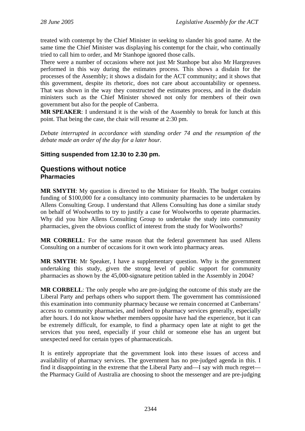<span id="page-33-0"></span>treated with contempt by the Chief Minister in seeking to slander his good name. At the same time the Chief Minister was displaying his contempt for the chair, who continually tried to call him to order, and Mr Stanhope ignored those calls.

There were a number of occasions where not just Mr Stanhope but also Mr Hargreaves performed in this way during the estimates process. This shows a disdain for the processes of the Assembly; it shows a disdain for the ACT community; and it shows that this government, despite its rhetoric, does not care about accountability or openness. That was shown in the way they constructed the estimates process, and in the disdain ministers such as the Chief Minister showed not only for members of their own government but also for the people of Canberra.

**MR SPEAKER**: I understand it is the wish of the Assembly to break for lunch at this point. That being the case, the chair will resume at 2:30 pm.

*Debate interrupted in accordance with standing order 74 and the resumption of the debate made an order of the day for a later hour.* 

### **Sitting suspended from 12.30 to 2.30 pm.**

## **Questions without notice Pharmacies**

**MR SMYTH**: My question is directed to the Minister for Health. The budget contains funding of \$100,000 for a consultancy into community pharmacies to be undertaken by Allens Consulting Group. I understand that Allens Consulting has done a similar study on behalf of Woolworths to try to justify a case for Woolworths to operate pharmacies. Why did you hire Allens Consulting Group to undertake the study into community pharmacies, given the obvious conflict of interest from the study for Woolworths?

**MR CORBELL**: For the same reason that the federal government has used Allens Consulting on a number of occasions for it own work into pharmacy areas.

**MR SMYTH**: Mr Speaker, I have a supplementary question. Why is the government undertaking this study, given the strong level of public support for community pharmacies as shown by the 45,000-signature petition tabled in the Assembly in 2004?

**MR CORBELL**: The only people who are pre-judging the outcome of this study are the Liberal Party and perhaps others who support them. The government has commissioned this examination into community pharmacy because we remain concerned at Canberrans' access to community pharmacies, and indeed to pharmacy services generally, especially after hours. I do not know whether members opposite have had the experience, but it can be extremely difficult, for example, to find a pharmacy open late at night to get the services that you need, especially if your child or someone else has an urgent but unexpected need for certain types of pharmaceuticals.

It is entirely appropriate that the government look into these issues of access and availability of pharmacy services. The government has no pre-judged agenda in this. I find it disappointing in the extreme that the Liberal Party and—I say with much regret the Pharmacy Guild of Australia are choosing to shoot the messenger and are pre-judging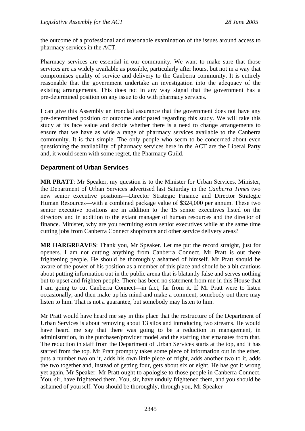<span id="page-34-0"></span>the outcome of a professional and reasonable examination of the issues around access to pharmacy services in the ACT.

Pharmacy services are essential in our community. We want to make sure that those services are as widely available as possible, particularly after hours, but not in a way that compromises quality of service and delivery to the Canberra community. It is entirely reasonable that the government undertake an investigation into the adequacy of the existing arrangements. This does not in any way signal that the government has a pre-determined position on any issue to do with pharmacy services.

I can give this Assembly an ironclad assurance that the government does not have any pre-determined position or outcome anticipated regarding this study. We will take this study at its face value and decide whether there is a need to change arrangements to ensure that we have as wide a range of pharmacy services available to the Canberra community. It is that simple. The only people who seem to be concerned about even questioning the availability of pharmacy services here in the ACT are the Liberal Party and, it would seem with some regret, the Pharmacy Guild.

### **Department of Urban Services**

**MR PRATT**: Mr Speaker, my question is to the Minister for Urban Services. Minister, the Department of Urban Services advertised last Saturday in the *Canberra Times* two new senior executive positions—Director Strategic Finance and Director Strategic Human Resources—with a combined package value of \$324,000 per annum. These two senior executive positions are in addition to the 15 senior executives listed on the directory and in addition to the extant manager of human resources and the director of finance. Minister, why are you recruiting extra senior executives while at the same time cutting jobs from Canberra Connect shopfronts and other service delivery areas?

**MR HARGREAVES**: Thank you, Mr Speaker. Let me put the record straight, just for openers. I am not cutting anything from Canberra Connect. Mr Pratt is out there frightening people. He should be thoroughly ashamed of himself. Mr Pratt should be aware of the power of his position as a member of this place and should be a bit cautious about putting information out in the public arena that is blatantly false and serves nothing but to upset and frighten people. There has been no statement from me in this House that I am going to cut Canberra Connect—in fact, far from it. If Mr Pratt were to listen occasionally, and then make up his mind and make a comment, somebody out there may listen to him. That is not a guarantee, but somebody may listen to him.

Mr Pratt would have heard me say in this place that the restructure of the Department of Urban Services is about removing about 13 silos and introducing two streams. He would have heard me say that there was going to be a reduction in management, in administration, in the purchaser/provider model and the staffing that emanates from that. The reduction in staff from the Department of Urban Services starts at the top, and it has started from the top. Mr Pratt promptly takes some piece of information out in the ether, puts a number two on it, adds his own little piece of fright, adds another two to it, adds the two together and, instead of getting four, gets about six or eight. He has got it wrong yet again, Mr Speaker. Mr Pratt ought to apologise to those people in Canberra Connect. You, sir, have frightened them. You, sir, have unduly frightened them, and you should be ashamed of yourself. You should be thoroughly, through you, Mr Speaker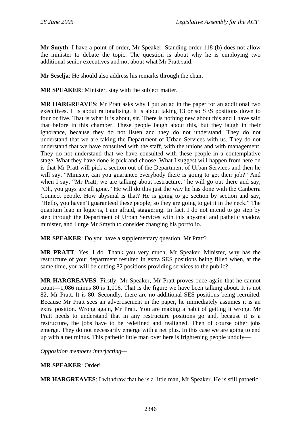**Mr Smyth**: I have a point of order, Mr Speaker. Standing order 118 (b) does not allow the minister to debate the topic. The question is about why he is employing two additional senior executives and not about what Mr Pratt said.

**Mr Seselja**: He should also address his remarks through the chair.

**MR SPEAKER**: Minister, stay with the subject matter.

**MR HARGREAVES**: Mr Pratt asks why I put an ad in the paper for an additional two executives. It is about rationalising. It is about taking 13 or so SES positions down to four or five. That is what it is about, sir. There is nothing new about this and I have said that before in this chamber. These people laugh about this, but they laugh in their ignorance, because they do not listen and they do not understand. They do not understand that we are taking the Department of Urban Services with us. They do not understand that we have consulted with the staff, with the unions and with management. They do not understand that we have consulted with these people in a contemplative stage. What they have done is pick and choose. What I suggest will happen from here on is that Mr Pratt will pick a section out of the Department of Urban Services and then he will say, "Minister, can you guarantee everybody there is going to get their job?" And when I say, "Mr Pratt, we are talking about restructure," he will go out there and say, "Oh, you guys are all gone." He will do this just the way he has done with the Canberra Connect people. How abysmal is that? He is going to go section by section and say, "Hello, you haven't guaranteed these people; so they are going to get it in the neck." The quantum leap in logic is, I am afraid, staggering. In fact, I do not intend to go step by step through the Department of Urban Services with this abysmal and pathetic shadow minister, and I urge Mr Smyth to consider changing his portfolio.

**MR SPEAKER**: Do you have a supplementary question, Mr Pratt?

**MR PRATT**: Yes, I do. Thank you very much, Mr Speaker. Minister, why has the restructure of your department resulted in extra SES positions being filled when, at the same time, you will be cutting 82 positions providing services to the public?

**MR HARGREAVES**: Firstly, Mr Speaker, Mr Pratt proves once again that he cannot count—1,086 minus 80 is 1,006. That is the figure we have been talking about. It is not 82, Mr Pratt. It is 80. Secondly, there are no additional SES positions being recruited. Because Mr Pratt sees an advertisement in the paper, he immediately assumes it is an extra position. Wrong again, Mr Pratt. You are making a habit of getting it wrong. Mr Pratt needs to understand that in any restructure positions go and, because it is a restructure, the jobs have to be redefined and realigned. Then of course other jobs emerge. They do not necessarily emerge with a net plus. In this case we are going to end up with a net minus. This pathetic little man over here is frightening people unduly—

*Opposition members interjecting—*

### **MR SPEAKER**: Order!

**MR HARGREAVES**: I withdraw that he is a little man, Mr Speaker. He is still pathetic.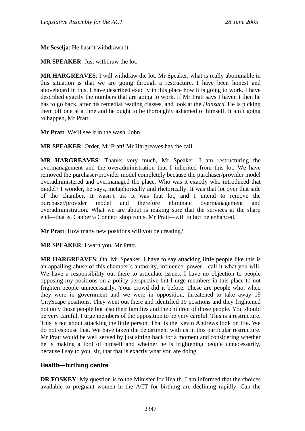**Mr Seselja**: He hasn't withdrawn it.

**MR SPEAKER**: Just withdraw the lot.

**MR HARGREAVES**: I will withdraw the lot. Mr Speaker, what is really abominable in this situation is that we are going through a restructure. I have been honest and aboveboard in this. I have described exactly in this place how it is going to work. I have described exactly the numbers that are going to work. If Mr Pratt says I haven't then he has to go back, after his remedial reading classes, and look at the *Hansard*. He is picking them off one at a time and he ought to be thoroughly ashamed of himself. It ain't going to happen, Mr Pratt.

**Mr Pratt**: We'll see it in the wash, John.

**MR SPEAKER**: Order, Mr Pratt! Mr Hargreaves has the call.

**MR HARGREAVES**: Thanks very much, Mr Speaker. I am restructuring the overmanagement and the overadministration that I inherited from this lot. We have removed the purchaser/provider model completely because the purchaser/provider model overadministered and overmanaged the place. Who was it exactly who introduced that model? I wonder, he says, metaphorically and rhetorically. It was that lot over that side of the chamber. It wasn't us. It was that lot, and I intend to remove the purchaser/provider model and therefore eliminate overmanagement and overadministration. What we are about is making sure that the services at the sharp end—that is, Canberra Connect shopfronts, Mr Pratt—will in fact be enhanced.

**Mr Pratt**: How many new positions will you be creating?

**MR SPEAKER**: I warn you, Mr Pratt.

**MR HARGREAVES**: Oh, Mr Speaker, I have to say attacking little people like this is an appalling abuse of this chamber's authority, influence, power—call it what you will. We have a responsibility out there to articulate issues. I have no objection to people opposing my positions on a policy perspective but I urge members in this place to not frighten people unnecessarily. Your crowd did it before. These are people who, when they were in government and we were in opposition, threatened to take away 19 CityScape positions. They went out there and identified 19 positions and they frightened not only those people but also their families and the children of those people. You should be very careful. I urge members of the opposition to be very careful. This is a restructure. This is not about attacking the little person. That is the Kevin Andrews look on life. We do not espouse that. We have taken the department with us in this particular restructure. Mr Pratt would be well served by just sitting back for a moment and considering whether he is making a fool of himself and whether he is frightening people unnecessarily, because I say to you, sir, that that is exactly what you are doing.

## **Health—birthing centre**

**DR FOSKEY:** My question is to the Minister for Health. I am informed that the choices available to pregnant women in the ACT for birthing are declining rapidly. Can the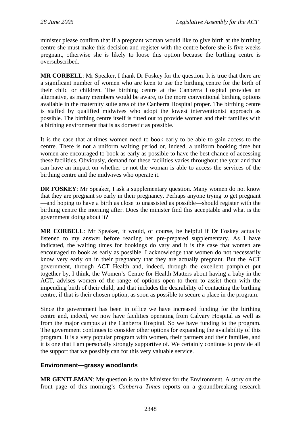minister please confirm that if a pregnant woman would like to give birth at the birthing centre she must make this decision and register with the centre before she is five weeks pregnant, otherwise she is likely to loose this option because the birthing centre is oversubscribed.

**MR CORBELL:** Mr Speaker, I thank Dr Foskey for the question. It is true that there are a significant number of women who are keen to use the birthing centre for the birth of their child or children. The birthing centre at the Canberra Hospital provides an alternative, as many members would be aware, to the more conventional birthing options available in the maternity suite area of the Canberra Hospital proper. The birthing centre is staffed by qualified midwives who adopt the lowest interventionist approach as possible. The birthing centre itself is fitted out to provide women and their families with a birthing environment that is as domestic as possible.

It is the case that at times women need to book early to be able to gain access to the centre. There is not a uniform waiting period or, indeed, a uniform booking time but women are encouraged to book as early as possible to have the best chance of accessing these facilities. Obviously, demand for these facilities varies throughout the year and that can have an impact on whether or not the woman is able to access the services of the birthing centre and the midwives who operate it.

**DR FOSKEY:** Mr Speaker, I ask a supplementary question. Many women do not know that they are pregnant so early in their pregnancy. Perhaps anyone trying to get pregnant —and hoping to have a birth as close to unassisted as possible—should register with the birthing centre the morning after. Does the minister find this acceptable and what is the government doing about it?

**MR CORBELL**: Mr Speaker, it would, of course, be helpful if Dr Foskey actually listened to my answer before reading her pre-prepared supplementary. As I have indicated, the waiting times for bookings do vary and it is the case that women are encouraged to book as early as possible. I acknowledge that women do not necessarily know very early on in their pregnancy that they are actually pregnant. But the ACT government, through ACT Health and, indeed, through the excellent pamphlet put together by, I think, the Women's Centre for Health Matters about having a baby in the ACT, advises women of the range of options open to them to assist them with the impending birth of their child, and that includes the desirability of contacting the birthing centre, if that is their chosen option, as soon as possible to secure a place in the program.

Since the government has been in office we have increased funding for the birthing centre and, indeed, we now have facilities operating from Calvary Hospital as well as from the major campus at the Canberra Hospital. So we have funding to the program. The government continues to consider other options for expanding the availability of this program. It is a very popular program with women, their partners and their families, and it is one that I am personally strongly supportive of. We certainly continue to provide all the support that we possibly can for this very valuable service.

## **Environment—grassy woodlands**

**MR GENTLEMAN**: My question is to the Minister for the Environment. A story on the front page of this morning's *Canberra Times* reports on a groundbreaking research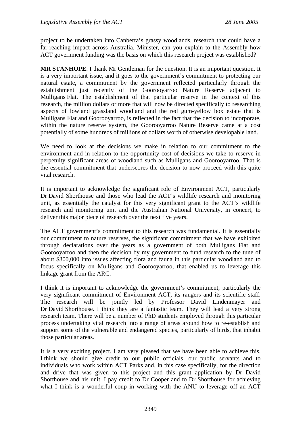project to be undertaken into Canberra's grassy woodlands, research that could have a far-reaching impact across Australia. Minister, can you explain to the Assembly how ACT government funding was the basis on which this research project was established?

**MR STANHOPE**: I thank Mr Gentleman for the question. It is an important question. It is a very important issue, and it goes to the government's commitment to protecting our natural estate, a commitment by the government reflected particularly through the establishment just recently of the Goorooyarroo Nature Reserve adjacent to Mulligans Flat. The establishment of that particular reserve in the context of this research, the million dollars or more that will now be directed specifically to researching aspects of lowland grassland woodland and the red gum-yellow box estate that is Mulligans Flat and Goorooyarroo, is reflected in the fact that the decision to incorporate, within the nature reserve system, the Goorooyarroo Nature Reserve came at a cost potentially of some hundreds of millions of dollars worth of otherwise developable land.

We need to look at the decisions we make in relation to our commitment to the environment and in relation to the opportunity cost of decisions we take to reserve in perpetuity significant areas of woodland such as Mulligans and Goorooyarroo. That is the essential commitment that underscores the decision to now proceed with this quite vital research.

It is important to acknowledge the significant role of Environment ACT, particularly Dr David Shorthouse and those who lead the ACT's wildlife research and monitoring unit, as essentially the catalyst for this very significant grant to the ACT's wildlife research and monitoring unit and the Australian National University, in concert, to deliver this major piece of research over the next five years.

The ACT government's commitment to this research was fundamental. It is essentially our commitment to nature reserves, the significant commitment that we have exhibited through declarations over the years as a government of both Mulligans Flat and Goorooyarroo and then the decision by my government to fund research to the tune of about \$300,000 into issues affecting flora and fauna in this particular woodland and to focus specifically on Mulligans and Goorooyarroo, that enabled us to leverage this linkage grant from the ARC.

I think it is important to acknowledge the government's commitment, particularly the very significant commitment of Environment ACT, its rangers and its scientific staff. The research will be jointly led by Professor David Lindenmayer and Dr David Shorthouse. I think they are a fantastic team. They will lead a very strong research team. There will be a number of PhD students employed through this particular process undertaking vital research into a range of areas around how to re-establish and support some of the vulnerable and endangered species, particularly of birds, that inhabit those particular areas.

It is a very exciting project. I am very pleased that we have been able to achieve this. I think we should give credit to our public officials, our public servants and to individuals who work within ACT Parks and, in this case specifically, for the direction and drive that was given to this project and this grant application by Dr David Shorthouse and his unit. I pay credit to Dr Cooper and to Dr Shorthouse for achieving what I think is a wonderful coup in working with the ANU to leverage off an ACT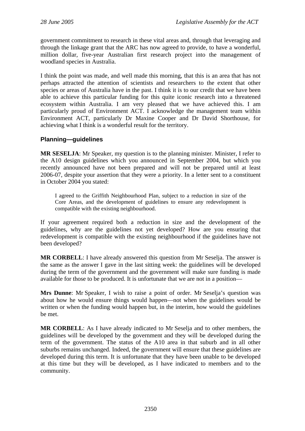government commitment to research in these vital areas and, through that leveraging and through the linkage grant that the ARC has now agreed to provide, to have a wonderful, million dollar, five-year Australian first research project into the management of woodland species in Australia.

I think the point was made, and well made this morning, that this is an area that has not perhaps attracted the attention of scientists and researchers to the extent that other species or areas of Australia have in the past. I think it is to our credit that we have been able to achieve this particular funding for this quite iconic research into a threatened ecosystem within Australia. I am very pleased that we have achieved this. I am particularly proud of Environment ACT. I acknowledge the management team within Environment ACT, particularly Dr Maxine Cooper and Dr David Shorthouse, for achieving what I think is a wonderful result for the territory.

## **Planning—guidelines**

**MR SESELJA**: Mr Speaker, my question is to the planning minister. Minister, I refer to the A10 design guidelines which you announced in September 2004, but which you recently announced have not been prepared and will not be prepared until at least 2006-07, despite your assertion that they were a priority. In a letter sent to a constituent in October 2004 you stated:

I agreed to the Griffith Neighbourhood Plan, subject to a reduction in size of the Core Areas, and the development of guidelines to ensure any redevelopment is compatible with the existing neighbourhood.

If your agreement required both a reduction in size and the development of the guidelines, why are the guidelines not yet developed? How are you ensuring that redevelopment is compatible with the existing neighbourhood if the guidelines have not been developed?

**MR CORBELL**: I have already answered this question from Mr Seselja. The answer is the same as the answer I gave in the last sitting week: the guidelines will be developed during the term of the government and the government will make sure funding is made available for those to be produced. It is unfortunate that we are not in a position—

**Mrs Dunne**: Mr Speaker, I wish to raise a point of order. Mr Seselja's question was about how he would ensure things would happen—not when the guidelines would be written or when the funding would happen but, in the interim, how would the guidelines be met.

**MR CORBELL**: As I have already indicated to Mr Seselja and to other members, the guidelines will be developed by the government and they will be developed during the term of the government. The status of the A10 area in that suburb and in all other suburbs remains unchanged. Indeed, the government will ensure that these guidelines are developed during this term. It is unfortunate that they have been unable to be developed at this time but they will be developed, as I have indicated to members and to the community.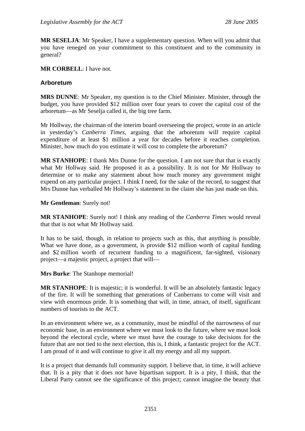**MR SESELJA**: Mr Speaker, I have a supplementary question. When will you admit that you have reneged on your commitment to this constituent and to the community in general?

#### **MR CORBELL**: I have not.

#### **Arboretum**

**MRS DUNNE**: Mr Speaker, my question is to the Chief Minister. Minister, through the budget, you have provided \$12 million over four years to cover the capital cost of the arboretum—as Mr Seselja called it, the big tree farm.

Mr Hollway, the chairman of the interim board overseeing the project, wrote in an article in yesterday's *Canberra Times*, arguing that the arboretum will require capital expenditure of at least \$1 million a year for decades before it reaches completion. Minister, how much do you estimate it will cost to complete the arboretum?

**MR STANHOPE**: I thank Mrs Dunne for the question. I am not sure that that is exactly what Mr Hollway said. He proposed it as a possibility. It is not for Mr Hollway to determine or to make any statement about how much money any government might expend on any particular project. I think I need, for the sake of the record, to suggest that Mrs Dunne has verballed Mr Hollway's statement in the claim she has just made on this.

#### **Mr Gentleman**: Surely not!

**MR STANHOPE**: Surely not! I think any reading of the *Canberra Times* would reveal that that is not what Mr Hollway said.

It has to be said, though, in relation to projects such as this, that anything is possible. What we have done, as a government, is provide \$12 million worth of capital funding and \$2 million worth of recurrent funding to a magnificent, far-sighted, visionary project—a majestic project, a project that will—

**Mrs Burke**: The Stanhope memorial!

**MR STANHOPE**: It is majestic; it is wonderful. It will be an absolutely fantastic legacy of the fire. It will be something that generations of Canberrans to come will visit and view with enormous pride. It is something that will, in time, attract, of itself, significant numbers of tourists to the ACT.

In an environment where we, as a community, must be mindful of the narrowness of our economic base, in an environment where we must look to the future, where we must look beyond the electoral cycle, where we must have the courage to take decisions for the future that are not tied to the next election, this is, I think, a fantastic project for the ACT. I am proud of it and will continue to give it all my energy and all my support.

It is a project that demands full community support. I believe that, in time, it will achieve that. It is a pity that it does not have bipartisan support. It is a pity, I think, that the Liberal Party cannot see the significance of this project; cannot imagine the beauty that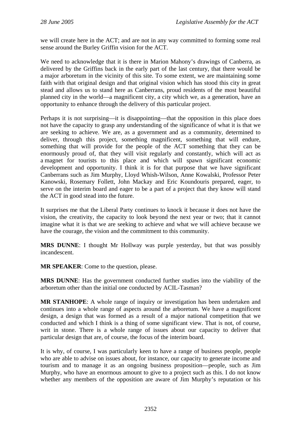we will create here in the ACT; and are not in any way committed to forming some real sense around the Burley Griffin vision for the ACT.

We need to acknowledge that it is there in Marion Mahony's drawings of Canberra, as delivered by the Griffins back in the early part of the last century, that there would be a major arboretum in the vicinity of this site. To some extent, we are maintaining some faith with that original design and that original vision which has stood this city in great stead and allows us to stand here as Canberrans, proud residents of the most beautiful planned city in the world—a magnificent city, a city which we, as a generation, have an opportunity to enhance through the delivery of this particular project.

Perhaps it is not surprising—it is disappointing—that the opposition in this place does not have the capacity to grasp any understanding of the significance of what it is that we are seeking to achieve. We are, as a government and as a community, determined to deliver, through this project, something magnificent, something that will endure, something that will provide for the people of the ACT something that they can be enormously proud of, that they will visit regularly and constantly, which will act as a magnet for tourists to this place and which will spawn significant economic development and opportunity. I think it is for that purpose that we have significant Canberrans such as Jim Murphy, Lloyd Whish-Wilson, Anne Kowalski, Professor Peter Kanowski, Rosemary Follett, John Mackay and Eric Koundouris prepared, eager, to serve on the interim board and eager to be a part of a project that they know will stand the ACT in good stead into the future.

It surprises me that the Liberal Party continues to knock it because it does not have the vision, the creativity, the capacity to look beyond the next year or two; that it cannot imagine what it is that we are seeking to achieve and what we will achieve because we have the courage, the vision and the commitment to this community.

**MRS DUNNE**: I thought Mr Hollway was purple yesterday, but that was possibly incandescent.

**MR SPEAKER**: Come to the question, please.

**MRS DUNNE**: Has the government conducted further studies into the viability of the arboretum other than the initial one conducted by ACIL-Tasman?

**MR STANHOPE**: A whole range of inquiry or investigation has been undertaken and continues into a whole range of aspects around the arboretum. We have a magnificent design, a design that was formed as a result of a major national competition that we conducted and which I think is a thing of some significant view. That is not, of course, writ in stone. There is a whole range of issues about our capacity to deliver that particular design that are, of course, the focus of the interim board.

It is why, of course, I was particularly keen to have a range of business people, people who are able to advise on issues about, for instance, our capacity to generate income and tourism and to manage it as an ongoing business proposition—people, such as Jim Murphy, who have an enormous amount to give to a project such as this. I do not know whether any members of the opposition are aware of Jim Murphy's reputation or his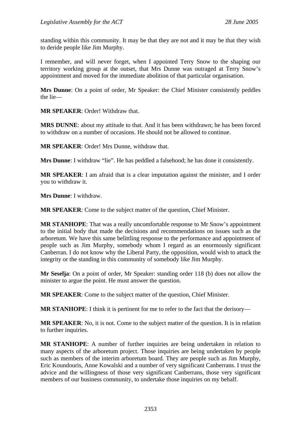standing within this community. It may be that they are not and it may be that they wish to deride people like Jim Murphy.

I remember, and will never forget, when I appointed Terry Snow to the shaping our territory working group at the outset, that Mrs Dunne was outraged at Terry Snow's appointment and moved for the immediate abolition of that particular organisation.

**Mrs Dunne**: On a point of order, Mr Speaker: the Chief Minister consistently peddles the lie—

**MR SPEAKER**: Order! Withdraw that.

**MRS DUNNE**: about my attitude to that. And it has been withdrawn; he has been forced to withdraw on a number of occasions. He should not be allowed to continue.

**MR SPEAKER**: Order! Mrs Dunne, withdraw that.

**Mrs Dunne**: I withdraw "lie". He has peddled a falsehood; he has done it consistently.

**MR SPEAKER**: I am afraid that is a clear imputation against the minister, and I order you to withdraw it.

**Mrs Dunne**: I withdraw.

**MR SPEAKER**: Come to the subject matter of the question, Chief Minister.

**MR STANHOPE**: That was a really uncomfortable response to Mr Snow's appointment to the initial body that made the decisions and recommendations on issues such as the arboretum. We have this same belittling response to the performance and appointment of people such as Jim Murphy, somebody whom I regard as an enormously significant Canberran. I do not know why the Liberal Party, the opposition, would wish to attack the integrity or the standing in this community of somebody like Jim Murphy.

**Mr Seselja**: On a point of order, Mr Speaker: standing order 118 (b) does not allow the minister to argue the point. He must answer the question.

**MR SPEAKER**: Come to the subject matter of the question, Chief Minister.

**MR STANHOPE**: I think it is pertinent for me to refer to the fact that the derisory—

**MR SPEAKER**: No, it is not. Come to the subject matter of the question. It is in relation to further inquiries.

**MR STANHOPE**: A number of further inquiries are being undertaken in relation to many aspects of the arboretum project. Those inquiries are being undertaken by people such as members of the interim arboretum board. They are people such as Jim Murphy, Eric Koundouris, Anne Kowalski and a number of very significant Canberrans. I trust the advice and the willingness of those very significant Canberrans, those very significant members of our business community, to undertake those inquiries on my behalf.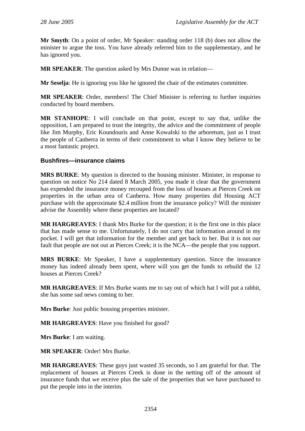**Mr Smyth**: On a point of order, Mr Speaker: standing order 118 (b) does not allow the minister to argue the toss. You have already referred him to the supplementary, and he has ignored you.

**MR SPEAKER**: The question asked by Mrs Dunne was in relation—

**Mr Seselja**: He is ignoring you like he ignored the chair of the estimates committee.

**MR SPEAKER**: Order, members! The Chief Minister is referring to further inquiries conducted by board members.

**MR STANHOPE**: I will conclude on that point, except to say that, unlike the opposition, I am prepared to trust the integrity, the advice and the commitment of people like Jim Murphy, Eric Koundouris and Anne Kowalski to the arboretum, just as I trust the people of Canberra in terms of their commitment to what I know they believe to be a most fantastic project.

## **Bushfires—insurance claims**

**MRS BURKE**: My question is directed to the housing minister. Minister, in response to question on notice No 214 dated 8 March 2005, you made it clear that the government has expended the insurance money recouped from the loss of houses at Pierces Creek on properties in the urban area of Canberra. How many properties did Housing ACT purchase with the approximate \$2.4 million from the insurance policy? Will the minister advise the Assembly where these properties are located?

**MR HARGREAVES**: I thank Mrs Burke for the question; it is the first one in this place that has made sense to me. Unfortunately, I do not carry that information around in my pocket. I will get that information for the member and get back to her. But it is not our fault that people are not out at Pierces Creek; it is the NCA—the people that you support.

**MRS BURKE**: Mr Speaker, I have a supplementary question. Since the insurance money has indeed already been spent, where will you get the funds to rebuild the 12 houses at Pierces Creek?

**MR HARGREAVES**: If Mrs Burke wants me to say out of which hat I will put a rabbit, she has some sad news coming to her.

**Mrs Burke**: Just public housing properties minister.

**MR HARGREAVES**: Have you finished for good?

**Mrs Burke**: I am waiting.

**MR SPEAKER**: Order! Mrs Burke.

**MR HARGREAVES**: These guys just wasted 35 seconds, so I am grateful for that. The replacement of houses at Pierces Creek is done in the netting off of the amount of insurance funds that we receive plus the sale of the properties that we have purchased to put the people into in the interim.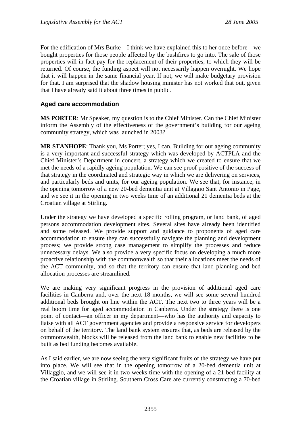For the edification of Mrs Burke—I think we have explained this to her once before—we bought properties for those people affected by the bushfires to go into. The sale of those properties will in fact pay for the replacement of their properties, to which they will be returned. Of course, the funding aspect will not necessarily happen overnight. We hope that it will happen in the same financial year. If not, we will make budgetary provision for that. I am surprised that the shadow housing minister has not worked that out, given that I have already said it about three times in public.

#### **Aged care accommodation**

**MS PORTER**: Mr Speaker, my question is to the Chief Minister. Can the Chief Minister inform the Assembly of the effectiveness of the government's building for our ageing community strategy, which was launched in 2003?

**MR STANHOPE**: Thank you, Ms Porter; yes, I can. Building for our ageing community is a very important and successful strategy which was developed by ACTPLA and the Chief Minister's Department in concert, a strategy which we created to ensure that we met the needs of a rapidly ageing population. We can see proof positive of the success of that strategy in the coordinated and strategic way in which we are delivering on services, and particularly beds and units, for our ageing population. We see that, for instance, in the opening tomorrow of a new 20-bed dementia unit at Villaggio Sant Antonio in Page, and we see it in the opening in two weeks time of an additional 21 dementia beds at the Croatian village at Stirling.

Under the strategy we have developed a specific rolling program, or land bank, of aged persons accommodation development sites. Several sites have already been identified and some released. We provide support and guidance to proponents of aged care accommodation to ensure they can successfully navigate the planning and development process; we provide strong case management to simplify the processes and reduce unnecessary delays. We also provide a very specific focus on developing a much more proactive relationship with the commonwealth so that their allocations meet the needs of the ACT community, and so that the territory can ensure that land planning and bed allocation processes are streamlined.

We are making very significant progress in the provision of additional aged care facilities in Canberra and, over the next 18 months, we will see some several hundred additional beds brought on line within the ACT. The next two to three years will be a real boom time for aged accommodation in Canberra. Under the strategy there is one point of contact—an officer in my department—who has the authority and capacity to liaise with all ACT government agencies and provide a responsive service for developers on behalf of the territory. The land bank system ensures that, as beds are released by the commonwealth, blocks will be released from the land bank to enable new facilities to be built as bed funding becomes available.

As I said earlier, we are now seeing the very significant fruits of the strategy we have put into place. We will see that in the opening tomorrow of a 20-bed dementia unit at Villaggio, and we will see it in two weeks time with the opening of a 21-bed facility at the Croatian village in Stirling. Southern Cross Care are currently constructing a 70-bed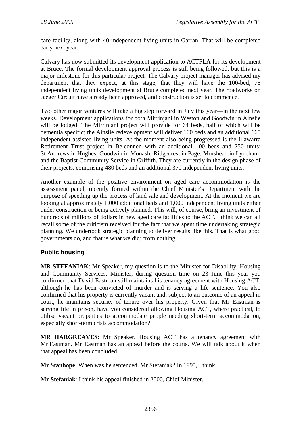care facility, along with 40 independent living units in Garran. That will be completed early next year.

Calvary has now submitted its development application to ACTPLA for its development at Bruce. The formal development approval process is still being followed, but this is a major milestone for this particular project. The Calvary project manager has advised my department that they expect, at this stage, that they will have the 100-bed, 75 independent living units development at Bruce completed next year. The roadworks on Jaeger Circuit have already been approved, and construction is set to commence.

Two other major ventures will take a big step forward in July this year—in the next few weeks. Development applications for both Mirrinjani in Weston and Goodwin in Ainslie will be lodged. The Mirrinjani project will provide for 64 beds, half of which will be dementia specific; the Ainslie redevelopment will deliver 100 beds and an additional 165 independent assisted living units. At the moment also being progressed is the Illawarra Retirement Trust project in Belconnen with an additional 100 beds and 250 units; St Andrews in Hughes; Goodwin in Monash; Ridgecrest in Page; Morshead in Lyneham; and the Baptist Community Service in Griffith. They are currently in the design phase of their projects, comprising 480 beds and an additional 370 independent living units.

Another example of the positive environment on aged care accommodation is the assessment panel, recently formed within the Chief Minister's Department with the purpose of speeding up the process of land sale and development. At the moment we are looking at approximately 1,000 additional beds and 1,000 independent living units either under construction or being actively planned. This will, of course, bring an investment of hundreds of millions of dollars in new aged care facilities to the ACT. I think we can all recall some of the criticism received for the fact that we spent time undertaking strategic planning. We undertook strategic planning to deliver results like this. That is what good governments do, and that is what we did; from nothing.

## **Public housing**

**MR STEFANIAK**: Mr Speaker, my question is to the Minister for Disability, Housing and Community Services. Minister, during question time on 23 June this year you confirmed that David Eastman still maintains his tenancy agreement with Housing ACT, although he has been convicted of murder and is serving a life sentence. You also confirmed that his property is currently vacant and, subject to an outcome of an appeal in court, he maintains security of tenure over his property. Given that Mr Eastman is serving life in prison, have you considered allowing Housing ACT, where practical, to utilise vacant properties to accommodate people needing short-term accommodation, especially short-term crisis accommodation?

**MR HARGREAVES**: Mr Speaker, Housing ACT has a tenancy agreement with Mr Eastman. Mr Eastman has an appeal before the courts. We will talk about it when that appeal has been concluded.

**Mr Stanhope**: When was he sentenced, Mr Stefaniak? In 1995, I think.

**Mr Stefaniak**: I think his appeal finished in 2000, Chief Minister.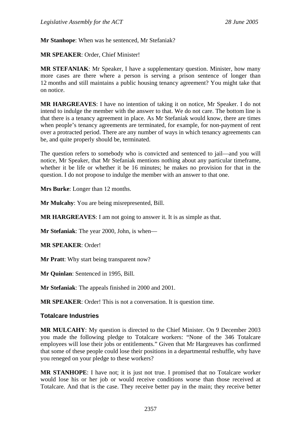**Mr Stanhope**: When was he sentenced, Mr Stefaniak?

**MR SPEAKER**: Order, Chief Minister!

**MR STEFANIAK**: Mr Speaker, I have a supplementary question. Minister, how many more cases are there where a person is serving a prison sentence of longer than 12 months and still maintains a public housing tenancy agreement? You might take that on notice.

**MR HARGREAVES**: I have no intention of taking it on notice, Mr Speaker. I do not intend to indulge the member with the answer to that. We do not care. The bottom line is that there is a tenancy agreement in place. As Mr Stefaniak would know, there are times when people's tenancy agreements are terminated, for example, for non-payment of rent over a protracted period. There are any number of ways in which tenancy agreements can be, and quite properly should be, terminated.

The question refers to somebody who is convicted and sentenced to jail—and you will notice, Mr Speaker, that Mr Stefaniak mentions nothing about any particular timeframe, whether it be life or whether it be 16 minutes; he makes no provision for that in the question. I do not propose to indulge the member with an answer to that one.

**Mrs Burke**: Longer than 12 months.

**Mr Mulcahy**: You are being misrepresented, Bill.

**MR HARGREAVES**: I am not going to answer it. It is as simple as that.

**Mr Stefaniak**: The year 2000, John, is when—

**MR SPEAKER**: Order!

**Mr Pratt**: Why start being transparent now?

**Mr Quinlan**: Sentenced in 1995, Bill.

**Mr Stefaniak**: The appeals finished in 2000 and 2001.

**MR SPEAKER**: Order! This is not a conversation. It is question time.

#### **Totalcare Industries**

**MR MULCAHY**: My question is directed to the Chief Minister. On 9 December 2003 you made the following pledge to Totalcare workers: "None of the 346 Totalcare employees will lose their jobs or entitlements." Given that Mr Hargreaves has confirmed that some of these people could lose their positions in a departmental reshuffle, why have you reneged on your pledge to these workers?

**MR STANHOPE**: I have not; it is just not true. I promised that no Totalcare worker would lose his or her job or would receive conditions worse than those received at Totalcare. And that is the case. They receive better pay in the main; they receive better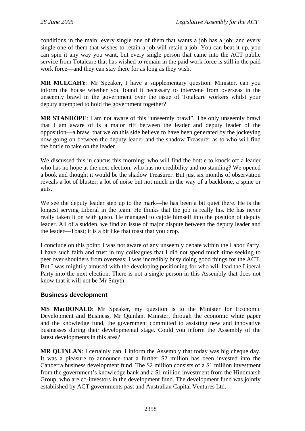conditions in the main; every single one of them that wants a job has a job; and every single one of them that wishes to retain a job will retain a job. You can beat it up, you can spin it any way you want, but every single person that came into the ACT public service from Totalcare that has wished to remain in the paid work force is still in the paid work force—and they can stay there for as long as they wish.

**MR MULCAHY**: Mr Speaker, I have a supplementary question. Minister, can you inform the house whether you found it necessary to intervene from overseas in the unseemly brawl in the government over the issue of Totalcare workers whilst your deputy attempted to hold the government together?

**MR STANHOPE**: I am not aware of this "unseemly brawl". The only unseemly brawl that I am aware of is a major rift between the leader and deputy leader of the opposition—a brawl that we on this side believe to have been generated by the jockeying now going on between the deputy leader and the shadow Treasurer as to who will find the bottle to take on the leader.

We discussed this in caucus this morning: who will find the bottle to knock off a leader who has no hope at the next election, who has no credibility and no standing? We opened a book and thought it would be the shadow Treasurer. But just six months of observation reveals a lot of bluster, a lot of noise but not much in the way of a backbone, a spine or guts.

We see the deputy leader step up to the mark—he has been a bit quiet there. He is the longest serving Liberal in the team. He thinks that the job is really his. He has never really taken it on with gusto. He managed to cajole himself into the position of deputy leader. All of a sudden, we find an issue of major dispute between the deputy leader and the leader—Toast; it is a bit like that toast that you drop.

I conclude on this point: I was not aware of any unseemly debate within the Labor Party. I have such faith and trust in my colleagues that I did not spend much time seeking to peer over shoulders from overseas; I was incredibly busy doing good things for the ACT. But I was mightily amused with the developing positioning for who will lead the Liberal Party into the next election. There is not a single person in this Assembly that does not know that it will not be Mr Smyth.

## **Business development**

**MS MacDONALD**: Mr Speaker, my question is to the Minister for Economic Development and Business, Mr Quinlan. Minister, through the economic white paper and the knowledge fund, the government committed to assisting new and innovative businesses during their developmental stage. Could you inform the Assembly of the latest developments in this area?

**MR QUINLAN**: I certainly can. I inform the Assembly that today was big cheque day. It was a pleasure to announce that a further \$2 million has been invested into the Canberra business development fund. The \$2 million consists of a \$1 million investment from the government's knowledge bank and a \$1 million investment from the Hindmarsh Group, who are co-investors in the development fund. The development fund was jointly established by ACT governments past and Australian Capital Ventures Ltd.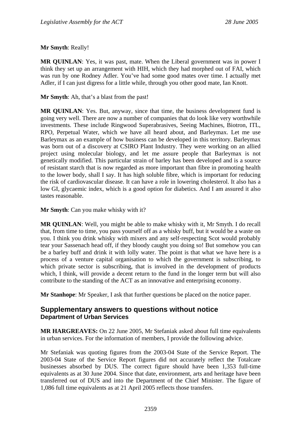## **Mr Smyth**: Really!

**MR QUINLAN**: Yes, it was past, mate. When the Liberal government was in power I think they set up an arrangement with HIH, which they had morphed out of FAI, which was run by one Rodney Adler. You've had some good mates over time. I actually met Adler, if I can just digress for a little while, through you other good mate, Ian Knott.

**Mr Smyth**: Ah, that's a blast from the past!

**MR QUINLAN**: Yes. But, anyway, since that time, the business development fund is going very well. There are now a number of companies that do look like very worthwhile investments. These include Ringwood Superabrasives, Seeing Machines, Biotron, ITL, RPO, Perpetual Water, which we have all heard about, and Barleymax. Let me use Barleymax as an example of how business can be developed in this territory. Barleymax was born out of a discovery at CSIRO Plant Industry. They were working on an allied project using molecular biology, and let me assure people that Barleymax is not genetically modified. This particular strain of barley has been developed and is a source of resistant starch that is now regarded as more important than fibre in promoting health to the lower body, shall I say. It has high soluble fibre, which is important for reducing the risk of cardiovascular disease. It can have a role in lowering cholesterol. It also has a low GI, glycaemic index, which is a good option for diabetics. And I am assured it also tastes reasonable.

**Mr Smyth**: Can you make whisky with it?

**MR QUINLAN**: Well, you might be able to make whisky with it, Mr Smyth. I do recall that, from time to time, you pass yourself off as a whisky buff, but it would be a waste on you. I think you drink whisky with mixers and any self-respecting Scot would probably tear your Sassenach head off, if they bloody caught you doing so! But somehow you can be a barley buff and drink it with lolly water. The point is that what we have here is a process of a venture capital organisation to which the government is subscribing, to which private sector is subscribing, that is involved in the development of products which, I think, will provide a decent return to the fund in the longer term but will also contribute to the standing of the ACT as an innovative and enterprising economy.

**Mr Stanhope**: Mr Speaker, I ask that further questions be placed on the notice paper.

# **Supplementary answers to questions without notice Department of Urban Services**

**MR HARGREAVES:** On 22 June 2005, Mr Stefaniak asked about full time equivalents in urban services. For the information of members, I provide the following advice.

Mr Stefaniak was quoting figures from the 2003-04 State of the Service Report. The 2003-04 State of the Service Report figures did not accurately reflect the Totalcare businesses absorbed by DUS. The correct figure should have been 1,353 full-time equivalents as at 30 June 2004. Since that date, environment, arts and heritage have been transferred out of DUS and into the Department of the Chief Minister. The figure of 1,086 full time equivalents as at 21 April 2005 reflects those transfers.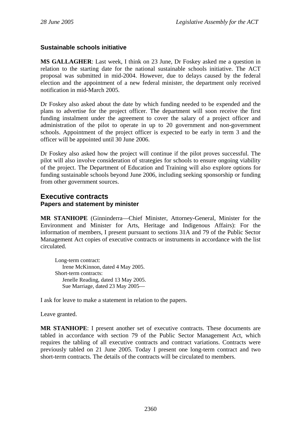## **Sustainable schools initiative**

**MS GALLAGHER**: Last week, I think on 23 June, Dr Foskey asked me a question in relation to the starting date for the national sustainable schools initiative. The ACT proposal was submitted in mid-2004. However, due to delays caused by the federal election and the appointment of a new federal minister, the department only received notification in mid-March 2005.

Dr Foskey also asked about the date by which funding needed to be expended and the plans to advertise for the project officer. The department will soon receive the first funding instalment under the agreement to cover the salary of a project officer and administration of the pilot to operate in up to 20 government and non-government schools. Appointment of the project officer is expected to be early in term 3 and the officer will be appointed until 30 June 2006.

Dr Foskey also asked how the project will continue if the pilot proves successful. The pilot will also involve consideration of strategies for schools to ensure ongoing viability of the project. The Department of Education and Training will also explore options for funding sustainable schools beyond June 2006, including seeking sponsorship or funding from other government sources.

## **Executive contracts Papers and statement by minister**

**MR STANHOPE** (Ginninderra—Chief Minister, Attorney-General, Minister for the Environment and Minister for Arts, Heritage and Indigenous Affairs): For the information of members, I present pursuant to sections 31A and 79 of the Public Sector Management Act copies of executive contracts or instruments in accordance with the list circulated.

Long-term contract: Irene McKinnon, dated 4 May 2005. Short-term contracts: Jenelle Reading, dated 13 May 2005. Sue Marriage, dated 23 May 2005—

I ask for leave to make a statement in relation to the papers.

Leave granted.

**MR STANHOPE**: I present another set of executive contracts. These documents are tabled in accordance with section 79 of the Public Sector Management Act, which requires the tabling of all executive contracts and contract variations. Contracts were previously tabled on 21 June 2005. Today I present one long-term contract and two short-term contracts. The details of the contracts will be circulated to members.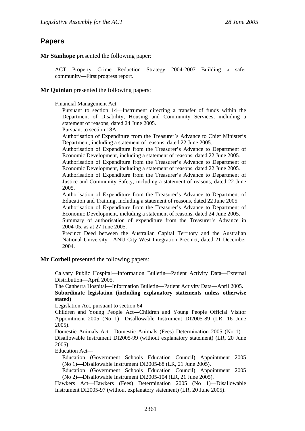# **Papers**

**Mr Stanhope** presented the following paper:

ACT Property Crime Reduction Strategy 2004-2007—Building a safer community—First progress report.

**Mr Quinlan** presented the following papers:

Financial Management Act—

Pursuant to section 14—Instrument directing a transfer of funds within the Department of Disability, Housing and Community Services, including a statement of reasons, dated 24 June 2005.

Pursuant to section 18A—

Authorisation of Expenditure from the Treasurer's Advance to Chief Minister's Department, including a statement of reasons, dated 22 June 2005.

Authorisation of Expenditure from the Treasurer's Advance to Department of Economic Development, including a statement of reasons, dated 22 June 2005.

Authorisation of Expenditure from the Treasurer's Advance to Department of Economic Development, including a statement of reasons, dated 22 June 2005.

Authorisation of Expenditure from the Treasurer's Advance to Department of Justice and Community Safety, including a statement of reasons, dated 22 June 2005.

Authorisation of Expenditure from the Treasurer's Advance to Department of Education and Training, including a statement of reasons, dated 22 June 2005.

Authorisation of Expenditure from the Treasurer's Advance to Department of Economic Development, including a statement of reasons, dated 24 June 2005.

Summary of authorisation of expenditure from the Treasurer's Advance in 2004-05, as at 27 June 2005.

Precinct Deed between the Australian Capital Territory and the Australian National University—ANU City West Integration Precinct, dated 21 December 2004.

**Mr Corbell** presented the following papers:

Calvary Public Hospital—Information Bulletin—Patient Activity Data—External Distribution—April 2005.

The Canberra Hospital—Information Bulletin—Patient Activity Data—April 2005. **Subordinate legislation (including explanatory statements unless otherwise stated)** 

Legislation Act, pursuant to section 64—

Children and Young People Act—Children and Young People Official Visitor Appointment 2005 (No 1)—Disallowable Instrument DI2005-89 (LR, 16 June 2005).

Domestic Animals Act—Domestic Animals (Fees) Determination 2005 (No 1)— Disallowable Instrument DI2005-99 (without explanatory statement) (LR, 20 June 2005).

Education Act—

Education (Government Schools Education Council) Appointment 2005 (No 1)—Disallowable Instrument DI2005-88 (LR, 21 June 2005).

Education (Government Schools Education Council) Appointment 2005 (No 2)—Disallowable Instrument DI2005-104 (LR, 21 June 2005).

Hawkers Act—Hawkers (Fees) Determination 2005 (No 1)—Disallowable Instrument DI2005-97 (without explanatory statement) (LR, 20 June 2005).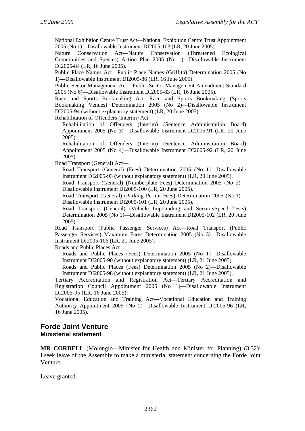National Exhibition Centre Trust Act—National Exhibition Centre Trust Appointment 2005 (No 1)—Disallowable Instrument DI2005-103 (LR, 20 June 2005).

Nature Conservation Act—Nature Conservation (Threatened Ecological Communities and Species) Action Plan 2005 (No 1)—Disallowable Instrument DI2005-84 (LR, 16 June 2005).

Public Place Names Act—Public Place Names (Griffith) Determination 2005 (No 1)—Disallowable Instrument DI2005-86 (LR, 16 June 2005).

Public Sector Management Act—Public Sector Management Amendment Standard 2005 (No 6)—Disallowable Instrument DI2005-83 (LR, 16 June 2005).

Race and Sports Bookmaking Act—Race and Sports Bookmaking (Sports Bookmaking Venues) Determination 2005 (No 2)—Disallowable Instrument DI2005-94 (without explanatory statement) (LR, 20 June 2005).

Rehabilitation of Offenders (Interim) Act—

Rehabilitation of Offenders (Interim) (Sentence Administration Board) Appointment 2005 (No 3)—Disallowable Instrument DI2005-91 (LR, 20 June 2005).

Rehabilitation of Offenders (Interim) (Sentence Administration Board) Appointment 2005 (No 4)—Disallowable Instrument DI2005-92 (LR, 20 June 2005).

Road Transport (General) Act—

Road Transport (General) (Fees) Determination 2005 (No 1)—Disallowable Instrument DI2005-93 (without explanatory statement) (LR, 20 June 2005).

Road Transport (General) (Numberplate Fees) Determination 2005 (No 2)— Disallowable Instrument DI2005-100 (LR, 20 June 2005).

Road Transport (General) (Parking Permit Fees) Determination 2005 (No 1)— Disallowable Instrument DI2005-101 (LR, 20 June 2005).

Road Transport (General) (Vehicle Impounding and Seizure/Speed Tests) Determination 2005 (No 1)—Disallowable Instrument DI2005-102 (LR, 20 June 2005).

Road Transport (Public Passenger Services) Act—Road Transport (Public Passenger Services) Maximum Fares Determination 2005 (No 3)—Disallowable Instrument DI2005-106 (LR, 21 June 2005).

Roads and Public Places Act—

Roads and Public Places (Fees) Determination 2005 (No 1)—Disallowable Instrument DI2005-90 (without explanatory statement) (LR, 21 June 2005).

Roads and Public Places (Fees) Determination 2005 (No 2)—Disallowable Instrument DI2005-98 (without explanatory statement) (LR, 21 June 2005).

Tertiary Accreditation and Registration Act—Tertiary Accreditation and Registration Council Appointment 2005 (No 1)—Disallowable Instrument DI2005-95 (LR, 16 June 2005).

Vocational Education and Training Act—Vocational Education and Training Authority Appointment 2005 (No 2)—Disallowable Instrument DI2005-96 (LR, 16 June 2005).

## **Forde Joint Venture Ministerial statement**

**MR CORBELL** (Molonglo—Minister for Health and Minister for Planning) (3.32): I seek leave of the Assembly to make a ministerial statement concerning the Forde Joint Venture.

Leave granted.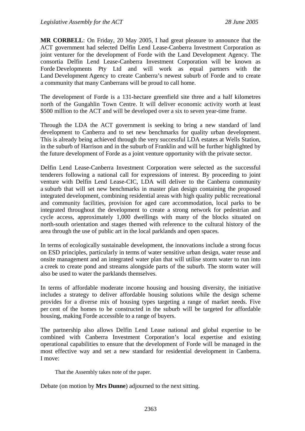**MR CORBELL**: On Friday, 20 May 2005, I had great pleasure to announce that the ACT government had selected Delfin Lend Lease-Canberra Investment Corporation as joint venturer for the development of Forde with the Land Development Agency. The consortia Delfin Lend Lease-Canberra Investment Corporation will be known as Forde Developments Pty Ltd and will work as equal partners with the Land Development Agency to create Canberra's newest suburb of Forde and to create a community that many Canberrans will be proud to call home.

The development of Forde is a 131-hectare greenfield site three and a half kilometres north of the Gungahlin Town Centre. It will deliver economic activity worth at least \$500 million to the ACT and will be developed over a six to seven year-time frame.

Through the LDA the ACT government is seeking to bring a new standard of land development to Canberra and to set new benchmarks for quality urban development. This is already being achieved through the very successful LDA estates at Wells Station, in the suburb of Harrison and in the suburb of Franklin and will be further highlighted by the future development of Forde as a joint venture opportunity with the private sector.

Delfin Lend Lease-Canberra Investment Corporation were selected as the successful tenderers following a national call for expressions of interest. By proceeding to joint venture with Delfin Lend Lease-CIC, LDA will deliver to the Canberra community a suburb that will set new benchmarks in master plan design containing the proposed integrated development, combining residential areas with high quality public recreational and community facilities, provision for aged care accommodation, local parks to be integrated throughout the development to create a strong network for pedestrian and cycle access, approximately 1,000 dwellings with many of the blocks situated on north-south orientation and stages themed with reference to the cultural history of the area through the use of public art in the local parklands and open spaces.

In terms of ecologically sustainable development, the innovations include a strong focus on ESD principles, particularly in terms of water sensitive urban design, water reuse and onsite management and an integrated water plan that will utilise storm water to run into a creek to create pond and streams alongside parts of the suburb. The storm water will also be used to water the parklands themselves.

In terms of affordable moderate income housing and housing diversity, the initiative includes a strategy to deliver affordable housing solutions while the design scheme provides for a diverse mix of housing types targeting a range of market needs. Five per cent of the homes to be constructed in the suburb will be targeted for affordable housing, making Forde accessible to a range of buyers.

The partnership also allows Delfin Lend Lease national and global expertise to be combined with Canberra Investment Corporation's local expertise and existing operational capabilities to ensure that the development of Forde will be managed in the most effective way and set a new standard for residential development in Canberra. I move:

That the Assembly takes note of the paper.

Debate (on motion by **Mrs Dunne**) adjourned to the next sitting.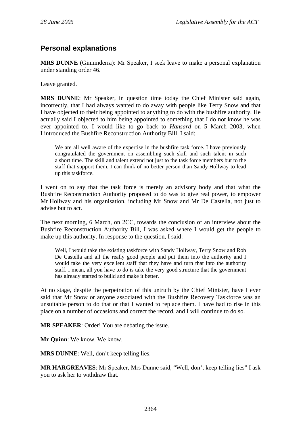# **Personal explanations**

**MRS DUNNE** (Ginninderra): Mr Speaker, I seek leave to make a personal explanation under standing order 46.

Leave granted.

**MRS DUNNE**: Mr Speaker, in question time today the Chief Minister said again, incorrectly, that I had always wanted to do away with people like Terry Snow and that I have objected to their being appointed to anything to do with the bushfire authority. He actually said I objected to him being appointed to something that I do not know he was ever appointed to. I would like to go back to *Hansard* on 5 March 2003, when I introduced the Bushfire Reconstruction Authority Bill. I said:

We are all well aware of the expertise in the bushfire task force. I have previously congratulated the government on assembling such skill and such talent in such a short time. The skill and talent extend not just to the task force members but to the staff that support them. I can think of no better person than Sandy Hollway to lead up this taskforce.

I went on to say that the task force is merely an advisory body and that what the Bushfire Reconstruction Authority proposed to do was to give real power, to empower Mr Hollway and his organisation, including Mr Snow and Mr De Castella, not just to advise but to act.

The next morning, 6 March, on 2CC, towards the conclusion of an interview about the Bushfire Reconstruction Authority Bill, I was asked where I would get the people to make up this authority. In response to the question, I said:

Well, I would take the existing taskforce with Sandy Hollway, Terry Snow and Rob De Castella and all the really good people and put them into the authority and I would take the very excellent staff that they have and turn that into the authority staff. I mean, all you have to do is take the very good structure that the government has already started to build and make it better.

At no stage, despite the perpetration of this untruth by the Chief Minister, have I ever said that Mr Snow or anyone associated with the Bushfire Recovery Taskforce was an unsuitable person to do that or that I wanted to replace them. I have had to rise in this place on a number of occasions and correct the record, and I will continue to do so.

**MR SPEAKER**: Order! You are debating the issue.

**Mr Quinn**: We know. We know.

**MRS DUNNE**: Well, don't keep telling lies.

**MR HARGREAVES**: Mr Speaker, Mrs Dunne said, "Well, don't keep telling lies" I ask you to ask her to withdraw that.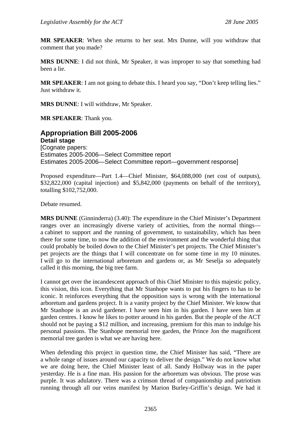**MR SPEAKER**: When she returns to her seat. Mrs Dunne, will you withdraw that comment that you made?

**MRS DUNNE**: I did not think, Mr Speaker, it was improper to say that something had been a lie.

**MR SPEAKER:** I am not going to debate this. I heard you say, "Don't keep telling lies." Just withdraw it.

**MRS DUNNE**: I will withdraw, Mr Speaker.

**MR SPEAKER**: Thank you.

**Appropriation Bill 2005-2006 Detail stage**  [Cognate papers: Estimates 2005-2006—Select Committee report Estimates 2005-2006—Select Committee report—government response]

Proposed expenditure—Part 1.4—Chief Minister, \$64,088,000 (net cost of outputs), \$32,822,000 (capital injection) and \$5,842,000 (payments on behalf of the territory), totalling \$102,752,000.

Debate resumed.

**MRS DUNNE** (Ginninderra) (3.40): The expenditure in the Chief Minister's Department ranges over an increasingly diverse variety of activities, from the normal things a cabinet to support and the running of government, to sustainability, which has been there for some time, to now the addition of the environment and the wonderful thing that could probably be boiled down to the Chief Minister's pet projects. The Chief Minister's pet projects are the things that I will concentrate on for some time in my 10 minutes. I will go to the international arboretum and gardens or, as Mr Seselja so adequately called it this morning, the big tree farm.

I cannot get over the incandescent approach of this Chief Minister to this majestic policy, this vision, this icon. Everything that Mr Stanhope wants to put his fingers to has to be iconic. It reinforces everything that the opposition says is wrong with the international arboretum and gardens project. It is a vanity project by the Chief Minister. We know that Mr Stanhope is an avid gardener. I have seen him in his garden. I have seen him at garden centres. I know he likes to potter around in his garden. But the people of the ACT should not be paying a \$12 million, and increasing, premium for this man to indulge his personal passions. The Stanhope memorial tree garden, the Prince Jon the magnificent memorial tree garden is what we are having here.

When defending this project in question time, the Chief Minister has said, "There are a whole range of issues around our capacity to deliver the design." We do not know what we are doing here, the Chief Minister least of all. Sandy Hollway was in the paper yesterday. He is a fine man. His passion for the arboretum was obvious. The prose was purple. It was adulatory. There was a crimson thread of companionship and patriotism running through all our veins manifest by Marion Burley-Griffin's design. We had it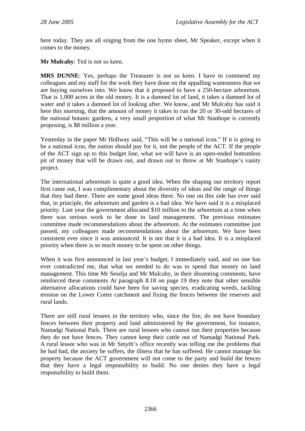here today. They are all singing from the one hymn sheet, Mr Speaker, except when it comes to the money.

**Mr Mulcahy**: Ted is not so keen.

**MRS DUNNE**: Yes, perhaps the Treasurer is not so keen. I have to commend my colleagues and my staff for the work they have done on the appalling wantonness that we are buying ourselves into. We know that it proposed to have a 250-hectare arboretum. That is 1,000 acres in the old money. It is a damned lot of land, it takes a damned lot of water and it takes a damned lot of looking after. We know, and Mr Mulcahy has said it here this morning, that the amount of money it takes to run the 20 or 30-odd hectares of the national botanic gardens, a very small proportion of what Mr Stanhope is currently proposing, is \$8 million a year.

Yesterday in the paper Mr Hollway said, "This will be a national icon." If it is going to be a national icon, the nation should pay for it, not the people of the ACT. If the people of the ACT sign up to this budget line, what we will have is an open-ended bottomless pit of money that will be drawn out, and drawn out to throw at Mr Stanhope's vanity project.

The international arboretum is quite a good idea. When the shaping our territory report first came out, I was complimentary about the diversity of ideas and the range of things that they had there. There are some good ideas there. No one on this side has ever said that, in principle, the arboretum and garden is a bad idea. We have said it is a misplaced priority. Last year the government allocated \$10 million to the arboretum at a time when there was serious work to be done in land management. The previous estimates committee made recommendations about the arboretum. At the estimates committee just passed, my colleagues made recommendations about the arboretum. We have been consistent ever since it was announced. It is not that it is a bad idea. It is a misplaced priority when there is so much money to be spent on other things.

When it was first announced in last year's budget, I immediately said, and no one has ever contradicted me, that what we needed to do was to spend that money on land management. This time Mr Seselja and Mr Mulcahy, in their dissenting comments, have reinforced these comments At paragraph 8.18 on page 19 they note that other sensible alternative allocations could have been for saving species, eradicating weeds, tackling erosion on the Lower Cotter catchment and fixing the fences between the reserves and rural lands.

There are still rural lessees in the territory who, since the fire, do not have boundary fences between their property and land administered by the government, for instance, Namadgi National Park. There are rural lessees who cannot run their properties because they do not have fences. They cannot keep their cattle out of Namadgi National Park. A rural lessee who was in Mr Smyth's office recently was telling me the problems that he had had, the anxiety he suffers, the illness that he has suffered. He cannot manage his property because the ACT government will not come to the party and build the fences that they have a legal responsibility to build. No one denies they have a legal responsibility to build them.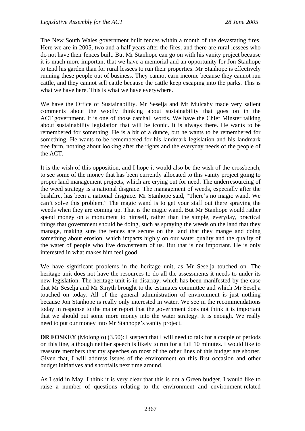The New South Wales government built fences within a month of the devastating fires. Here we are in 2005, two and a half years after the fires, and there are rural lessees who do not have their fences built. But Mr Stanhope can go on with his vanity project because it is much more important that we have a memorial and an opportunity for Jon Stanhope to tend his garden than for rural lessees to run their properties. Mr Stanhope is effectively running these people out of business. They cannot earn income because they cannot run cattle, and they cannot sell cattle because the cattle keep escaping into the parks. This is what we have here. This is what we have everywhere.

We have the Office of Sustainability. Mr Seselia and Mr Mulcahy made very salient comments about the woolly thinking about sustainability that goes on in the ACT government. It is one of those catchall words. We have the Chief Minster talking about sustainability legislation that will be iconic. It is always there. He wants to be remembered for something. He is a bit of a dunce, but he wants to be remembered for something. He wants to be remembered for his landmark legislation and his landmark tree farm, nothing about looking after the rights and the everyday needs of the people of the ACT.

It is the wish of this opposition, and I hope it would also be the wish of the crossbench, to see some of the money that has been currently allocated to this vanity project going to proper land management projects, which are crying out for need. The underresourcing of the weed strategy is a national disgrace. The management of weeds, especially after the bushfire, has been a national disgrace. Mr Stanhope said, "There's no magic wand. We can't solve this problem." The magic wand is to get your staff out there spraying the weeds when they are coming up. That is the magic wand. But Mr Stanhope would rather spend money on a monument to himself, rather than the simple, everyday, practical things that government should be doing, such as spraying the weeds on the land that they manage, making sure the fences are secure on the land that they mange and doing something about erosion, which impacts highly on our water quality and the quality of the water of people who live downstream of us. But that is not important. He is only interested in what makes him feel good.

We have significant problems in the heritage unit, as Mr Seselja touched on. The heritage unit does not have the resources to do all the assessments it needs to under its new legislation. The heritage unit is in disarray, which has been manifested by the case that Mr Seselja and Mr Smyth brought to the estimates committee and which Mr Seselja touched on today. All of the general administration of environment is just nothing because Jon Stanhope is really only interested in water. We see in the recommendations today in response to the major report that the government does not think it is important that we should put some more money into the water strategy. It is enough. We really need to put our money into Mr Stanhope's vanity project.

**DR FOSKEY** (Molonglo) (3.50): I suspect that I will need to talk for a couple of periods on this line, although neither speech is likely to run for a full 10 minutes. I would like to reassure members that my speeches on most of the other lines of this budget are shorter. Given that, I will address issues of the environment on this first occasion and other budget initiatives and shortfalls next time around.

As I said in May, I think it is very clear that this is not a Green budget. I would like to raise a number of questions relating to the environment and environment-related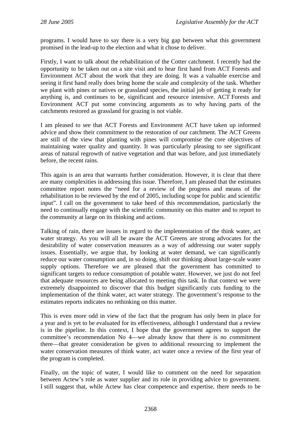programs. I would have to say there is a very big gap between what this government promised in the lead-up to the election and what it chose to deliver.

Firstly, I want to talk about the rehabilitation of the Cotter catchment. I recently had the opportunity to be taken out on a site visit and to hear first hand from ACT Forests and Environment ACT about the work that they are doing. It was a valuable exercise and seeing it first hand really does bring home the scale and complexity of the task. Whether we plant with pines or natives or grassland species, the initial job of getting it ready for anything is, and continues to be, significant and resource intensive. ACT Forests and Environment ACT put some convincing arguments as to why having parts of the catchments restored as grassland for grazing is not viable.

I am pleased to see that ACT Forests and Environment ACT have taken up informed advice and show their commitment to the restoration of our catchment. The ACT Greens are still of the view that planting with pines will compromise the core objectives of maintaining water quality and quantity. It was particularly pleasing to see significant areas of natural regrowth of native vegetation and that was before, and just immediately before, the recent rains.

This again is an area that warrants further consideration. However, it is clear that there are many complexities in addressing this issue. Therefore, I am pleased that the estimates committee report notes the "need for a review of the progress and means of the rehabilitation to be reviewed by the end of 2005, including scope for public and scientific input". I call on the government to take heed of this recommendation, particularly the need to continually engage with the scientific community on this matter and to report to the community at large on its thinking and actions.

Talking of rain, there are issues in regard to the implementation of the think water, act water strategy. As you will all be aware the ACT Greens are strong advocates for the desirability of water conservation measures as a way of addressing our water supply issues. Essentially, we argue that, by looking at water demand, we can significantly reduce our water consumption and, in so doing, shift our thinking about large-scale water supply options. Therefore we are pleased that the government has committed to significant targets to reduce consumption of potable water. However, we just do not feel that adequate resources are being allocated to meeting this task. In that context we were extremely disappointed to discover that this budget significantly cuts funding to the implementation of the think water, act water strategy. The government's response to the estimates reports indicates no rethinking on this matter.

This is even more odd in view of the fact that the program has only been in place for a year and is yet to be evaluated for its effectiveness, although I understand that a review is in the pipeline. In this context, I hope that the government agrees to support the committee's recommendation No 4—we already know that there is no commitment there—that greater consideration be given to additional resourcing to implement the water conservation measures of think water, act water once a review of the first year of the program is completed.

Finally, on the topic of water, I would like to comment on the need for separation between Actew's role as water supplier and its role in providing advice to government. I still suggest that, while Actew has clear competence and expertise, there needs to be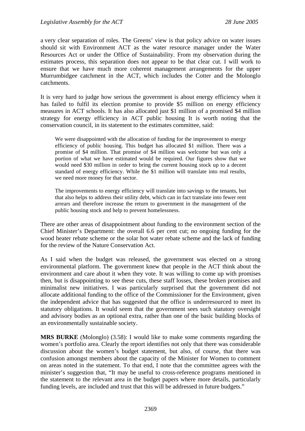a very clear separation of roles. The Greens' view is that policy advice on water issues should sit with Environment ACT as the water resource manager under the Water Resources Act or under the Office of Sustainability. From my observation during the estimates process, this separation does not appear to be that clear cut. I will work to ensure that we have much more coherent management arrangements for the upper Murrumbidgee catchment in the ACT, which includes the Cotter and the Molonglo catchments.

It is very hard to judge how serious the government is about energy efficiency when it has failed to fulfil its election promise to provide \$5 million on energy efficiency measures in ACT schools. It has also allocated just \$1 million of a promised \$4 million strategy for energy efficiency in ACT public housing It is worth noting that the conservation council, in its statement to the estimates committee, said:

We were disappointed with the allocation of funding for the improvement to energy efficiency of public housing. This budget has allocated \$1 million. There was a promise of \$4 million. That promise of \$4 million was welcome but was only a portion of what we have estimated would be required. Our figures show that we would need \$30 million in order to bring the current housing stock up to a decent standard of energy efficiency. While the \$1 million will translate into real results, we need more money for that sector.

The improvements to energy efficiency will translate into savings to the tenants, but that also helps to address their utility debt, which can in fact translate into fewer rent arrears and therefore increase the return to government in the management of the public housing stock and help to prevent homelessness.

There are other areas of disappointment about funding to the environment section of the Chief Minister's Department: the overall 6.6 per cent cut; no ongoing funding for the wood heater rebate scheme or the solar hot water rebate scheme and the lack of funding for the review of the Nature Conservation Act.

As I said when the budget was released, the government was elected on a strong environmental platform. The government knew that people in the ACT think about the environment and care about it when they vote. It was willing to come up with promises then, but is disappointing to see these cuts, these staff losses, these broken promises and minimalist new initiatives. I was particularly surprised that the government did not allocate additional funding to the office of the Commissioner for the Environment, given the independent advice that has suggested that the office is underresourced to meet its statutory obligations. It would seem that the government sees such statutory oversight and advisory bodies as an optional extra, rather than one of the basic building blocks of an environmentally sustainable society.

**MRS BURKE** (Molonglo) (3.58): I would like to make some comments regarding the women's portfolio area. Clearly the report identifies not only that there was considerable discussion about the women's budget statement, but also, of course, that there was confusion amongst members about the capacity of the Minister for Women to comment on areas noted in the statement. To that end, I note that the committee agrees with the minister's suggestion that, "It may be useful to cross-reference programs mentioned in the statement to the relevant area in the budget papers where more details, particularly funding levels, are included and trust that this will be addressed in future budgets."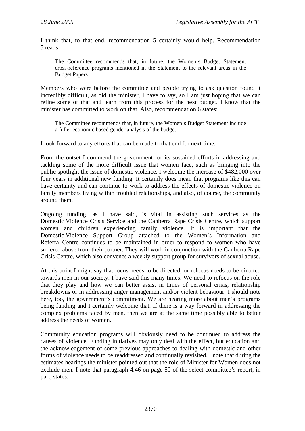I think that, to that end, recommendation 5 certainly would help. Recommendation 5 reads:

The Committee recommends that, in future, the Women's Budget Statement cross-reference programs mentioned in the Statement to the relevant areas in the Budget Papers.

Members who were before the committee and people trying to ask question found it incredibly difficult, as did the minister, I have to say, so I am just hoping that we can refine some of that and learn from this process for the next budget. I know that the minister has committed to work on that. Also, recommendation 6 states:

The Committee recommends that, in future, the Women's Budget Statement include a fuller economic based gender analysis of the budget.

I look forward to any efforts that can be made to that end for next time.

From the outset I commend the government for its sustained efforts in addressing and tackling some of the more difficult issue that women face, such as bringing into the public spotlight the issue of domestic violence. I welcome the increase of \$482,000 over four years in additional new funding. It certainly does mean that programs like this can have certainty and can continue to work to address the effects of domestic violence on family members living within troubled relationships, and also, of course, the community around them.

Ongoing funding, as I have said, is vital in assisting such services as the Domestic Violence Crisis Service and the Canberra Rape Crisis Centre, which support women and children experiencing family violence. It is important that the Domestic Violence Support Group attached to the Women's Information and Referral Centre continues to be maintained in order to respond to women who have suffered abuse from their partner. They will work in conjunction with the Canberra Rape Crisis Centre, which also convenes a weekly support group for survivors of sexual abuse.

At this point I might say that focus needs to be directed, or refocus needs to be directed towards men in our society. I have said this many times. We need to refocus on the role that they play and how we can better assist in times of personal crisis, relationship breakdowns or in addressing anger management and/or violent behaviour. I should note here, too, the government's commitment. We are hearing more about men's programs being funding and I certainly welcome that. If there is a way forward in addressing the complex problems faced by men, then we are at the same time possibly able to better address the needs of women.

Community education programs will obviously need to be continued to address the causes of violence. Funding initiatives may only deal with the effect, but education and the acknowledgement of some previous approaches to dealing with domestic and other forms of violence needs to be readdressed and continually revisited. I note that during the estimates hearings the minister pointed out that the role of Minister for Women does not exclude men. I note that paragraph 4.46 on page 50 of the select committee's report, in part, states: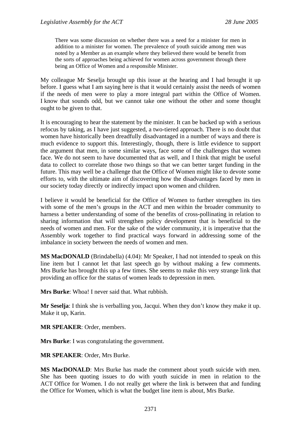There was some discussion on whether there was a need for a minister for men in addition to a minister for women. The prevalence of youth suicide among men was noted by a Member as an example where they believed there would be benefit from the sorts of approaches being achieved for women across government through there being an Office of Women and a responsible Minister.

My colleague Mr Seselja brought up this issue at the hearing and I had brought it up before. I guess what I am saying here is that it would certainly assist the needs of women if the needs of men were to play a more integral part within the Office of Women. I know that sounds odd, but we cannot take one without the other and some thought ought to be given to that.

It is encouraging to hear the statement by the minister. It can be backed up with a serious refocus by taking, as I have just suggested, a two-tiered approach. There is no doubt that women have historically been dreadfully disadvantaged in a number of ways and there is much evidence to support this. Interestingly, though, there is little evidence to support the argument that men, in some similar ways, face some of the challenges that women face. We do not seem to have documented that as well, and I think that might be useful data to collect to correlate those two things so that we can better target funding in the future. This may well be a challenge that the Office of Women might like to devote some efforts to, with the ultimate aim of discovering how the disadvantages faced by men in our society today directly or indirectly impact upon women and children.

I believe it would be beneficial for the Office of Women to further strengthen its ties with some of the men's groups in the ACT and men within the broader community to harness a better understanding of some of the benefits of cross-pollinating in relation to sharing information that will strengthen policy development that is beneficial to the needs of women and men. For the sake of the wider community, it is imperative that the Assembly work together to find practical ways forward in addressing some of the imbalance in society between the needs of women and men.

**MS MacDONALD** (Brindabella) (4.04): Mr Speaker, I had not intended to speak on this line item but I cannot let that last speech go by without making a few comments. Mrs Burke has brought this up a few times. She seems to make this very strange link that providing an office for the status of women leads to depression in men.

**Mrs Burke**: Whoa! I never said that. What rubbish.

**Mr Seselja**: I think she is verballing you, Jacqui. When they don't know they make it up. Make it up, Karin.

**MR SPEAKER**: Order, members.

**Mrs Burke**: I was congratulating the government.

**MR SPEAKER**: Order, Mrs Burke.

**MS MacDONALD**: Mrs Burke has made the comment about youth suicide with men. She has been quoting issues to do with youth suicide in men in relation to the ACT Office for Women. I do not really get where the link is between that and funding the Office for Women, which is what the budget line item is about, Mrs Burke.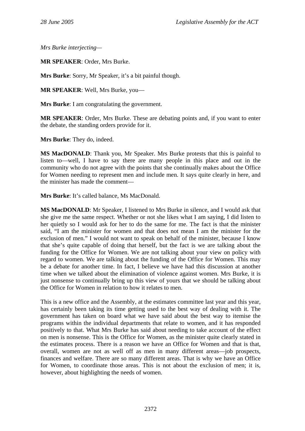*Mrs Burke interjecting—* 

**MR SPEAKER**: Order, Mrs Burke.

**Mrs Burke**: Sorry, Mr Speaker, it's a bit painful though.

**MR SPEAKER**: Well, Mrs Burke, you—

**Mrs Burke**: I am congratulating the government.

**MR SPEAKER**: Order, Mrs Burke. These are debating points and, if you want to enter the debate, the standing orders provide for it.

**Mrs Burke**: They do, indeed.

**MS MacDONALD**: Thank you, Mr Speaker. Mrs Burke protests that this is painful to listen to—well, I have to say there are many people in this place and out in the community who do not agree with the points that she continually makes about the Office for Women needing to represent men and include men. It says quite clearly in here, and the minister has made the comment—

**Mrs Burke**: It's called balance, Ms MacDonald.

**MS MacDONALD**: Mr Speaker, I listened to Mrs Burke in silence, and I would ask that she give me the same respect. Whether or not she likes what I am saying, I did listen to her quietly so I would ask for her to do the same for me. The fact is that the minister said, "I am the minister for women and that does not mean I am the minister for the exclusion of men." I would not want to speak on behalf of the minister, because I know that she's quite capable of doing that herself, but the fact is we are talking about the funding for the Office for Women. We are not talking about your view on policy with regard to women. We are talking about the funding of the Office for Women. This may be a debate for another time. In fact, I believe we have had this discussion at another time when we talked about the elimination of violence against women. Mrs Burke, it is just nonsense to continually bring up this view of yours that we should be talking about the Office for Women in relation to how it relates to men.

This is a new office and the Assembly, at the estimates committee last year and this year, has certainly been taking its time getting used to the best way of dealing with it. The government has taken on board what we have said about the best way to itemise the programs within the individual departments that relate to women, and it has responded positively to that. What Mrs Burke has said about needing to take account of the effect on men is nonsense. This is the Office for Women, as the minister quite clearly stated in the estimates process. There is a reason we have an Office for Women and that is that, overall, women are not as well off as men in many different areas—job prospects, finances and welfare. There are so many different areas. That is why we have an Office for Women, to coordinate those areas. This is not about the exclusion of men; it is, however, about highlighting the needs of women.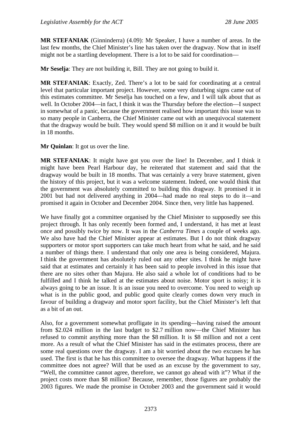**MR STEFANIAK** (Ginninderra) (4.09): Mr Speaker, I have a number of areas. In the last few months, the Chief Minister's line has taken over the dragway. Now that in itself might not be a startling development. There is a lot to be said for coordination—

**Mr Seselja**: They are not building it, Bill. They are not going to build it.

**MR STEFANIAK**: Exactly, Zed. There's a lot to be said for coordinating at a central level that particular important project. However, some very disturbing signs came out of this estimates committee. Mr Seselja has touched on a few, and I will talk about that as well. In October 2004—in fact, I think it was the Thursday before the election—I suspect in somewhat of a panic, because the government realised how important this issue was to so many people in Canberra, the Chief Minister came out with an unequivocal statement that the dragway would be built. They would spend \$8 million on it and it would be built in 18 months.

**Mr Quinlan**: It got us over the line.

**MR STEFANIAK**: It might have got you over the line! In December, and I think it might have been Pearl Harbour day, he reiterated that statement and said that the dragway would be built in 18 months. That was certainly a very brave statement, given the history of this project, but it was a welcome statement. Indeed, one would think that the government was absolutely committed to building this dragway. It promised it in 2001 but had not delivered anything in 2004—had made no real steps to do it—and promised it again in October and December 2004. Since then, very little has happened.

We have finally got a committee organised by the Chief Minister to supposedly see this project through. It has only recently been formed and, I understand, it has met at least once and possibly twice by now. It was in the *Canberra Times* a couple of weeks ago. We also have had the Chief Minister appear at estimates. But I do not think dragway supporters or motor sport supporters can take much heart from what he said, and he said a number of things there. I understand that only one area is being considered, Majura. I think the government has absolutely ruled out any other sites. I think he might have said that at estimates and certainly it has been said to people involved in this issue that there are no sites other than Majura. He also said a whole lot of conditions had to be fulfilled and I think he talked at the estimates about noise. Motor sport is noisy; it is always going to be an issue. It is an issue you need to overcome. You need to weigh up what is in the public good, and public good quite clearly comes down very much in favour of building a dragway and motor sport facility, but the Chief Minister's left that as a bit of an out.

Also, for a government somewhat profligate in its spending—having raised the amount from \$2.024 million in the last budget to \$2.7 million now—the Chief Minister has refused to commit anything more than the \$8 million. It is \$8 million and not a cent more. As a result of what the Chief Minister has said in the estimates process, there are some real questions over the dragway. I am a bit worried about the two excuses he has used. The first is that he has this committee to oversee the dragway. What happens if the committee does not agree? Will that be used as an excuse by the government to say, "Well, the committee cannot agree, therefore, we cannot go ahead with it"? What if the project costs more than \$8 million? Because, remember, those figures are probably the 2003 figures. We made the promise in October 2003 and the government said it would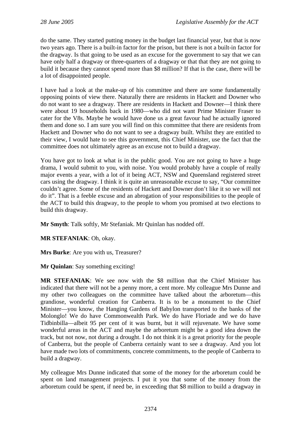do the same. They started putting money in the budget last financial year, but that is now two years ago. There is a built-in factor for the prison, but there is not a built-in factor for the dragway. Is that going to be used as an excuse for the government to say that we can have only half a dragway or three-quarters of a dragway or that that they are not going to build it because they cannot spend more than \$8 million? If that is the case, there will be a lot of disappointed people.

I have had a look at the make-up of his committee and there are some fundamentally opposing points of view there. Naturally there are residents in Hackett and Downer who do not want to see a dragway. There are residents in Hackett and Downer—I think there were about 19 households back in 1980—who did not want Prime Minister Fraser to cater for the V8s. Maybe he would have done us a great favour had he actually ignored them and done so. I am sure you will find on this committee that there are residents from Hackett and Downer who do not want to see a dragway built. Whilst they are entitled to their view, I would hate to see this government, this Chief Minister, use the fact that the committee does not ultimately agree as an excuse not to build a dragway.

You have got to look at what is in the public good. You are not going to have a huge drama, I would submit to you, with noise. You would probably have a couple of really major events a year, with a lot of it being ACT, NSW and Queensland registered street cars using the dragway. I think it is quite an unreasonable excuse to say, "Our committee couldn't agree. Some of the residents of Hackett and Downer don't like it so we will not do it". That is a feeble excuse and an abrogation of your responsibilities to the people of the ACT to build this dragway, to the people to whom you promised at two elections to build this dragway.

**Mr Smyth**: Talk softly, Mr Stefaniak. Mr Quinlan has nodded off.

**MR STEFANIAK**: Oh, okay.

**Mrs Burke**: Are you with us, Treasurer?

**Mr Quinlan**: Say something exciting!

**MR STEFANIAK**: We see now with the \$8 million that the Chief Minister has indicated that there will not be a penny more, a cent more. My colleague Mrs Dunne and my other two colleagues on the committee have talked about the arboretum—this grandiose, wonderful creation for Canberra. It is to be a monument to the Chief Minister—you know, the Hanging Gardens of Babylon transported to the banks of the Molonglo! We do have Commonwealth Park. We do have Floriade and we do have Tidbinbilla—albeit 95 per cent of it was burnt, but it will rejuvenate. We have some wonderful areas in the ACT and maybe the arboretum might be a good idea down the track, but not now, not during a drought. I do not think it is a great priority for the people of Canberra, but the people of Canberra certainly want to see a dragway. And you lot have made two lots of commitments, concrete commitments, to the people of Canberra to build a dragway.

My colleague Mrs Dunne indicated that some of the money for the arboretum could be spent on land management projects. I put it you that some of the money from the arboretum could be spent, if need be, in exceeding that \$8 million to build a dragway in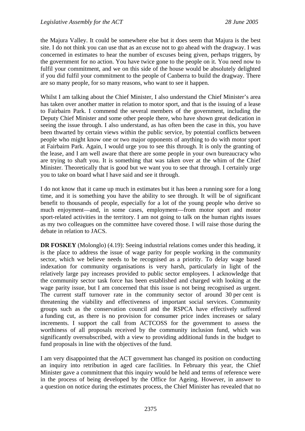the Majura Valley. It could be somewhere else but it does seem that Majura is the best site. I do not think you can use that as an excuse not to go ahead with the dragway. I was concerned in estimates to hear the number of excuses being given, perhaps triggers, by the government for no action. You have twice gone to the people on it. You need now to fulfil your commitment, and we on this side of the house would be absolutely delighted if you did fulfil your commitment to the people of Canberra to build the dragway. There are so many people, for so many reasons, who want to see it happen.

Whilst I am talking about the Chief Minister, I also understand the Chief Minister's area has taken over another matter in relation to motor sport, and that is the issuing of a lease to Fairbairn Park. I commend the several members of the government, including the Deputy Chief Minister and some other people there, who have shown great dedication in seeing the issue through. I also understand, as has often been the case in this, you have been thwarted by certain views within the public service, by potential conflicts between people who might know one or two major opponents of anything to do with motor sport at Fairbairn Park. Again, I would urge you to see this through. It is only the granting of the lease, and I am well aware that there are some people in your own bureaucracy who are trying to shaft you. It is something that was taken over at the whim of the Chief Minister. Theoretically that is good but we want you to see that through. I certainly urge you to take on board what I have said and see it through.

I do not know that it came up much in estimates but it has been a running sore for a long time, and it is something you have the ability to see through. It will be of significant benefit to thousands of people, especially for a lot of the young people who derive so much enjoyment—and, in some cases, employment—from motor sport and motor sport-related activities in the territory. I am not going to talk on the human rights issues as my two colleagues on the committee have covered those. I will raise those during the debate in relation to JACS.

**DR FOSKEY** (Molonglo) (4.19): Seeing industrial relations comes under this heading, it is the place to address the issue of wage parity for people working in the community sector, which we believe needs to be recognised as a priority. To delay wage based indexation for community organisations is very harsh, particularly in light of the relatively large pay increases provided to public sector employees. I acknowledge that the community sector task force has been established and charged with looking at the wage parity issue, but I am concerned that this issue is not being recognised as urgent. The current staff turnover rate in the community sector of around 30 per cent is threatening the viability and effectiveness of important social services. Community groups such as the conservation council and the RSPCA have effectively suffered a funding cut, as there is no provision for consumer price index increases or salary increments. I support the call from ACTCOSS for the government to assess the worthiness of all proposals received by the community inclusion fund, which was significantly oversubscribed, with a view to providing additional funds in the budget to fund proposals in line with the objectives of the fund.

I am very disappointed that the ACT government has changed its position on conducting an inquiry into retribution in aged care facilities. In February this year, the Chief Minister gave a commitment that this inquiry would be held and terms of reference were in the process of being developed by the Office for Ageing. However, in answer to a question on notice during the estimates process, the Chief Minister has revealed that no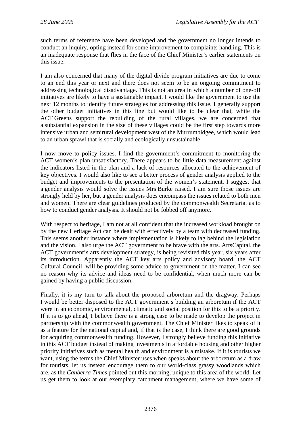such terms of reference have been developed and the government no longer intends to conduct an inquiry, opting instead for some improvement to complaints handling. This is an inadequate response that flies in the face of the Chief Minister's earlier statements on this issue.

I am also concerned that many of the digital divide program initiatives are due to come to an end this year or next and there does not seem to be an ongoing commitment to addressing technological disadvantage. This is not an area in which a number of one-off initiatives are likely to have a sustainable impact. I would like the government to use the next 12 months to identify future strategies for addressing this issue. I generally support the other budget initiatives in this line but would like to be clear that, while the ACT Greens support the rebuilding of the rural villages, we are concerned that a substantial expansion in the size of these villages could be the first step towards more intensive urban and semirural development west of the Murrumbidgee, which would lead to an urban sprawl that is socially and ecologically unsustainable.

I now move to policy issues. I find the government's commitment to monitoring the ACT women's plan unsatisfactory. There appears to be little data measurement against the indicators listed in the plan and a lack of resources allocated to the achievement of key objectives. I would also like to see a better process of gender analysis applied to the budget and improvements to the presentation of the women's statement. I suggest that a gender analysis would solve the issues Mrs Burke raised. I am sure those issues are strongly held by her, but a gender analysis does encompass the issues related to both men and women. There are clear guidelines produced by the commonwealth Secretariat as to how to conduct gender analysis. It should not be fobbed off anymore.

With respect to heritage, I am not at all confident that the increased workload brought on by the new Heritage Act can be dealt with effectively by a team with decreased funding. This seems another instance where implementation is likely to lag behind the legislation and the vision. I also urge the ACT government to be brave with the arts. ArtsCapital, the ACT government's arts development strategy, is being revisited this year, six years after its introduction. Apparently the ACT key arts policy and advisory board, the ACT Cultural Council, will be providing some advice to government on the matter. I can see no reason why its advice and ideas need to be confidential, when much more can be gained by having a public discussion.

Finally, it is my turn to talk about the proposed arboretum and the dragway. Perhaps I would be better disposed to the ACT government's building an arboretum if the ACT were in an economic, environmental, climatic and social position for this to be a priority. If it is to go ahead, I believe there is a strong case to be made to develop the project in partnership with the commonwealth government. The Chief Minister likes to speak of it as a feature for the national capital and, if that is the case, I think there are good grounds for acquiring commonwealth funding. However, I strongly believe funding this initiative in this ACT budget instead of making investments in affordable housing and other higher priority initiatives such as mental health and environment is a mistake. If it is tourists we want, using the terms the Chief Minister uses when speaks about the arboretum as a draw for tourists, let us instead encourage them to our world-class grassy woodlands which are, as the *Canberra Times* pointed out this morning, unique to this area of the world. Let us get them to look at our exemplary catchment management, where we have some of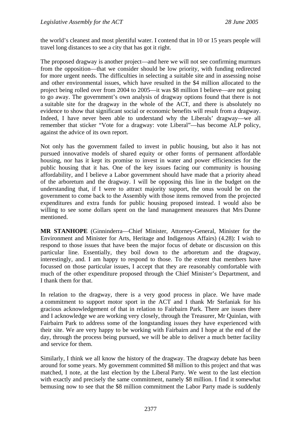the world's cleanest and most plentiful water. I contend that in 10 or 15 years people will travel long distances to see a city that has got it right.

The proposed dragway is another project—and here we will not see confirming murmurs from the opposition—that we consider should be low priority, with funding redirected for more urgent needs. The difficulties in selecting a suitable site and in assessing noise and other environmental issues, which have resulted in the \$4 million allocated to the project being rolled over from 2004 to 2005—it was \$8 million I believe—are not going to go away. The government's own analysis of dragway options found that there is not a suitable site for the dragway in the whole of the ACT, and there is absolutely no evidence to show that significant social or economic benefits will result from a dragway. Indeed, I have never been able to understand why the Liberals' dragway—we all remember that sticker "Vote for a dragway: vote Liberal"—has become ALP policy, against the advice of its own report.

Not only has the government failed to invest in public housing, but also it has not pursued innovative models of shared equity or other forms of permanent affordable housing, nor has it kept its promise to invest in water and power efficiencies for the public housing that it has. One of the key issues facing our community is housing affordability, and I believe a Labor government should have made that a priority ahead of the arboretum and the dragway. I will be opposing this line in the budget on the understanding that, if I were to attract majority support, the onus would be on the government to come back to the Assembly with those items removed from the projected expenditures and extra funds for public housing proposed instead. I would also be willing to see some dollars spent on the land management measures that Mrs Dunne mentioned.

**MR STANHOPE** (Ginninderra—Chief Minister, Attorney-General, Minister for the Environment and Minister for Arts, Heritage and Indigenous Affairs) (4.28): I wish to respond to those issues that have been the major focus of debate or discussion on this particular line. Essentially, they boil down to the arboretum and the dragway, interestingly, and. I am happy to respond to those. To the extent that members have focussed on those particular issues, I accept that they are reasonably comfortable with much of the other expenditure proposed through the Chief Minister's Department, and I thank them for that.

In relation to the dragway, there is a very good process in place. We have made a commitment to support motor sport in the ACT and I thank Mr Stefaniak for his gracious acknowledgement of that in relation to Fairbairn Park. There are issues there and I acknowledge we are working very closely, through the Treasurer, Mr Quinlan, with Fairbairn Park to address some of the longstanding issues they have experienced with their site. We are very happy to be working with Fairbairn and I hope at the end of the day, through the process being pursued, we will be able to deliver a much better facility and service for them.

Similarly, I think we all know the history of the dragway. The dragway debate has been around for some years. My government committed \$8 million to this project and that was matched, I note, at the last election by the Liberal Party. We went to the last election with exactly and precisely the same commitment, namely \$8 million. I find it somewhat bemusing now to see that the \$8 million commitment the Labor Party made is suddenly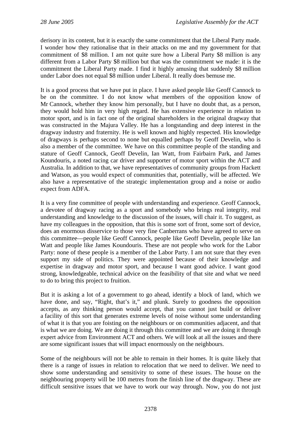derisory in its content, but it is exactly the same commitment that the Liberal Party made. I wonder how they rationalise that in their attacks on me and my government for that commitment of \$8 million. I am not quite sure how a Liberal Party \$8 million is any different from a Labor Party \$8 million but that was the commitment we made: it is the commitment the Liberal Party made. I find it highly amusing that suddenly \$8 million under Labor does not equal \$8 million under Liberal. It really does bemuse me.

It is a good process that we have put in place. I have asked people like Geoff Cannock to be on the committee. I do not know what members of the opposition know of Mr Cannock, whether they know him personally, but I have no doubt that, as a person, they would hold him in very high regard. He has extensive experience in relation to motor sport, and is in fact one of the original shareholders in the original dragway that was constructed in the Majura Valley. He has a longstanding and deep interest in the dragway industry and fraternity. He is well known and highly respected. His knowledge of dragways is perhaps second to none but equalled perhaps by Geoff Develin, who is also a member of the committee. We have on this committee people of the standing and stature of Geoff Cannock, Geoff Develin, Ian Watt, from Fairbairn Park, and James Koundouris, a noted racing car driver and supporter of motor sport within the ACT and Australia. In addition to that, we have representatives of community groups from Hackett and Watson, as you would expect of communities that, potentially, will be affected. We also have a representative of the strategic implementation group and a noise or audio expect from ADFA.

It is a very fine committee of people with understanding and experience. Geoff Cannock, a devotee of dragway racing as a sport and somebody who brings real integrity, real understanding and knowledge to the discussion of the issues, will chair it. To suggest, as have my colleagues in the opposition, that this is some sort of front, some sort of device, does an enormous disservice to those very fine Canberrans who have agreed to serve on this committee—people like Geoff Cannock, people like Geoff Develin, people like Ian Watt and people like James Koundouris. These are not people who work for the Labor Party: none of these people is a member of the Labor Party. I am not sure that they even support my side of politics. They were appointed because of their knowledge and expertise in dragway and motor sport, and because I want good advice. I want good strong, knowledgeable, technical advice on the feasibility of that site and what we need to do to bring this project to fruition.

But it is asking a lot of a government to go ahead, identify a block of land, which we have done, and say, "Right, that's it," and plunk. Surely to goodness the opposition accepts, as any thinking person would accept, that you cannot just build or deliver a facility of this sort that generates extreme levels of noise without some understanding of what it is that you are foisting on the neighbours or on communities adjacent, and that is what we are doing. We are doing it through this committee and we are doing it through expert advice from Environment ACT and others. We will look at all the issues and there are some significant issues that will impact enormously on the neighbours.

Some of the neighbours will not be able to remain in their homes. It is quite likely that there is a range of issues in relation to relocation that we need to deliver. We need to show some understanding and sensitivity to some of these issues. The house on the neighbouring property will be 100 metres from the finish line of the dragway. These are difficult sensitive issues that we have to work our way through. Now, you do not just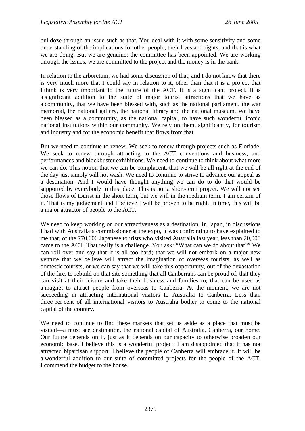bulldoze through an issue such as that. You deal with it with some sensitivity and some understanding of the implications for other people, their lives and rights, and that is what we are doing. But we are genuine: the committee has been appointed. We are working through the issues, we are committed to the project and the money is in the bank.

In relation to the arboretum, we had some discussion of that, and I do not know that there is very much more that I could say in relation to it, other than that it is a project that I think is very important to the future of the ACT. It is a significant project. It is a significant addition to the suite of major tourist attractions that we have as a community, that we have been blessed with, such as the national parliament, the war memorial, the national gallery, the national library and the national museum. We have been blessed as a community, as the national capital, to have such wonderful iconic national institutions within our community. We rely on them, significantly, for tourism and industry and for the economic benefit that flows from that.

But we need to continue to renew. We seek to renew through projects such as Floriade. We seek to renew through attracting to the ACT conventions and business, and performances and blockbuster exhibitions. We need to continue to think about what more we can do. This notion that we can be complacent, that we will be all right at the end of the day just simply will not wash. We need to continue to strive to advance our appeal as a destination. And I would have thought anything we can do to do that would be supported by everybody in this place. This is not a short-term project. We will not see those flows of tourist in the short term, but we will in the medium term. I am certain of it. That is my judgement and I believe I will be proven to be right. In time, this will be a major attractor of people to the ACT.

We need to keep working on our attractiveness as a destination. In Japan, in discussions I had with Australia's commissioner at the expo, it was confronting to have explained to me that, of the 770,000 Japanese tourists who visited Australia last year, less than 20,000 came to the ACT. That really is a challenge. You ask: "What can we do about that?" We can roll over and say that it is all too hard; that we will not embark on a major new venture that we believe will attract the imagination of overseas tourists, as well as domestic tourists, or we can say that we will take this opportunity, out of the devastation of the fire, to rebuild on that site something that all Canberrans can be proud of, that they can visit at their leisure and take their business and families to, that can be used as a magnet to attract people from overseas to Canberra. At the moment, we are not succeeding in attracting international visitors to Australia to Canberra. Less than three per cent of all international visitors to Australia bother to come to the national capital of the country.

We need to continue to find these markets that set us aside as a place that must be visited—a must see destination, the national capital of Australia, Canberra, our home. Our future depends on it, just as it depends on our capacity to otherwise broaden our economic base. I believe this is a wonderful project. I am disappointed that it has not attracted bipartisan support. I believe the people of Canberra will embrace it. It will be a wonderful addition to our suite of committed projects for the people of the ACT. I commend the budget to the house.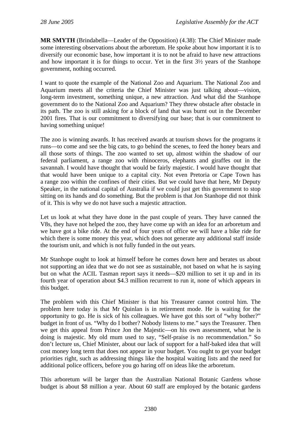**MR SMYTH** (Brindabella—Leader of the Opposition) (4.38): The Chief Minister made some interesting observations about the arboretum. He spoke about how important it is to diversify our economic base, how important it is to not be afraid to have new attractions and how important it is for things to occur. Yet in the first 3½ years of the Stanhope government, nothing occurred.

I want to quote the example of the National Zoo and Aquarium. The National Zoo and Aquarium meets all the criteria the Chief Minister was just talking about—vision, long-term investment, something unique, a new attraction. And what did the Stanhope government do to the National Zoo and Aquarium? They threw obstacle after obstacle in its path. The zoo is still asking for a block of land that was burnt out in the December 2001 fires. That is our commitment to diversifying our base; that is our commitment to having something unique!

The zoo is winning awards. It has received awards at tourism shows for the programs it runs—to come and see the big cats, to go behind the scenes, to feed the honey bears and all those sorts of things. The zoo wanted to set up, almost within the shadow of our federal parliament, a range zoo with rhinoceros, elephants and giraffes out in the savannah. I would have thought that would be fairly majestic. I would have thought that that would have been unique to a capital city. Not even Pretoria or Cape Town has a range zoo within the confines of their cities. But we could have that here, Mr Deputy Speaker, in the national capital of Australia if we could just get this government to stop sitting on its hands and do something. But the problem is that Jon Stanhope did not think of it. This is why we do not have such a majestic attraction.

Let us look at what they have done in the past couple of years. They have canned the V8s, they have not helped the zoo, they have come up with an idea for an arboretum and we have got a bike ride. At the end of four years of office we will have a bike ride for which there is some money this year, which does not generate any additional staff inside the tourism unit, and which is not fully funded in the out years.

Mr Stanhope ought to look at himself before he comes down here and berates us about not supporting an idea that we do not see as sustainable, not based on what he is saying but on what the ACIL Tasman report says it needs—\$20 million to set it up and in its fourth year of operation about \$4.3 million recurrent to run it, none of which appears in this budget.

The problem with this Chief Minister is that his Treasurer cannot control him. The problem here today is that Mr Quinlan is in retirement mode. He is waiting for the opportunity to go. He is sick of his colleagues. We have got this sort of "why bother?" budget in front of us. "Why do I bother? Nobody listens to me." says the Treasurer. Then we get this appeal from Prince Jon the Majestic—on his own assessment, what he is doing is majestic. My old mum used to say, "Self-praise is no recommendation." So don't lecture us, Chief Minister, about our lack of support for a half-baked idea that will cost money long term that does not appear in your budget. You ought to get your budget priorities right, such as addressing things like the hospital waiting lists and the need for additional police officers, before you go haring off on ideas like the arboretum.

This arboretum will be larger than the Australian National Botanic Gardens whose budget is about \$8 million a year. About 60 staff are employed by the botanic gardens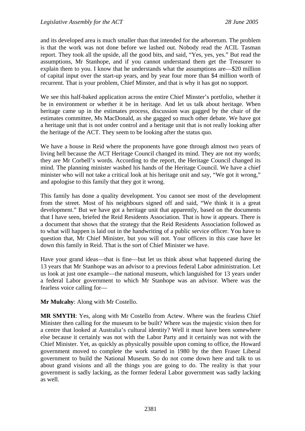and its developed area is much smaller than that intended for the arboretum. The problem is that the work was not done before we lashed out. Nobody read the ACIL Tasman report. They took all the upside, all the good bits, and said, "Yes, yes, yes." But read the assumptions, Mr Stanhope, and if you cannot understand them get the Treasurer to explain them to you. I know that he understands what the assumptions are—\$20 million of capital input over the start-up years, and by year four more than \$4 million worth of recurrent. That is your problem, Chief Minster, and that is why it has got no support.

We see this half-baked application across the entire Chief Minster's portfolio, whether it be in environment or whether it be in heritage. And let us talk about heritage. When heritage came up in the estimates process, discussion was gagged by the chair of the estimates committee, Ms MacDonald, as she gagged so much other debate. We have got a heritage unit that is not under control and a heritage unit that is not really looking after the heritage of the ACT. They seem to be looking after the status quo.

We have a house in Reid where the proponents have gone through almost two years of living hell because the ACT Heritage Council changed its mind. They are not my words; they are Mr Corbell's words. According to the report, the Heritage Council changed its mind. The planning minister washed his hands of the Heritage Council. We have a chief minister who will not take a critical look at his heritage unit and say, "We got it wrong," and apologise to this family that they got it wrong.

This family has done a quality development. You cannot see most of the development from the street. Most of his neighbours signed off and said, "We think it is a great development." But we have got a heritage unit that apparently, based on the documents that I have seen, briefed the Reid Residents Association. That is how it appears. There is a document that shows that the strategy that the Reid Residents Association followed as to what will happen is laid out in the handwriting of a public service officer. You have to question that, Mr Chief Minister, but you will not. Your officers in this case have let down this family in Reid. That is the sort of Chief Minister we have.

Have your grand ideas—that is fine—but let us think about what happened during the 13 years that Mr Stanhope was an advisor to a previous federal Labor administration. Let us look at just one example—the national museum, which languished for 13 years under a federal Labor government to which Mr Stanhope was an advisor. Where was the fearless voice calling for—

**Mr Mulcahy**: Along with Mr Costello.

**MR SMYTH**: Yes, along with Mr Costello from Actew. Where was the fearless Chief Minister then calling for the museum to be built? Where was the majestic vision then for a centre that looked at Australia's cultural identity? Well it must have been somewhere else because it certainly was not with the Labor Party and it certainly was not with the Chief Minister. Yet, as quickly as physically possible upon coming to office, the Howard government moved to complete the work started in 1980 by the then Fraser Liberal government to build the National Museum. So do not come down here and talk to us about grand visions and all the things you are going to do. The reality is that your government is sadly lacking, as the former federal Labor government was sadly lacking as well.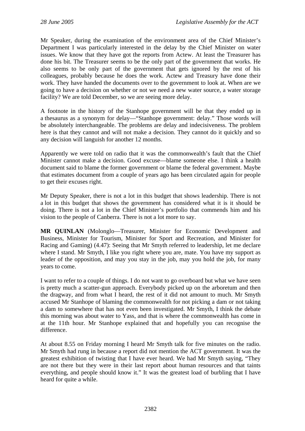Mr Speaker, during the examination of the environment area of the Chief Minister's Department I was particularly interested in the delay by the Chief Minister on water issues. We know that they have got the reports from Actew. At least the Treasurer has done his bit. The Treasurer seems to be the only part of the government that works. He also seems to be only part of the government that gets ignored by the rest of his colleagues, probably because he does the work. Actew and Treasury have done their work. They have handed the documents over to the government to look at. When are we going to have a decision on whether or not we need a new water source, a water storage facility? We are told December, so we are seeing more delay.

A footnote in the history of the Stanhope government will be that they ended up in a thesaurus as a synonym for delay—"Stanhope government: delay." Those words will be absolutely interchangeable. The problems are delay and indecisiveness. The problem here is that they cannot and will not make a decision. They cannot do it quickly and so any decision will languish for another 12 months.

Apparently we were told on radio that it was the commonwealth's fault that the Chief Minister cannot make a decision. Good excuse—blame someone else. I think a health document said to blame the former government or blame the federal government. Maybe that estimates document from a couple of years ago has been circulated again for people to get their excuses right.

Mr Deputy Speaker, there is not a lot in this budget that shows leadership. There is not a lot in this budget that shows the government has considered what it is it should be doing. There is not a lot in the Chief Minister's portfolio that commends him and his vision to the people of Canberra. There is not a lot more to say.

**MR QUINLAN** (Molonglo—Treasurer, Minister for Economic Development and Business, Minister for Tourism, Minister for Sport and Recreation, and Minister for Racing and Gaming) (4.47): Seeing that Mr Smyth referred to leadership, let me declare where I stand. Mr Smyth, I like you right where you are, mate. You have my support as leader of the opposition, and may you stay in the job, may you hold the job, for many years to come.

I want to refer to a couple of things. I do not want to go overboard but what we have seen is pretty much a scatter-gun approach. Everybody picked up on the arboretum and then the dragway, and from what I heard, the rest of it did not amount to much. Mr Smyth accused Mr Stanhope of blaming the commonwealth for not picking a dam or not taking a dam to somewhere that has not even been investigated. Mr Smyth, I think the debate this morning was about water to Yass, and that is where the commonwealth has come in at the 11th hour. Mr Stanhope explained that and hopefully you can recognise the difference.

At about 8.55 on Friday morning I heard Mr Smyth talk for five minutes on the radio. Mr Smyth had rung in because a report did not mention the ACT government. It was the greatest exhibition of twisting that I have ever heard. We had Mr Smyth saying, "They are not there but they were in their last report about human resources and that taints everything, and people should know it." It was the greatest load of burbling that I have heard for quite a while.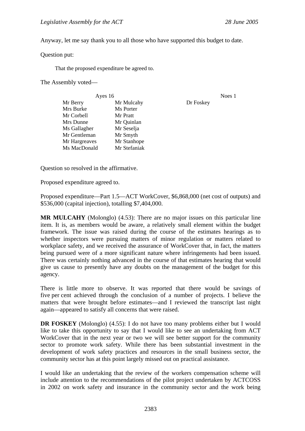Anyway, let me say thank you to all those who have supported this budget to date.

Question put:

That the proposed expenditure be agreed to.

The Assembly voted—

| Ayes 16       |              |           | Noes 1 |
|---------------|--------------|-----------|--------|
| Mr Berry      | Mr Mulcahy   | Dr Foskey |        |
| Mrs Burke     | Ms Porter    |           |        |
| Mr Corbell    | Mr Pratt     |           |        |
| Mrs Dunne     | Mr Quinlan   |           |        |
| Ms Gallagher  | Mr Seselja   |           |        |
| Mr Gentleman  | Mr Smyth     |           |        |
| Mr Hargreaves | Mr Stanhope  |           |        |
| Ms MacDonald  | Mr Stefaniak |           |        |
|               |              |           |        |

Question so resolved in the affirmative.

Proposed expenditure agreed to.

Proposed expenditure—Part 1.5—ACT WorkCover, \$6,868,000 (net cost of outputs) and \$536,000 (capital injection), totalling \$7,404,000.

**MR MULCAHY** (Molonglo) (4.53): There are no major issues on this particular line item. It is, as members would be aware, a relatively small element within the budget framework. The issue was raised during the course of the estimates hearings as to whether inspectors were pursuing matters of minor regulation or matters related to workplace safety, and we received the assurance of WorkCover that, in fact, the matters being pursued were of a more significant nature where infringements had been issued. There was certainly nothing advanced in the course of that estimates hearing that would give us cause to presently have any doubts on the management of the budget for this agency.

There is little more to observe. It was reported that there would be savings of five per cent achieved through the conclusion of a number of projects. I believe the matters that were brought before estimates—and I reviewed the transcript last night again—appeared to satisfy all concerns that were raised.

**DR FOSKEY** (Molonglo) (4.55): I do not have too many problems either but I would like to take this opportunity to say that I would like to see an undertaking from ACT WorkCover that in the next year or two we will see better support for the community sector to promote work safety. While there has been substantial investment in the development of work safety practices and resources in the small business sector, the community sector has at this point largely missed out on practical assistance.

I would like an undertaking that the review of the workers compensation scheme will include attention to the recommendations of the pilot project undertaken by ACTCOSS in 2002 on work safety and insurance in the community sector and the work being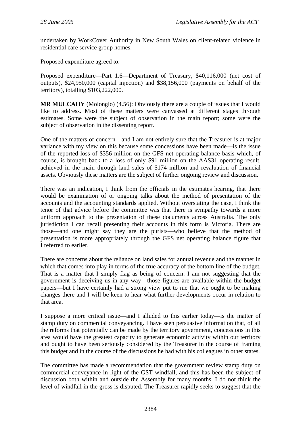undertaken by WorkCover Authority in New South Wales on client-related violence in residential care service group homes.

Proposed expenditure agreed to.

Proposed expenditure—Part 1.6—Department of Treasury, \$40,116,000 (net cost of outputs), \$24,950,000 (capital injection) and \$38,156,000 (payments on behalf of the territory), totalling \$103,222,000.

**MR MULCAHY** (Molonglo) (4.56): Obviously there are a couple of issues that I would like to address. Most of these matters were canvassed at different stages through estimates. Some were the subject of observation in the main report; some were the subject of observation in the dissenting report.

One of the matters of concern—and I am not entirely sure that the Treasurer is at major variance with my view on this because some concessions have been made—is the issue of the reported loss of \$356 million on the GFS net operating balance basis which, of course, is brought back to a loss of only \$91 million on the AAS31 operating result, achieved in the main through land sales of \$174 million and revaluation of financial assets. Obviously these matters are the subject of further ongoing review and discussion.

There was an indication, I think from the officials in the estimates hearing, that there would be examination of or ongoing talks about the method of presentation of the accounts and the accounting standards applied. Without overstating the case, I think the tenor of that advice before the committee was that there is sympathy towards a more uniform approach to the presentation of these documents across Australia. The only jurisdiction I can recall presenting their accounts in this form is Victoria. There are those—and one might say they are the purists—who believe that the method of presentation is more appropriately through the GFS net operating balance figure that I referred to earlier.

There are concerns about the reliance on land sales for annual revenue and the manner in which that comes into play in terms of the true accuracy of the bottom line of the budget. That is a matter that I simply flag as being of concern. I am not suggesting that the government is deceiving us in any way—those figures are available within the budget papers—but I have certainly had a strong view put to me that we ought to be making changes there and I will be keen to hear what further developments occur in relation to that area.

I suppose a more critical issue—and I alluded to this earlier today—is the matter of stamp duty on commercial conveyancing. I have seen persuasive information that, of all the reforms that potentially can be made by the territory government, concessions in this area would have the greatest capacity to generate economic activity within our territory and ought to have been seriously considered by the Treasurer in the course of framing this budget and in the course of the discussions he had with his colleagues in other states.

The committee has made a recommendation that the government review stamp duty on commercial conveyance in light of the GST windfall, and this has been the subject of discussion both within and outside the Assembly for many months. I do not think the level of windfall in the gross is disputed. The Treasurer rapidly seeks to suggest that the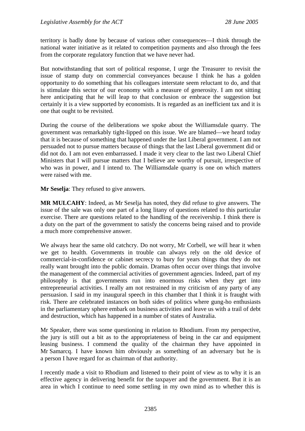territory is badly done by because of various other consequences—I think through the national water initiative as it related to competition payments and also through the fees from the corporate regulatory function that we have never had.

But notwithstanding that sort of political response, I urge the Treasurer to revisit the issue of stamp duty on commercial conveyances because I think he has a golden opportunity to do something that his colleagues interstate seem reluctant to do, and that is stimulate this sector of our economy with a measure of generosity. I am not sitting here anticipating that he will leap to that conclusion or embrace the suggestion but certainly it is a view supported by economists. It is regarded as an inefficient tax and it is one that ought to be revisited.

During the course of the deliberations we spoke about the Williamsdale quarry. The government was remarkably tight-lipped on this issue. We are blamed—we heard today that it is because of something that happened under the last Liberal government. I am not persuaded not to pursue matters because of things that the last Liberal government did or did not do. I am not even embarrassed. I made it very clear to the last two Liberal Chief Ministers that I will pursue matters that I believe are worthy of pursuit, irrespective of who was in power, and I intend to. The Williamsdale quarry is one on which matters were raised with me.

**Mr Seselja**: They refused to give answers.

**MR MULCAHY**: Indeed, as Mr Seselja has noted, they did refuse to give answers. The issue of the sale was only one part of a long litany of questions related to this particular exercise. There are questions related to the handling of the receivership. I think there is a duty on the part of the government to satisfy the concerns being raised and to provide a much more comprehensive answer.

We always hear the same old catchcry. Do not worry, Mr Corbell, we will hear it when we get to health. Governments in trouble can always rely on the old device of commercial-in-confidence or cabinet secrecy to bury for years things that they do not really want brought into the public domain. Dramas often occur over things that involve the management of the commercial activities of government agencies. Indeed, part of my philosophy is that governments run into enormous risks when they get into entrepreneurial activities. I really am not restrained in my criticism of any party of any persuasion. I said in my inaugural speech in this chamber that I think it is fraught with risk. There are celebrated instances on both sides of politics where gung-ho enthusiasts in the parliamentary sphere embark on business activities and leave us with a trail of debt and destruction, which has happened in a number of states of Australia.

Mr Speaker, there was some questioning in relation to Rhodium. From my perspective, the jury is still out a bit as to the appropriateness of being in the car and equipment leasing business. I commend the quality of the chairman they have appointed in Mr Samarcq. I have known him obviously as something of an adversary but he is a person I have regard for as chairman of that authority.

I recently made a visit to Rhodium and listened to their point of view as to why it is an effective agency in delivering benefit for the taxpayer and the government. But it is an area in which I continue to need some settling in my own mind as to whether this is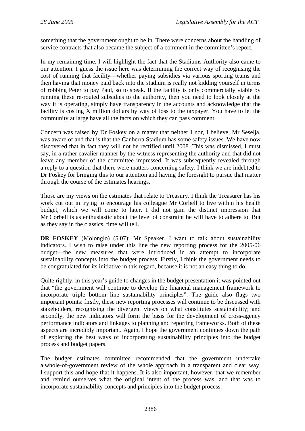something that the government ought to be in. There were concerns about the handling of service contracts that also became the subject of a comment in the committee's report.

In my remaining time, I will highlight the fact that the Stadiums Authority also came to our attention. I guess the issue here was determining the correct way of recognising the cost of running that facility—whether paying subsidies via various sporting teams and then having that money paid back into the stadium is really not kidding yourself in terms of robbing Peter to pay Paul, so to speak. If the facility is only commercially viable by running these re-routed subsidies to the authority, then you need to look closely at the way it is operating, simply have transparency in the accounts and acknowledge that the facility is costing X million dollars by way of loss to the taxpayer. You have to let the community at large have all the facts on which they can pass comment.

Concern was raised by Dr Foskey on a matter that neither I nor, I believe, Mr Seselja, was aware of and that is that the Canberra Stadium has some safety issues. We have now discovered that in fact they will not be rectified until 2008. This was dismissed, I must say, in a rather cavalier manner by the witness representing the authority and that did not leave any member of the committee impressed. It was subsequently revealed through a reply to a question that there were matters concerning safety. I think we are indebted to Dr Foskey for bringing this to our attention and having the foresight to pursue that matter through the course of the estimates hearings.

Those are my views on the estimates that relate to Treasury. I think the Treasurer has his work cut out in trying to encourage his colleague Mr Corbell to live within his health budget, which we will come to later. I did not gain the distinct impression that Mr Corbell is as enthusiastic about the level of constraint he will have to adhere to. But as they say in the classics, time will tell.

**DR FOSKEY** (Molonglo) (5.07): Mr Speaker, I want to talk about sustainability indicators. I wish to raise under this line the new reporting process for the 2005-06 budget—the new measures that were introduced in an attempt to incorporate sustainability concepts into the budget process. Firstly, I think the government needs to be congratulated for its initiative in this regard, because it is not an easy thing to do.

Quite rightly, in this year's guide to changes in the budget presentation it was pointed out that "the government will continue to develop the financial management framework to incorporate triple bottom line sustainability principles". The guide also flags two important points: firstly, these new reporting processes will continue to be discussed with stakeholders, recognising the divergent views on what constitutes sustainability; and secondly, the new indicators will form the basis for the development of cross-agency performance indicators and linkages to planning and reporting frameworks. Both of these aspects are incredibly important. Again, I hope the government continues down the path of exploring the best ways of incorporating sustainability principles into the budget process and budget papers.

The budget estimates committee recommended that the government undertake a whole-of-government review of the whole approach in a transparent and clear way. I support this and hope that it happens. It is also important, however, that we remember and remind ourselves what the original intent of the process was, and that was to incorporate sustainability concepts and principles into the budget process.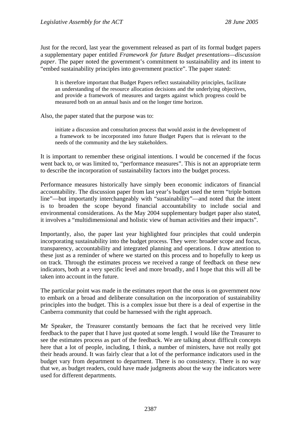Just for the record, last year the government released as part of its formal budget papers a supplementary paper entitled *Framework for future Budget presentations—discussion paper*. The paper noted the government's commitment to sustainability and its intent to "embed sustainability principles into government practice". The paper stated:

It is therefore important that Budget Papers reflect sustainability principles, facilitate an understanding of the resource allocation decisions and the underlying objectives, and provide a framework of measures and targets against which progress could be measured both on an annual basis and on the longer time horizon.

Also, the paper stated that the purpose was to:

initiate a discussion and consultation process that would assist in the development of a framework to be incorporated into future Budget Papers that is relevant to the needs of the community and the key stakeholders.

It is important to remember these original intentions. I would be concerned if the focus went back to, or was limited to, "performance measures". This is not an appropriate term to describe the incorporation of sustainability factors into the budget process.

Performance measures historically have simply been economic indicators of financial accountability. The discussion paper from last year's budget used the term "triple bottom line"—but importantly interchangeably with "sustainability"—and noted that the intent is to broaden the scope beyond financial accountability to include social and environmental considerations. As the May 2004 supplementary budget paper also stated, it involves a "multidimensional and holistic view of human activities and their impacts".

Importantly, also, the paper last year highlighted four principles that could underpin incorporating sustainability into the budget process. They were: broader scope and focus, transparency, accountability and integrated planning and operations. I draw attention to these just as a reminder of where we started on this process and to hopefully to keep us on track. Through the estimates process we received a range of feedback on these new indicators, both at a very specific level and more broadly, and I hope that this will all be taken into account in the future.

The particular point was made in the estimates report that the onus is on government now to embark on a broad and deliberate consultation on the incorporation of sustainability principles into the budget. This is a complex issue but there is a deal of expertise in the Canberra community that could be harnessed with the right approach.

Mr Speaker, the Treasurer constantly bemoans the fact that he received very little feedback to the paper that I have just quoted at some length. I would like the Treasurer to see the estimates process as part of the feedback. We are talking about difficult concepts here that a lot of people, including, I think, a number of ministers, have not really got their heads around. It was fairly clear that a lot of the performance indicators used in the budget vary from department to department. There is no consistency. There is no way that we, as budget readers, could have made judgments about the way the indicators were used for different departments.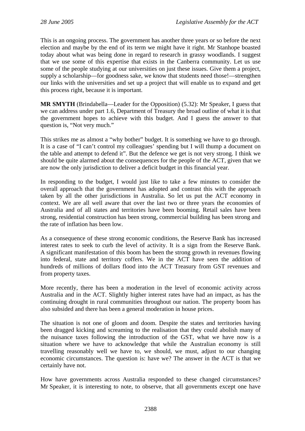This is an ongoing process. The government has another three years or so before the next election and maybe by the end of its term we might have it right. Mr Stanhope boasted today about what was being done in regard to research in grassy woodlands. I suggest that we use some of this expertise that exists in the Canberra community. Let us use some of the people studying at our universities on just these issues. Give them a project, supply a scholarship—for goodness sake, we know that students need those!—strengthen our links with the universities and set up a project that will enable us to expand and get this process right, because it is important.

**MR SMYTH** (Brindabella—Leader for the Opposition) (5.32): Mr Speaker, I guess that we can address under part 1.6, Department of Treasury the broad outline of what it is that the government hopes to achieve with this budget. And I guess the answer to that question is, "Not very much."

This strikes me as almost a "why bother" budget. It is something we have to go through. It is a case of "I can't control my colleagues' spending but I will thump a document on the table and attempt to defend it". But the defence we get is not very strong. I think we should be quite alarmed about the consequences for the people of the ACT, given that we are now the only jurisdiction to deliver a deficit budget in this financial year.

In responding to the budget, I would just like to take a few minutes to consider the overall approach that the government has adopted and contrast this with the approach taken by all the other jurisdictions in Australia. So let us put the ACT economy in context. We are all well aware that over the last two or three years the economies of Australia and of all states and territories have been booming. Retail sales have been strong, residential construction has been strong, commercial building has been strong and the rate of inflation has been low.

As a consequence of these strong economic conditions, the Reserve Bank has increased interest rates to seek to curb the level of activity. It is a sign from the Reserve Bank. A significant manifestation of this boom has been the strong growth in revenues flowing into federal, state and territory coffers. We in the ACT have seen the addition of hundreds of millions of dollars flood into the ACT Treasury from GST revenues and from property taxes.

More recently, there has been a moderation in the level of economic activity across Australia and in the ACT. Slightly higher interest rates have had an impact, as has the continuing drought in rural communities throughout our nation. The property boom has also subsided and there has been a general moderation in house prices.

The situation is not one of gloom and doom. Despite the states and territories having been dragged kicking and screaming to the realisation that they could abolish many of the nuisance taxes following the introduction of the GST, what we have now is a situation where we have to acknowledge that while the Australian economy is still travelling reasonably well we have to, we should, we must, adjust to our changing economic circumstances. The question is: have we? The answer in the ACT is that we certainly have not.

How have governments across Australia responded to these changed circumstances? Mr Speaker, it is interesting to note, to observe, that all governments except one have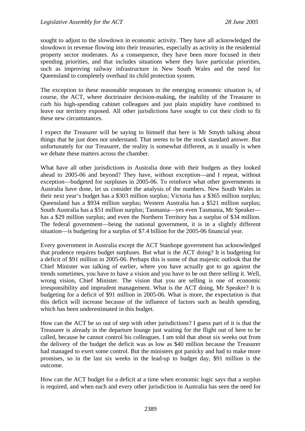sought to adjust to the slowdown in economic activity. They have all acknowledged the slowdown in revenue flowing into their treasuries, especially as activity in the residential property sector moderates. As a consequence, they have been more focused in their spending priorities, and that includes situations where they have particular priorities, such as improving railway infrastructure in New South Wales and the need for Queensland to completely overhaul its child protection system.

The exception to these reasonable responses to the emerging economic situation is, of course, the ACT, where doctrinaire decision-making, the inability of the Treasurer to curb his high-spending cabinet colleagues and just plain stupidity have combined to leave our territory exposed. All other jurisdictions have sought to cut their cloth to fit these new circumstances.

I expect the Treasurer will be saying to himself that here is Mr Smyth talking about things that he just does not understand. That seems to be the stock standard answer. But unfortunately for our Treasurer, the reality is somewhat different, as it usually is when we debate these matters across the chamber.

What have all other jurisdictions in Australia done with their budgets as they looked ahead to 2005-06 and beyond? They have, without exception—and I repeat, without exception—budgeted for surpluses in 2005-06. To reinforce what other governments in Australia have done, let us consider the analysis of the numbers. New South Wales in their next year's budget has a \$303 million surplus; Victoria has a \$365 million surplus; Queensland has a \$934 million surplus; Western Australia has a \$521 million surplus; South Australia has a \$51 million surplus; Tasmania—yes even Tasmania, Mr Speaker has a \$29 million surplus; and even the Northern Territory has a surplus of \$34 million. The federal government—being the national government, it is in a slightly different situation—is budgeting for a surplus of \$7.4 billion for the 2005-06 financial year.

Every government in Australia except the ACT Stanhope government has acknowledged that prudence requires budget surpluses. But what is the ACT doing? It is budgeting for a deficit of \$91 million in 2005-06. Perhaps this is some of that majestic outlook that the Chief Minister was talking of earlier, where you have actually got to go against the trends sometimes, you have to have a vision and you have to be out there selling it. Well, wrong vision, Chief Minister. The vision that you are selling is one of economic irresponsibility and imprudent management. What is the ACT doing, Mr Speaker? It is budgeting for a deficit of \$91 million in 2005-06. What is more, the expectation is that this deficit will increase because of the influence of factors such as health spending, which has been underestimated in this budget.

How can the ACT be so out of step with other jurisdictions? I guess part of it is that the Treasurer is already in the departure lounge just waiting for the flight out of here to be called, because he cannot control his colleagues. I am told that about six weeks out from the delivery of the budget the deficit was as low as \$40 million because the Treasurer had managed to exert some control. But the ministers got panicky and had to make more promises, so in the last six weeks in the lead-up to budget day, \$91 million is the outcome.

How can the ACT budget for a deficit at a time when economic logic says that a surplus is required, and when each and every other jurisdiction in Australia has seen the need for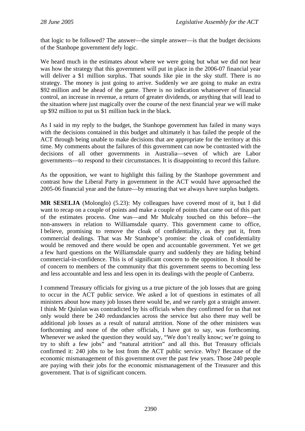that logic to be followed? The answer—the simple answer—is that the budget decisions of the Stanhope government defy logic.

We heard much in the estimates about where we were going but what we did not hear was how the strategy that this government will put in place in the 2006-07 financial year will deliver a \$1 million surplus. That sounds like pie in the sky stuff. There is no strategy. The money is just going to arrive. Suddenly we are going to make an extra \$92 million and be ahead of the game. There is no indication whatsoever of financial control, an increase in revenue, a return of greater dividends, or anything that will lead to the situation where just magically over the course of the next financial year we will make up \$92 million to put us \$1 million back in the black.

As I said in my reply to the budget, the Stanhope government has failed in many ways with the decisions contained in this budget and ultimately it has failed the people of the ACT through being unable to make decisions that are appropriate for the territory at this time. My comments about the failures of this government can now be contrasted with the decisions of all other governments in Australia—seven of which are Labor governments—to respond to their circumstances. It is disappointing to record this failure.

As the opposition, we want to highlight this failing by the Stanhope government and contrast how the Liberal Party in government in the ACT would have approached the 2005-06 financial year and the future—by ensuring that we always have surplus budgets.

**MR SESELJA** (Molonglo) (5.23): My colleagues have covered most of it, but I did want to recap on a couple of points and make a couple of points that came out of this part of the estimates process. One was—and Mr Mulcahy touched on this before—the non-answers in relation to Williamsdale quarry. This government came to office, I believe, promising to remove the cloak of confidentiality, as they put it, from commercial dealings. That was Mr Stanhope's promise: the cloak of confidentiality would be removed and there would be open and accountable government. Yet we get a few hard questions on the Williamsdale quarry and suddenly they are hiding behind commercial-in-confidence. This is of significant concern to the opposition. It should be of concern to members of the community that this government seems to becoming less and less accountable and less and less open in its dealings with the people of Canberra.

I commend Treasury officials for giving us a true picture of the job losses that are going to occur in the ACT public service. We asked a lot of questions in estimates of all ministers about how many job losses there would be, and we rarely got a straight answer. I think Mr Quinlan was contradicted by his officials when they confirmed for us that not only would there be 240 redundancies across the service but also there may well be additional job losses as a result of natural attrition. None of the other ministers was forthcoming and none of the other officials, I have got to say, was forthcoming. Whenever we asked the question they would say, "We don't really know; we're going to try to shift a few jobs" and "natural attrition" and all this. But Treasury officials confirmed it: 240 jobs to be lost from the ACT public service. Why? Because of the economic mismanagement of this government over the past few years. Those 240 people are paying with their jobs for the economic mismanagement of the Treasurer and this government. That is of significant concern.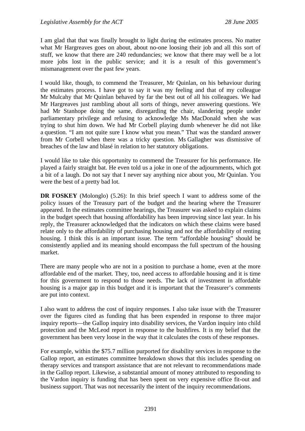I am glad that that was finally brought to light during the estimates process. No matter what Mr Hargreaves goes on about, about no-one loosing their job and all this sort of stuff, we know that there are 240 redundancies; we know that there may well be a lot more jobs lost in the public service; and it is a result of this government's mismanagement over the past few years.

I would like, though, to commend the Treasurer, Mr Quinlan, on his behaviour during the estimates process. I have got to say it was my feeling and that of my colleague Mr Mulcahy that Mr Quinlan behaved by far the best out of all his colleagues. We had Mr Hargreaves just rambling about all sorts of things, never answering questions. We had Mr Stanhope doing the same, disregarding the chair, slandering people under parliamentary privilege and refusing to acknowledge Ms MacDonald when she was trying to shut him down. We had Mr Corbell playing dumb whenever he did not like a question. "I am not quite sure I know what you mean." That was the standard answer from Mr Corbell when there was a tricky question. Ms Gallagher was dismissive of breaches of the law and blasé in relation to her statutory obligations.

I would like to take this opportunity to commend the Treasurer for his performance. He played a fairly straight bat. He even told us a joke in one of the adjournments, which got a bit of a laugh. Do not say that I never say anything nice about you, Mr Quinlan. You were the best of a pretty bad lot.

**DR FOSKEY** (Molonglo) (5.26): In this brief speech I want to address some of the policy issues of the Treasury part of the budget and the hearing where the Treasurer appeared. In the estimates committee hearings, the Treasurer was asked to explain claims in the budget speech that housing affordability has been improving since last year. In his reply, the Treasurer acknowledged that the indicators on which these claims were based relate only to the affordability of purchasing housing and not the affordability of renting housing. I think this is an important issue. The term "affordable housing" should be consistently applied and its meaning should encompass the full spectrum of the housing market.

There are many people who are not in a position to purchase a home, even at the more affordable end of the market. They, too, need access to affordable housing and it is time for this government to respond to those needs. The lack of investment in affordable housing is a major gap in this budget and it is important that the Treasurer's comments are put into context.

I also want to address the cost of inquiry responses. I also take issue with the Treasurer over the figures cited as funding that has been expended in response to three major inquiry reports—the Gallop inquiry into disability services, the Vardon inquiry into child protection and the McLeod report in response to the bushfires. It is my belief that the government has been very loose in the way that it calculates the costs of these responses.

For example, within the \$75.7 million purported for disability services in response to the Gallop report, an estimates committee breakdown shows that this includes spending on therapy services and transport assistance that are not relevant to recommendations made in the Gallop report. Likewise, a substantial amount of money attributed to responding to the Vardon inquiry is funding that has been spent on very expensive office fit-out and business support. That was not necessarily the intent of the inquiry recommendations.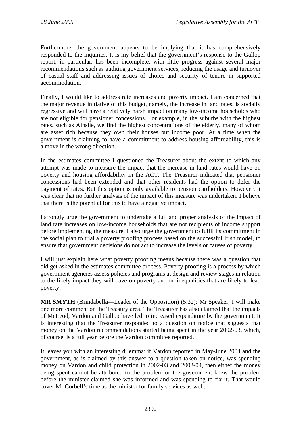Furthermore, the government appears to be implying that it has comprehensively responded to the inquiries. It is my belief that the government's response to the Gallop report, in particular, has been incomplete, with little progress against several major recommendations such as auditing government services, reducing the usage and turnover of casual staff and addressing issues of choice and security of tenure in supported accommodation.

Finally, I would like to address rate increases and poverty impact. I am concerned that the major revenue initiative of this budget, namely, the increase in land rates, is socially regressive and will have a relatively harsh impact on many low-income households who are not eligible for pensioner concessions. For example, in the suburbs with the highest rates, such as Ainslie, we find the highest concentrations of the elderly, many of whom are asset rich because they own their houses but income poor. At a time when the government is claiming to have a commitment to address housing affordability, this is a move in the wrong direction.

In the estimates committee I questioned the Treasurer about the extent to which any attempt was made to measure the impact that the increase in land rates would have on poverty and housing affordability in the ACT. The Treasurer indicated that pensioner concessions had been extended and that other residents had the option to defer the payment of rates. But this option is only available to pension cardholders. However, it was clear that no further analysis of the impact of this measure was undertaken. I believe that there is the potential for this to have a negative impact.

I strongly urge the government to undertake a full and proper analysis of the impact of land rate increases on low-income households that are not recipients of income support before implementing the measure. I also urge the government to fulfil its commitment in the social plan to trial a poverty proofing process based on the successful Irish model, to ensure that government decisions do not act to increase the levels or causes of poverty.

I will just explain here what poverty proofing means because there was a question that did get asked in the estimates committee process. Poverty proofing is a process by which government agencies assess policies and programs at design and review stages in relation to the likely impact they will have on poverty and on inequalities that are likely to lead poverty.

**MR SMYTH** (Brindabella—Leader of the Opposition) (5.32): Mr Speaker, I will make one more comment on the Treasury area. The Treasurer has also claimed that the impacts of McLeod, Vardon and Gallop have led to increased expenditure by the government. It is interesting that the Treasurer responded to a question on notice that suggests that money on the Vardon recommendations started being spent in the year 2002-03, which, of course, is a full year before the Vardon committee reported.

It leaves you with an interesting dilemma: if Vardon reported in May-June 2004 and the government, as is claimed by this answer to a question taken on notice, was spending money on Vardon and child protection in 2002-03 and 2003-04, then either the money being spent cannot be attributed to the problem or the government knew the problem before the minister claimed she was informed and was spending to fix it. That would cover Mr Corbell's time as the minister for family services as well.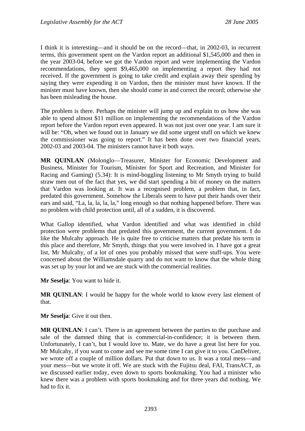I think it is interesting—and it should be on the record—that, in 2002-03, in recurrent terms, this government spent on the Vardon report an additional \$1,545,000 and then in the year 2003-04, before we got the Vardon report and were implementing the Vardon recommendations, they spent \$9,465,000 on implementing a report they had not received. If the government is going to take credit and explain away their spending by saying they were expending it on Vardon, then the minister must have known. If the minister must have known, then she should come in and correct the record; otherwise she has been misleading the house.

The problem is there. Perhaps the minister will jump up and explain to us how she was able to spend almost \$11 million on implementing the recommendations of the Vardon report before the Vardon report even appeared. It was not just over one year. I am sure it will be: "Oh, when we found out in January we did some urgent stuff on which we knew the commissioner was going to report." It has been done over two financial years, 2002-03 and 2003-04. The ministers cannot have it both ways.

**MR QUINLAN** (Molonglo—Treasurer, Minister for Economic Development and Business, Minister for Tourism, Minister for Sport and Recreation, and Minister for Racing and Gaming) (5.34): It is mind-boggling listening to Mr Smyth trying to build straw men out of the fact that yes, we did start spending a bit of money on the matters that Vardon was looking at. It was a recognised problem, a problem that, in fact, predated this government. Somehow the Liberals seem to have put their hands over their ears and said, "La, la, la, la, la," long enough so that nothing happened before. There was no problem with child protection until, all of a sudden, it is discovered.

What Gallop identified, what Vardon identified and what was identified in child protection were problems that predated this government, the current government. I do like the Mulcahy approach. He is quite free to criticise matters that predate his term in this place and therefore, Mr Smyth, things that you were involved in. I have got a great list, Mr Mulcahy, of a lot of ones you probably missed that were stuff-ups. You were concerned about the Williamsdale quarry and do not want to know that the whole thing was set up by your lot and we are stuck with the commercial realities.

**Mr Seselja**: You want to hide it.

**MR QUINLAN:** I would be happy for the whole world to know every last element of that.

**Mr Seselja**: Give it out then.

**MR QUINLAN**: I can't. There is an agreement between the parties to the purchase and sale of the damned thing that is commercial-in-confidence; it is between them. Unfortunately, I can't, but I would love to. Mate, we do have a great list here for you. Mr Mulcahy, if you want to come and see me some time I can give it to you. CanDeliver, we wrote off a couple of million dollars. Put that down to us. It was a total mess—and your mess—but we wrote it off. We are stuck with the Fujitsu deal, FAI, TransACT, as we discussed earlier today, even down to sports bookmaking. You had a minister who knew there was a problem with sports bookmaking and for three years did nothing. We had to fix it.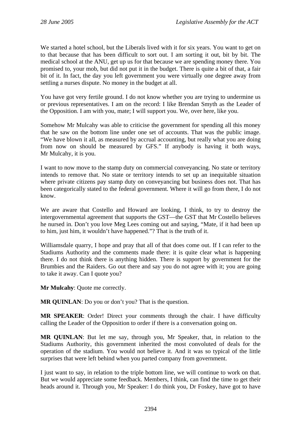We started a hotel school, but the Liberals lived with it for six years. You want to get on to that because that has been difficult to sort out. I am sorting it out, bit by bit. The medical school at the ANU, get up us for that because we are spending money there. You promised to, your mob, but did not put it in the budget. There is quite a bit of that, a fair bit of it. In fact, the day you left government you were virtually one degree away from settling a nurses dispute. No money in the budget at all.

You have got very fertile ground. I do not know whether you are trying to undermine us or previous representatives. I am on the record: I like Brendan Smyth as the Leader of the Opposition. I am with you, mate; I will support you. We, over here, like you.

Somehow Mr Mulcahy was able to criticise the government for spending all this money that he saw on the bottom line under one set of accounts. That was the public image. "We have blown it all, as measured by accrual accounting, but really what you are doing from now on should be measured by GFS." If anybody is having it both ways, Mr Mulcahy, it is you.

I want to now move to the stamp duty on commercial conveyancing. No state or territory intends to remove that. No state or territory intends to set up an inequitable situation where private citizens pay stamp duty on conveyancing but business does not. That has been categorically stated to the federal government. Where it will go from there, I do not know.

We are aware that Costello and Howard are looking, I think, to try to destroy the intergovernmental agreement that supports the GST—the GST that Mr Costello believes he nursed in. Don't you love Meg Lees coming out and saying, "Mate, if it had been up to him, just him, it wouldn't have happened."? That is the truth of it.

Williamsdale quarry, I hope and pray that all of that does come out. If I can refer to the Stadiums Authority and the comments made there: it is quite clear what is happening there. I do not think there is anything hidden. There is support by government for the Brumbies and the Raiders. Go out there and say you do not agree with it; you are going to take it away. Can I quote you?

**Mr Mulcahy**: Quote me correctly.

**MR QUINLAN:** Do you or don't you? That is the question.

**MR SPEAKER**: Order! Direct your comments through the chair. I have difficulty calling the Leader of the Opposition to order if there is a conversation going on.

**MR QUINLAN**: But let me say, through you, Mr Speaker, that, in relation to the Stadiums Authority, this government inherited the most convoluted of deals for the operation of the stadium. You would not believe it. And it was so typical of the little surprises that were left behind when you parted company from government.

I just want to say, in relation to the triple bottom line, we will continue to work on that. But we would appreciate some feedback. Members, I think, can find the time to get their heads around it. Through you, Mr Speaker: I do think you, Dr Foskey, have got to have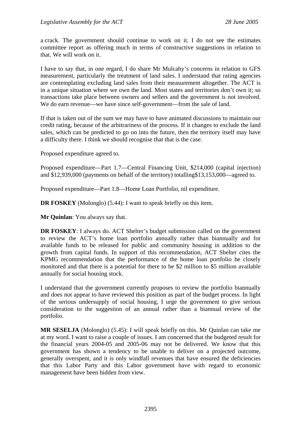a crack. The government should continue to work on it. I do not see the estimates committee report as offering much in terms of constructive suggestions in relation to that. We will work on it.

I have to say that, in one regard, I do share Mr Mulcahy's concerns in relation to GFS measurement, particularly the treatment of land sales. I understand that rating agencies are contemplating excluding land sales from their measurement altogether. The ACT is in a unique situation where we own the land. Most states and territories don't own it; so transactions take place between owners and sellers and the government is not involved. We do earn revenue—we have since self-government—from the sale of land.

If that is taken out of the sum we may have to have animated discussions to maintain our credit rating, because of the arbitrariness of the process. If it changes to exclude the land sales, which can be predicted to go on into the future, then the territory itself may have a difficulty there. I think we should recognise that that is the case.

Proposed expenditure agreed to.

Proposed expenditure—Part 1.7—Central Financing Unit, \$214,000 (capital injection) and \$12,939,000 (payments on behalf of the territory) totalling\$13,153,000—agreed to.

Proposed expenditure—Part 1.8—Home Loan Portfolio, nil expenditure.

**DR FOSKEY** (Molonglo) (5.44): I want to speak briefly on this item.

**Mr Quinlan**: You always say that.

**DR FOSKEY**: I always do. ACT Shelter's budget submission called on the government to review the ACT's home loan portfolio annually rather than biannually and for available funds to be released for public and community housing in addition to the growth from capital funds. In support of this recommendation, ACT Shelter cites the KPMG recommendation that the performance of the home loan portfolio be closely monitored and that there is a potential for there to be \$2 million to \$5 million available annually for social housing stock.

I understand that the government currently proposes to review the portfolio biannually and does not appear to have reviewed this position as part of the budget process. In light of the serious undersupply of social housing, I urge the government to give serious consideration to the suggestion of an annual rather than a biannual review of the portfolio.

**MR SESELJA** (Molonglo) (5.45): I will speak briefly on this. Mr Quinlan can take me at my word. I want to raise a couple of issues. I am concerned that the budgeted result for the financial years 2004-05 and 2005-06 may not be delivered. We know that this government has shown a tendency to be unable to deliver on a projected outcome, generally overspent, and it is only windfall revenues that have ensured the deficiencies that this Labor Party and this Labor government have with regard to economic management have been hidden from view.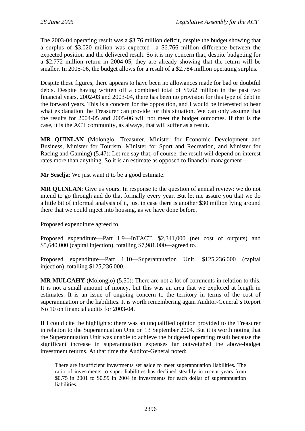The 2003-04 operating result was a \$3.76 million deficit, despite the budget showing that a surplus of \$3.020 million was expected—a \$6.766 million difference between the expected position and the delivered result. So it is my concern that, despite budgeting for a \$2.772 million return in 2004-05, they are already showing that the return will be smaller. In 2005-06, the budget allows for a result of a \$2.784 million operating surplus.

Despite these figures, there appears to have been no allowances made for bad or doubtful debts. Despite having written off a combined total of \$9.62 million in the past two financial years, 2002-03 and 2003-04, there has been no provision for this type of debt in the forward years. This is a concern for the opposition, and I would be interested to hear what explanation the Treasurer can provide for this situation. We can only assume that the results for 2004-05 and 2005-06 will not meet the budget outcomes. If that is the case, it is the ACT community, as always, that will suffer as a result.

**MR QUINLAN** (Molonglo—Treasurer, Minister for Economic Development and Business, Minister for Tourism, Minister for Sport and Recreation, and Minister for Racing and Gaming) (5.47): Let me say that, of course, the result will depend on interest rates more than anything. So it is an estimate as opposed to financial management—

**Mr Seselja**: We just want it to be a good estimate.

**MR QUINLAN:** Give us yours. In response to the question of annual review: we do not intend to go through and do that formally every year. But let me assure you that we do a little bit of informal analysis of it, just in case there is another \$30 million lying around there that we could inject into housing, as we have done before.

Proposed expenditure agreed to.

Proposed expenditure—Part 1.9—InTACT, \$2,341,000 (net cost of outputs) and \$5,640,000 (capital injection), totalling \$7,981,000—agreed to.

Proposed expenditure—Part 1.10—Superannuation Unit, \$125,236,000 (capital injection), totalling \$125,236,000.

**MR MULCAHY** (Molonglo) (5.50): There are not a lot of comments in relation to this. It is not a small amount of money, but this was an area that we explored at length in estimates. It is an issue of ongoing concern to the territory in terms of the cost of superannuation or the liabilities. It is worth remembering again Auditor-General's Report No 10 on financial audits for 2003-04.

If I could cite the highlights: there was an unqualified opinion provided to the Treasurer in relation to the Superannuation Unit on 13 September 2004. But it is worth noting that the Superannuation Unit was unable to achieve the budgeted operating result because the significant increase in superannuation expenses far outweighed the above-budget investment returns. At that time the Auditor-General noted:

There are insufficient investments set aside to meet superannuation liabilities. The ratio of investments to super liabilities has declined steadily in recent years from \$0.75 in 2001 to \$0.59 in 2004 in investments for each dollar of superannuation liabilities.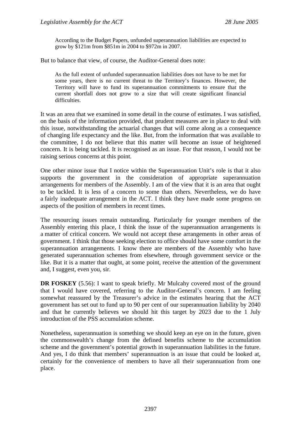According to the Budget Papers, unfunded superannuation liabilities are expected to grow by \$121m from \$851m in 2004 to \$972m in 2007.

But to balance that view, of course, the Auditor-General does note:

As the full extent of unfunded superannuation liabilities does not have to be met for some years, there is no current threat to the Territory's finances. However, the Territory will have to fund its superannuation commitments to ensure that the current shortfall does not grow to a size that will create significant financial difficulties.

It was an area that we examined in some detail in the course of estimates. I was satisfied, on the basis of the information provided, that prudent measures are in place to deal with this issue, notwithstanding the actuarial changes that will come along as a consequence of changing life expectancy and the like. But, from the information that was available to the committee, I do not believe that this matter will become an issue of heightened concern. It is being tackled. It is recognised as an issue. For that reason, I would not be raising serious concerns at this point.

One other minor issue that I notice within the Superannuation Unit's role is that it also supports the government in the consideration of appropriate superannuation arrangements for members of the Assembly. I am of the view that it is an area that ought to be tackled. It is less of a concern to some than others. Nevertheless, we do have a fairly inadequate arrangement in the ACT. I think they have made some progress on aspects of the position of members in recent times.

The resourcing issues remain outstanding. Particularly for younger members of the Assembly entering this place, I think the issue of the superannuation arrangements is a matter of critical concern. We would not accept these arrangements in other areas of government. I think that those seeking election to office should have some comfort in the superannuation arrangements. I know there are members of the Assembly who have generated superannuation schemes from elsewhere, through government service or the like. But it is a matter that ought, at some point, receive the attention of the government and, I suggest, even you, sir.

**DR FOSKEY** (5.56): I want to speak briefly. Mr Mulcahy covered most of the ground that I would have covered, referring to the Auditor-General's concern. I am feeling somewhat reassured by the Treasurer's advice in the estimates hearing that the ACT government has set out to fund up to 90 per cent of our superannuation liability by 2040 and that he currently believes we should hit this target by 2023 due to the 1 July introduction of the PSS accumulation scheme.

Nonetheless, superannuation is something we should keep an eye on in the future, given the commonwealth's change from the defined benefits scheme to the accumulation scheme and the government's potential growth in superannuation liabilities in the future. And yes, I do think that members' superannuation is an issue that could be looked at, certainly for the convenience of members to have all their superannuation from one place.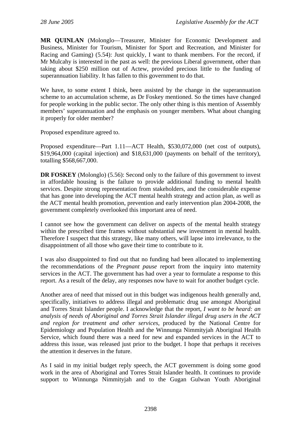**MR QUINLAN** (Molonglo—Treasurer, Minister for Economic Development and Business, Minister for Tourism, Minister for Sport and Recreation, and Minister for Racing and Gaming) (5.54): Just quickly, I want to thank members. For the record, if Mr Mulcahy is interested in the past as well: the previous Liberal government, other than taking about \$250 million out of Actew, provided precious little to the funding of superannuation liability. It has fallen to this government to do that.

We have, to some extent I think, been assisted by the change in the superannuation scheme to an accumulation scheme, as Dr Foskey mentioned. So the times have changed for people working in the public sector. The only other thing is this mention of Assembly members' superannuation and the emphasis on younger members. What about changing it properly for older member?

Proposed expenditure agreed to.

Proposed expenditure—Part 1.11—ACT Health, \$530,072,000 (net cost of outputs), \$19,964,000 (capital injection) and \$18,631,000 (payments on behalf of the territory), totalling \$568,667,000.

**DR FOSKEY** (Molonglo) (5.56): Second only to the failure of this government to invest in affordable housing is the failure to provide additional funding to mental health services. Despite strong representation from stakeholders, and the considerable expense that has gone into developing the ACT mental health strategy and action plan, as well as the ACT mental health promotion, prevention and early intervention plan 2004-2008, the government completely overlooked this important area of need.

I cannot see how the government can deliver on aspects of the mental health strategy within the prescribed time frames without substantial new investment in mental health. Therefore I suspect that this strategy, like many others, will lapse into irrelevance, to the disappointment of all those who gave their time to contribute to it.

I was also disappointed to find out that no funding had been allocated to implementing the recommendations of the *Pregnant pause* report from the inquiry into maternity services in the ACT. The government has had over a year to formulate a response to this report. As a result of the delay, any responses now have to wait for another budget cycle.

Another area of need that missed out in this budget was indigenous health generally and, specifically, initiatives to address illegal and problematic drug use amongst Aboriginal and Torres Strait Islander people. I acknowledge that the report, *I want to be heard: an analysis of needs of Aboriginal and Torres Strait Islander illegal drug users in the ACT and region for treatment and other services*, produced by the National Centre for Epidemiology and Population Health and the Winnunga Nimmityjah Aboriginal Health Service, which found there was a need for new and expanded services in the ACT to address this issue, was released just prior to the budget. I hope that perhaps it receives the attention it deserves in the future.

As I said in my initial budget reply speech, the ACT government is doing some good work in the area of Aboriginal and Torres Strait Islander health. It continues to provide support to Winnunga Nimmityjah and to the Gugan Gulwan Youth Aboriginal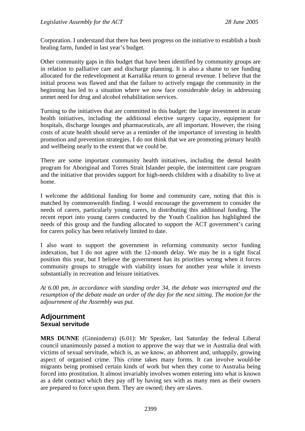Corporation. I understand that there has been progress on the initiative to establish a bush healing farm, funded in last year's budget.

Other community gaps in this budget that have been identified by community groups are in relation to palliative care and discharge planning. It is also a shame to see funding allocated for the redevelopment at Karralika return to general revenue. I believe that the initial process was flawed and that the failure to actively engage the community in the beginning has led to a situation where we now face considerable delay in addressing unmet need for drug and alcohol rehabilitation services.

Turning to the initiatives that are committed in this budget: the large investment in acute health initiatives, including the additional elective surgery capacity, equipment for hospitals, discharge lounges and pharmaceuticals, are all important. However, the rising costs of acute health should serve as a reminder of the importance of investing in health promotion and prevention strategies. I do not think that we are promoting primary health and wellbeing nearly to the extent that we could be.

There are some important community health initiatives, including the dental health program for Aboriginal and Torres Strait Islander people, the intermittent care program and the initiative that provides support for high-needs children with a disability to live at home.

I welcome the additional funding for home and community care, noting that this is matched by commonwealth finding. I would encourage the government to consider the needs of carers, particularly young carers, in distributing this additional funding. The recent report into young carers conducted by the Youth Coalition has highlighted the needs of this group and the funding allocated to support the ACT government's caring for carers policy has been relatively limited to date.

I also want to support the government in reforming community sector funding indexation, but I do not agree with the 12-month delay. We may be in a tight fiscal position this year, but I believe the government has its priorities wrong when it forces community groups to struggle with viability issues for another year while it invests substantially in recreation and leisure initiatives.

*At 6.00 pm, in accordance with standing order 34, the debate was interrupted and the resumption of the debate made an order of the day for the next sitting. The motion for the adjournment of the Assembly was put.* 

## **Adjournment Sexual servitude**

**MRS DUNNE** (Ginninderra) (6.01): Mr Speaker, last Saturday the federal Liberal council unanimously passed a motion to approve the way that we in Australia deal with victims of sexual servitude, which is, as we know, an abhorrent and, unhappily, growing aspect of organised crime. This crime takes many forms. It can involve would-be migrants being promised certain kinds of work but when they come to Australia being forced into prostitution. It almost invariably involves women entering into what is known as a debt contract which they pay off by having sex with as many men as their owners are prepared to force upon them. They are owned; they are slaves.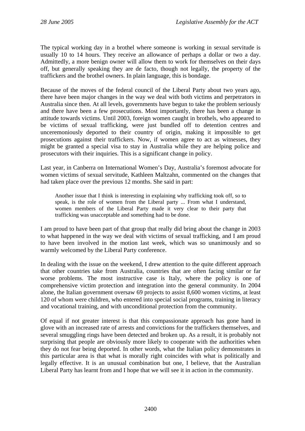The typical working day in a brothel where someone is working in sexual servitude is usually 10 to 14 hours. They receive an allowance of perhaps a dollar or two a day. Admittedly, a more benign owner will allow them to work for themselves on their days off, but generally speaking they are de facto, though not legally, the property of the traffickers and the brothel owners. In plain language, this is bondage.

Because of the moves of the federal council of the Liberal Party about two years ago, there have been major changes in the way we deal with both victims and perpetrators in Australia since then. At all levels, governments have begun to take the problem seriously and there have been a few prosecutions. Most importantly, there has been a change in attitude towards victims. Until 2003, foreign women caught in brothels, who appeared to be victims of sexual trafficking, were just bundled off to detention centres and unceremoniously deported to their country of origin, making it impossible to get prosecutions against their traffickers. Now, if women agree to act as witnesses, they might be granted a special visa to stay in Australia while they are helping police and prosecutors with their inquiries. This is a significant change in policy.

Last year, in Canberra on International Women's Day, Australia's foremost advocate for women victims of sexual servitude, Kathleen Maltzahn, commented on the changes that had taken place over the previous 12 months. She said in part:

Another issue that I think is interesting in explaining why trafficking took off, so to speak, is the role of women from the Liberal party ... From what I understand, women members of the Liberal Party made it very clear to their party that trafficking was unacceptable and something had to be done.

I am proud to have been part of that group that really did bring about the change in 2003 to what happened in the way we deal with victims of sexual trafficking, and I am proud to have been involved in the motion last week, which was so unanimously and so warmly welcomed by the Liberal Party conference.

In dealing with the issue on the weekend, I drew attention to the quite different approach that other countries take from Australia, countries that are often facing similar or far worse problems. The most instructive case is Italy, where the policy is one of comprehensive victim protection and integration into the general community. In 2004 alone, the Italian government oversaw 69 projects to assist 8,600 women victims, at least 120 of whom were children, who entered into special social programs, training in literacy and vocational training, and with unconditional protection from the community.

Of equal if not greater interest is that this compassionate approach has gone hand in glove with an increased rate of arrests and convictions for the traffickers themselves, and several smuggling rings have been detected and broken up. As a result, it is probably not surprising that people are obviously more likely to cooperate with the authorities when they do not fear being deported. In other words, what the Italian policy demonstrates in this particular area is that what is morally right coincides with what is politically and legally effective. It is an unusual combination but one, I believe, that the Australian Liberal Party has learnt from and I hope that we will see it in action in the community.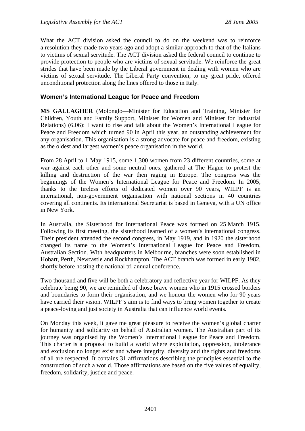What the ACT division asked the council to do on the weekend was to reinforce a resolution they made two years ago and adopt a similar approach to that of the Italians to victims of sexual servitude. The ACT division asked the federal council to continue to provide protection to people who are victims of sexual servitude. We reinforce the great strides that have been made by the Liberal government in dealing with women who are victims of sexual servitude. The Liberal Party convention, to my great pride, offered unconditional protection along the lines offered to those in Italy.

#### **Women's International League for Peace and Freedom**

**MS GALLAGHER** (Molonglo—Minister for Education and Training, Minister for Children, Youth and Family Support, Minister for Women and Minister for Industrial Relations) (6.06): I want to rise and talk about the Women's International League for Peace and Freedom which turned 90 in April this year, an outstanding achievement for any organisation. This organisation is a strong advocate for peace and freedom, existing as the oldest and largest women's peace organisation in the world.

From 28 April to 1 May 1915, some 1,300 women from 23 different countries, some at war against each other and some neutral ones, gathered at The Hague to protest the killing and destruction of the war then raging in Europe. The congress was the beginnings of the Women's International League for Peace and Freedom. In 2005, thanks to the tireless efforts of dedicated women over 90 years, WILPF is an international, non-government organisation with national sections in 40 countries covering all continents. Its international Secretariat is based in Geneva, with a UN office in New York.

In Australia, the Sisterhood for International Peace was formed on 25 March 1915. Following its first meeting, the sisterhood learned of a women's international congress. Their president attended the second congress, in May 1919, and in 1920 the sisterhood changed its name to the Women's International League for Peace and Freedom, Australian Section. With headquarters in Melbourne, branches were soon established in Hobart, Perth, Newcastle and Rockhampton. The ACT branch was formed in early 1982, shortly before hosting the national tri-annual conference.

Two thousand and five will be both a celebratory and reflective year for WILPF. As they celebrate being 90, we are reminded of those brave women who in 1915 crossed borders and boundaries to form their organisation, and we honour the women who for 90 years have carried their vision. WILPF's aim is to find ways to bring women together to create a peace-loving and just society in Australia that can influence world events.

On Monday this week, it gave me great pleasure to receive the women's global charter for humanity and solidarity on behalf of Australian women. The Australian part of its journey was organised by the Women's International League for Peace and Freedom. This charter is a proposal to build a world where exploitation, oppression, intolerance and exclusion no longer exist and where integrity, diversity and the rights and freedoms of all are respected. It contains 31 affirmations describing the principles essential to the construction of such a world. Those affirmations are based on the five values of equality, freedom, solidarity, justice and peace.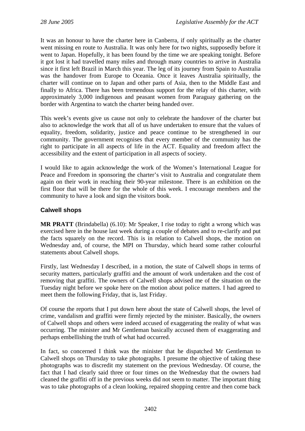It was an honour to have the charter here in Canberra, if only spiritually as the charter went missing en route to Australia. It was only here for two nights, supposedly before it went to Japan. Hopefully, it has been found by the time we are speaking tonight. Before it got lost it had travelled many miles and through many countries to arrive in Australia since it first left Brazil in March this year. The leg of its journey from Spain to Australia was the handover from Europe to Oceania. Once it leaves Australia spiritually, the charter will continue on to Japan and other parts of Asia, then to the Middle East and finally to Africa. There has been tremendous support for the relay of this charter, with approximately 3,000 indigenous and peasant women from Paraguay gathering on the border with Argentina to watch the charter being handed over.

This week's events give us cause not only to celebrate the handover of the charter but also to acknowledge the work that all of us have undertaken to ensure that the values of equality, freedom, solidarity, justice and peace continue to be strengthened in our community. The government recognises that every member of the community has the right to participate in all aspects of life in the ACT. Equality and freedom affect the accessibility and the extent of participation in all aspects of society.

I would like to again acknowledge the work of the Women's International League for Peace and Freedom in sponsoring the charter's visit to Australia and congratulate them again on their work in reaching their 90-year milestone. There is an exhibition on the first floor that will be there for the whole of this week. I encourage members and the community to have a look and sign the visitors book.

## **Calwell shops**

**MR PRATT** (Brindabella) (6.10): Mr Speaker, I rise today to right a wrong which was exercised here in the house last week during a couple of debates and to re-clarify and put the facts squarely on the record. This is in relation to Calwell shops, the motion on Wednesday and, of course, the MPI on Thursday, which heard some rather colourful statements about Calwell shops.

Firstly, last Wednesday I described, in a motion, the state of Calwell shops in terms of security matters, particularly graffiti and the amount of work undertaken and the cost of removing that graffiti. The owners of Calwell shops advised me of the situation on the Tuesday night before we spoke here on the motion about police matters. I had agreed to meet them the following Friday, that is, last Friday.

Of course the reports that I put down here about the state of Calwell shops, the level of crime, vandalism and graffiti were firmly rejected by the minister. Basically, the owners of Calwell shops and others were indeed accused of exaggerating the reality of what was occurring. The minister and Mr Gentleman basically accused them of exaggerating and perhaps embellishing the truth of what had occurred.

In fact, so concerned I think was the minister that he dispatched Mr Gentleman to Calwell shops on Thursday to take photographs. I presume the objective of taking these photographs was to discredit my statement on the previous Wednesday. Of course, the fact that I had clearly said three or four times on the Wednesday that the owners had cleaned the graffiti off in the previous weeks did not seem to matter. The important thing was to take photographs of a clean looking, repaired shopping centre and then come back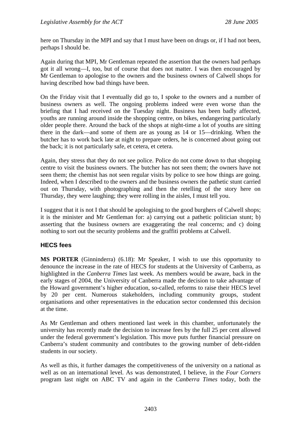here on Thursday in the MPI and say that I must have been on drugs or, if I had not been, perhaps I should be.

Again during that MPI, Mr Gentleman repeated the assertion that the owners had perhaps got it all wrong—I, too, but of course that does not matter. I was then encouraged by Mr Gentleman to apologise to the owners and the business owners of Calwell shops for having described how bad things have been.

On the Friday visit that I eventually did go to, I spoke to the owners and a number of business owners as well. The ongoing problems indeed were even worse than the briefing that I had received on the Tuesday night. Business has been badly affected, youths are running around inside the shopping centre, on bikes, endangering particularly older people there. Around the back of the shops at night-time a lot of youths are sitting there in the dark—and some of them are as young as 14 or 15—drinking. When the butcher has to work back late at night to prepare orders, he is concerned about going out the back; it is not particularly safe, et cetera, et cetera.

Again, they stress that they do not see police. Police do not come down to that shopping centre to visit the business owners. The butcher has not seen them; the owners have not seen them; the chemist has not seen regular visits by police to see how things are going. Indeed, when I described to the owners and the business owners the pathetic stunt carried out on Thursday, with photographing and then the retelling of the story here on Thursday, they were laughing; they were rolling in the aisles, I must tell you.

I suggest that it is not I that should be apologising to the good burghers of Calwell shops; it is the minister and Mr Gentleman for: a) carrying out a pathetic politician stunt; b) asserting that the business owners are exaggerating the real concerns; and c) doing nothing to sort out the security problems and the graffiti problems at Calwell.

#### **HECS fees**

**MS PORTER** (Ginninderra) (6.18): Mr Speaker, I wish to use this opportunity to denounce the increase in the rate of HECS for students at the University of Canberra, as highlighted in the *Canberra Times* last week. As members would be aware, back in the early stages of 2004, the University of Canberra made the decision to take advantage of the Howard government's higher education, so-called, reforms to raise their HECS level by 20 per cent. Numerous stakeholders, including community groups, student organisations and other representatives in the education sector condemned this decision at the time.

As Mr Gentleman and others mentioned last week in this chamber, unfortunately the university has recently made the decision to increase fees by the full 25 per cent allowed under the federal government's legislation. This move puts further financial pressure on Canberra's student community and contributes to the growing number of debt-ridden students in our society.

As well as this, it further damages the competitiveness of the university on a national as well as on an international level. As was demonstrated, I believe, in the *Four Corners* program last night on ABC TV and again in the *Canberra Times* today, both the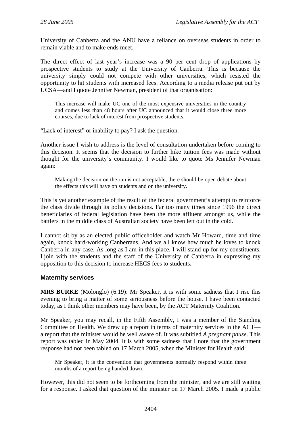University of Canberra and the ANU have a reliance on overseas students in order to remain viable and to make ends meet.

The direct effect of last year's increase was a 90 per cent drop of applications by prospective students to study at the University of Canberra. This is because the university simply could not compete with other universities, which resisted the opportunity to hit students with increased fees. According to a media release put out by UCSA—and I quote Jennifer Newman, president of that organisation:

This increase will make UC one of the most expensive universities in the country and comes less than 48 hours after UC announced that it would close three more courses, due to lack of interest from prospective students.

"Lack of interest" or inability to pay? I ask the question.

Another issue I wish to address is the level of consultation undertaken before coming to this decision. It seems that the decision to further hike tuition fees was made without thought for the university's community. I would like to quote Ms Jennifer Newman again:

Making the decision on the run is not acceptable, there should be open debate about the effects this will have on students and on the university.

This is yet another example of the result of the federal government's attempt to reinforce the class divide through its policy decisions. Far too many times since 1996 the direct beneficiaries of federal legislation have been the more affluent amongst us, while the battlers in the middle class of Australian society have been left out in the cold.

I cannot sit by as an elected public officeholder and watch Mr Howard, time and time again, knock hard-working Canberrans. And we all know how much he loves to knock Canberra in any case. As long as I am in this place, I will stand up for my constituents. I join with the students and the staff of the University of Canberra in expressing my opposition to this decision to increase HECS fees to students.

#### **Maternity services**

**MRS BURKE** (Molonglo) (6.19): Mr Speaker, it is with some sadness that I rise this evening to bring a matter of some seriousness before the house. I have been contacted today, as I think other members may have been, by the ACT Maternity Coalition.

Mr Speaker, you may recall, in the Fifth Assembly, I was a member of the Standing Committee on Health. We drew up a report in terms of maternity services in the ACT a report that the minister would be well aware of. It was subtitled *A pregnant pause*. This report was tabled in May 2004. It is with some sadness that I note that the government response had not been tabled on 17 March 2005, when the Minister for Health said:

Mr Speaker, it is the convention that governments normally respond within three months of a report being handed down.

However, this did not seem to be forthcoming from the minister, and we are still waiting for a response. I asked that question of the minister on 17 March 2005. I made a public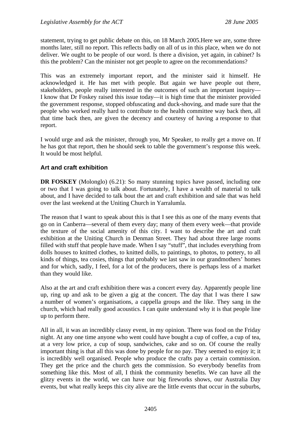statement, trying to get public debate on this, on 18 March 2005.Here we are, some three months later, still no report. This reflects badly on all of us in this place, when we do not deliver. We ought to be people of our word. Is there a division, yet again, in cabinet? Is this the problem? Can the minister not get people to agree on the recommendations?

This was an extremely important report, and the minister said it himself. He acknowledged it. He has met with people. But again we have people out there, stakeholders, people really interested in the outcomes of such an important inquiry— I know that Dr Foskey raised this issue today—it is high time that the minister provided the government response, stopped obfuscating and duck-shoving, and made sure that the people who worked really hard to contribute to the health committee way back then, all that time back then, are given the decency and courtesy of having a response to that report.

I would urge and ask the minister, through you, Mr Speaker, to really get a move on. If he has got that report, then he should seek to table the government's response this week. It would be most helpful.

#### **Art and craft exhibition**

**DR FOSKEY** (Molonglo) (6.21): So many stunning topics have passed, including one or two that I was going to talk about. Fortunately, I have a wealth of material to talk about, and I have decided to talk bout the art and craft exhibition and sale that was held over the last weekend at the Uniting Church in Yarralumla.

The reason that I want to speak about this is that I see this as one of the many events that go on in Canberra—several of them every day; many of them every week—that provide the texture of the social amenity of this city. I want to describe the art and craft exhibition at the Uniting Church in Denman Street. They had about three large rooms filled with stuff that people have made. When I say "stuff", that includes everything from dolls houses to knitted clothes, to knitted dolls, to paintings, to photos, to pottery, to all kinds of things, tea cosies, things that probably we last saw in our grandmothers' homes and for which, sadly, I feel, for a lot of the producers, there is perhaps less of a market than they would like.

Also at the art and craft exhibition there was a concert every day. Apparently people line up, ring up and ask to be given a gig at the concert. The day that I was there I saw a number of women's organisations, a cappella groups and the like. They sang in the church, which had really good acoustics. I can quite understand why it is that people line up to perform there.

All in all, it was an incredibly classy event, in my opinion. There was food on the Friday night. At any one time anyone who went could have bought a cup of coffee, a cup of tea, at a very low price, a cup of soup, sandwiches, cake and so on. Of course the really important thing is that all this was done by people for no pay. They seemed to enjoy it; it is incredibly well organised. People who produce the crafts pay a certain commission. They get the price and the church gets the commission. So everybody benefits from something like this. Most of all, I think the community benefits. We can have all the glitzy events in the world, we can have our big fireworks shows, our Australia Day events, but what really keeps this city alive are the little events that occur in the suburbs,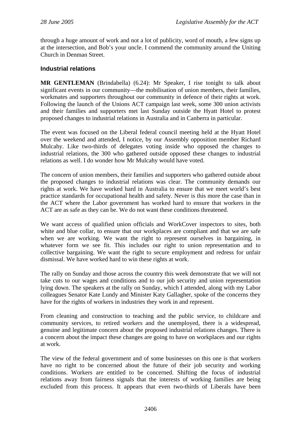through a huge amount of work and not a lot of publicity, word of mouth, a few signs up at the intersection, and Bob's your uncle. I commend the community around the Uniting Church in Denman Street.

#### **Industrial relations**

**MR GENTLEMAN** (Brindabella) (6.24): Mr Speaker, I rise tonight to talk about significant events in our community—the mobilisation of union members, their families, workmates and supporters throughout our community in defence of their rights at work. Following the launch of the Unions ACT campaign last week, some 300 union activists and their families and supporters met last Sunday outside the Hyatt Hotel to protest proposed changes to industrial relations in Australia and in Canberra in particular.

The event was focused on the Liberal federal council meeting held at the Hyatt Hotel over the weekend and attended, I notice, by our Assembly opposition member Richard Mulcahy. Like two-thirds of delegates voting inside who opposed the changes to industrial relations, the 300 who gathered outside opposed these changes to industrial relations as well. I do wonder how Mr Mulcahy would have voted.

The concern of union members, their families and supporters who gathered outside about the proposed changes to industrial relations was clear. The community demands our rights at work. We have worked hard in Australia to ensure that we meet world's best practice standards for occupational health and safety. Never is this more the case than in the ACT where the Labor government has worked hard to ensure that workers in the ACT are as safe as they can be. We do not want these conditions threatened.

We want access of qualified union officials and WorkCover inspectors to sites, both white and blue collar, to ensure that our workplaces are compliant and that we are safe when we are working. We want the right to represent ourselves in bargaining, in whatever form we see fit. This includes our right to union representation and to collective bargaining. We want the right to secure employment and redress for unfair dismissal. We have worked hard to win these rights at work.

The rally on Sunday and those across the country this week demonstrate that we will not take cuts to our wages and conditions and to our job security and union representation lying down. The speakers at the rally on Sunday, which I attended, along with my Labor colleagues Senator Kate Lundy and Minister Katy Gallagher, spoke of the concerns they have for the rights of workers in industries they work in and represent.

From cleaning and construction to teaching and the public service, to childcare and community services, to retired workers and the unemployed, there is a widespread, genuine and legitimate concern about the proposed industrial relations changes. There is a concern about the impact these changes are going to have on workplaces and our rights at work.

The view of the federal government and of some businesses on this one is that workers have no right to be concerned about the future of their job security and working conditions. Workers are entitled to be concerned. Shifting the focus of industrial relations away from fairness signals that the interests of working families are being excluded from this process. It appears that even two-thirds of Liberals have been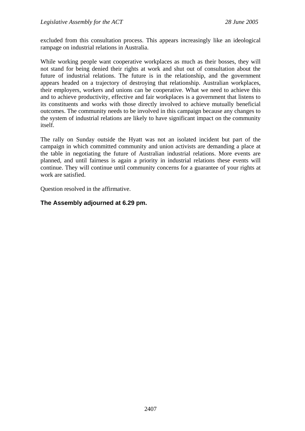excluded from this consultation process. This appears increasingly like an ideological rampage on industrial relations in Australia.

While working people want cooperative workplaces as much as their bosses, they will not stand for being denied their rights at work and shut out of consultation about the future of industrial relations. The future is in the relationship, and the government appears headed on a trajectory of destroying that relationship. Australian workplaces, their employers, workers and unions can be cooperative. What we need to achieve this and to achieve productivity, effective and fair workplaces is a government that listens to its constituents and works with those directly involved to achieve mutually beneficial outcomes. The community needs to be involved in this campaign because any changes to the system of industrial relations are likely to have significant impact on the community itself.

The rally on Sunday outside the Hyatt was not an isolated incident but part of the campaign in which committed community and union activists are demanding a place at the table in negotiating the future of Australian industrial relations. More events are planned, and until fairness is again a priority in industrial relations these events will continue. They will continue until community concerns for a guarantee of your rights at work are satisfied.

Question resolved in the affirmative.

#### **The Assembly adjourned at 6.29 pm.**